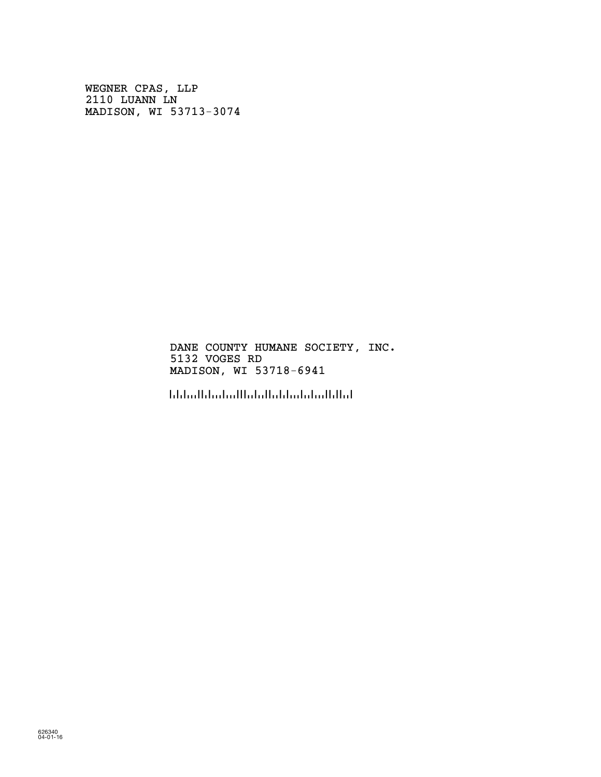WEGNER CPAS, LLP 2110 LUANN LN MADISON, WI 53713-3074

> DANE COUNTY HUMANE SOCIETY, INC. 5132 VOGES RD MADISON, WI 53718-6941

!5371869416!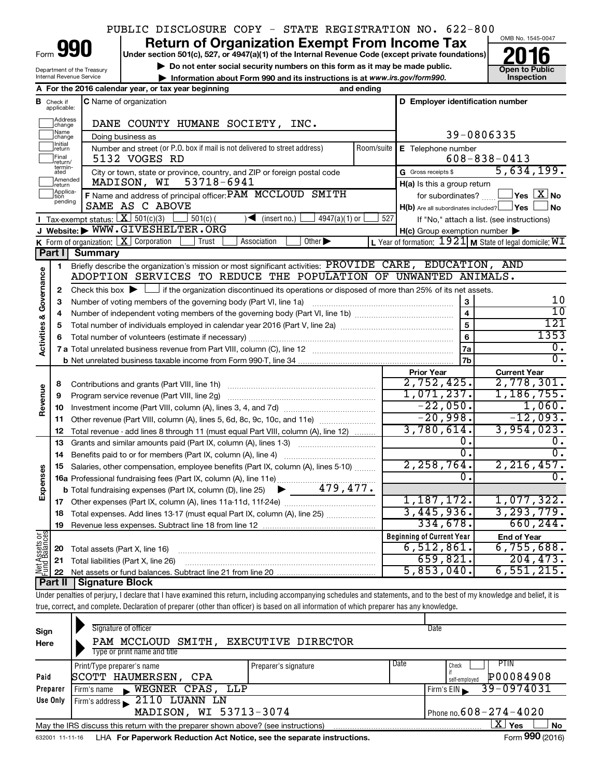## PUBLIC DISCLOSURE COPY - STATE REGISTRATION NO. 622-800

Form 990

# **Return of Organization Exempt From Income Tax**<br>Under section 501(c), 527, or 4947(a)(1) of the Internal Revenue Code (except private foundations)<br> **2016**

**Under section 501(c), 527, or 4947(a)(1) of the Internal Revenue Code (except private foundations)**

 $\triangleright$  Do not enter social security numbers on this form as it may be made public.



Depart Internal Revenue Service

|                         |                               | Department of the fieasury<br>Internal Revenue Service<br>Information about Form 990 and its instructions is at www.irs.gov/form990.                                       |            |                                                                                  | טוועט ו שטווע<br>Inspection                                 |  |  |  |
|-------------------------|-------------------------------|----------------------------------------------------------------------------------------------------------------------------------------------------------------------------|------------|----------------------------------------------------------------------------------|-------------------------------------------------------------|--|--|--|
|                         |                               | A For the 2016 calendar year, or tax year beginning<br>and ending                                                                                                          |            |                                                                                  |                                                             |  |  |  |
|                         | <b>B</b> Check if applicable: | <b>C</b> Name of organization                                                                                                                                              |            | D Employer identification number                                                 |                                                             |  |  |  |
|                         | Address<br> change            | DANE COUNTY HUMANE SOCIETY, INC.                                                                                                                                           |            |                                                                                  |                                                             |  |  |  |
|                         | Name<br>change                | Doing business as                                                                                                                                                          | 39-0806335 |                                                                                  |                                                             |  |  |  |
|                         | Initial<br>return             | Number and street (or P.O. box if mail is not delivered to street address)                                                                                                 | Room/suite | E Telephone number                                                               |                                                             |  |  |  |
|                         | Final<br>return/              | 5132 VOGES RD                                                                                                                                                              |            | $608 - 838 - 0413$                                                               |                                                             |  |  |  |
|                         | termin-<br>ated               | City or town, state or province, country, and ZIP or foreign postal code                                                                                                   |            | G Gross receipts \$                                                              | 5,634,199.                                                  |  |  |  |
|                         | Amended<br>return             | 53718-6941<br>MADISON, WI                                                                                                                                                  |            | H(a) Is this a group return                                                      |                                                             |  |  |  |
|                         | Applica-<br>Ition<br>pending  | F Name and address of principal officer: PAM MCCLOUD SMITH<br>SAME AS C ABOVE                                                                                              |            | for subordinates? $\ldots$ L<br>$H(b)$ Are all subordinates included? $\Box$ Yes | $\sqrt{}$ Yes $\sqrt{ \ \overline{\mathrm{X}}\ }$ No<br>⊿No |  |  |  |
|                         |                               | Tax-exempt status: $X \ 501(c)(3)$<br>$\frac{1}{2}$ 501(c) (<br>$\sqrt{\bullet}$ (insert no.)<br>4947(a)(1) or                                                             | 527        |                                                                                  | If "No," attach a list. (see instructions)                  |  |  |  |
|                         |                               | J Website: WWW.GIVESHELTER.ORG                                                                                                                                             |            | $H(c)$ Group exemption number $\blacktriangleright$                              |                                                             |  |  |  |
|                         |                               | K Form of organization: $X$ Corporation<br>Trust<br>Other $\blacktriangleright$<br>Association                                                                             |            |                                                                                  | L Year of formation: $1921$ M State of legal domicile: $WT$ |  |  |  |
|                         | Part II                       | <b>Summary</b>                                                                                                                                                             |            |                                                                                  |                                                             |  |  |  |
|                         | 1                             | Briefly describe the organization's mission or most significant activities: PROVIDE CARE, EDUCATION, AND                                                                   |            |                                                                                  |                                                             |  |  |  |
| Governance              |                               | ADOPTION SERVICES TO REDUCE THE POPULATION OF UNWANTED ANIMALS.                                                                                                            |            |                                                                                  |                                                             |  |  |  |
|                         | $\mathbf{2}$                  | Check this box $\blacktriangleright$ $\Box$ if the organization discontinued its operations or disposed of more than 25% of its net assets.                                |            |                                                                                  |                                                             |  |  |  |
|                         | з                             | Number of voting members of the governing body (Part VI, line 1a)                                                                                                          |            | $\mathbf{3}$                                                                     | 10                                                          |  |  |  |
|                         | 4                             |                                                                                                                                                                            |            | $\overline{\mathbf{4}}$                                                          | 10                                                          |  |  |  |
|                         | 5                             |                                                                                                                                                                            |            | $\overline{5}$                                                                   | 121                                                         |  |  |  |
|                         | 6                             |                                                                                                                                                                            | 6          | 1353                                                                             |                                                             |  |  |  |
| <b>Activities &amp;</b> |                               |                                                                                                                                                                            |            | 7a                                                                               | 0.<br>$\overline{0}$ .                                      |  |  |  |
|                         |                               |                                                                                                                                                                            |            |                                                                                  |                                                             |  |  |  |
|                         |                               |                                                                                                                                                                            |            | <b>Prior Year</b>                                                                | <b>Current Year</b>                                         |  |  |  |
|                         | 8                             |                                                                                                                                                                            |            | 2,752,425.                                                                       | 2,778,301.                                                  |  |  |  |
|                         | 9                             | Program service revenue (Part VIII, line 2g)                                                                                                                               |            | 1,071,237.                                                                       | 1,186,755.                                                  |  |  |  |
| Revenue                 | 10                            |                                                                                                                                                                            |            | $-22,050.$                                                                       | 1,060.                                                      |  |  |  |
|                         | 11                            | Other revenue (Part VIII, column (A), lines 5, 6d, 8c, 9c, 10c, and 11e)                                                                                                   |            | $-20,998.$                                                                       | $-12,093.$                                                  |  |  |  |
|                         | 12                            | Total revenue - add lines 8 through 11 (must equal Part VIII, column (A), line 12)                                                                                         |            | 3,780,614.                                                                       | 3,954,023.                                                  |  |  |  |
|                         | 13                            | Grants and similar amounts paid (Part IX, column (A), lines 1-3)                                                                                                           |            | ο.                                                                               | 0.                                                          |  |  |  |
|                         | 14                            |                                                                                                                                                                            |            | 0.                                                                               | 0.                                                          |  |  |  |
|                         | 15                            | Salaries, other compensation, employee benefits (Part IX, column (A), lines 5-10)                                                                                          |            | 2, 258, 764.<br>0.                                                               | 2, 216, 457.<br>0.                                          |  |  |  |
|                         |                               |                                                                                                                                                                            |            |                                                                                  |                                                             |  |  |  |
| Expenses                |                               | <b>b</b> Total fundraising expenses (Part IX, column (D), line 25) $\bullet$ 479, 477.                                                                                     |            |                                                                                  |                                                             |  |  |  |
|                         |                               |                                                                                                                                                                            |            | 1,187,172.<br>3,445,936.                                                         | 1,077,322.<br>3, 293, 779.                                  |  |  |  |
|                         |                               | Total expenses. Add lines 13-17 (must equal Part IX, column (A), line 25) [                                                                                                |            | 334,678.                                                                         | 660, 244.                                                   |  |  |  |
|                         | 19                            |                                                                                                                                                                            |            |                                                                                  |                                                             |  |  |  |
| Net Assets or           |                               |                                                                                                                                                                            |            | <b>Beginning of Current Year</b><br>6,512,861.                                   | <b>End of Year</b><br>6,755,688.                            |  |  |  |
|                         | 20                            | Total assets (Part X, line 16)                                                                                                                                             |            | 659,821.                                                                         | 204, 473.                                                   |  |  |  |
|                         | 21                            | Total liabilities (Part X, line 26)                                                                                                                                        |            | 5,853,040.                                                                       | 6,551,215.                                                  |  |  |  |
|                         | 22<br>Part II                 | <b>Signature Block</b>                                                                                                                                                     |            |                                                                                  |                                                             |  |  |  |
|                         |                               | Under penalties of perjury, I declare that I have examined this return, including accompanying schedules and statements, and to the best of my knowledge and belief, it is |            |                                                                                  |                                                             |  |  |  |
|                         |                               | true, correct, and complete. Declaration of preparer (other than officer) is based on all information of which preparer has any knowledge.                                 |            |                                                                                  |                                                             |  |  |  |
|                         |                               |                                                                                                                                                                            |            |                                                                                  |                                                             |  |  |  |

| Sign<br>Here                                                                                                | Signature of officer<br><b>EXECUTIVE DIRECTOR</b><br>PAM MCCLOUD SMITH,<br>Type or print name and title | Date          |                 |  |  |  |  |  |  |
|-------------------------------------------------------------------------------------------------------------|---------------------------------------------------------------------------------------------------------|---------------|-----------------|--|--|--|--|--|--|
|                                                                                                             | Print/Type preparer's name<br>Preparer's signature                                                      | Date<br>Check | PTIN            |  |  |  |  |  |  |
| Paid                                                                                                        | SCOTT HAUMERSEN,<br>CPA                                                                                 | self-employed | P00084908       |  |  |  |  |  |  |
| Preparer                                                                                                    | WEGNER CPAS, LLP<br>Firm's name                                                                         | Firm's $EIN$  | 39-0974031      |  |  |  |  |  |  |
| Use Only                                                                                                    | 2110 LUANN LN<br>Firm's address                                                                         |               |                 |  |  |  |  |  |  |
|                                                                                                             | MADISON, WI 53713-3074<br>Phone no. $608 - 274 - 4020$                                                  |               |                 |  |  |  |  |  |  |
| X.<br>Yes<br><b>No</b><br>May the IRS discuss this return with the preparer shown above? (see instructions) |                                                                                                         |               |                 |  |  |  |  |  |  |
| 632001 11-11-16                                                                                             | LHA For Paperwork Reduction Act Notice, see the separate instructions.                                  |               | Form 990 (2016) |  |  |  |  |  |  |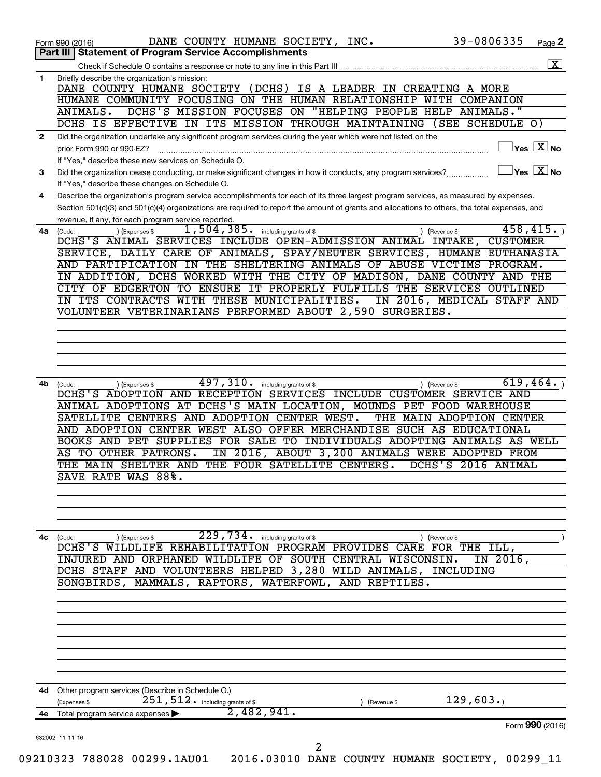|              | 39-0806335<br>DANE COUNTY HUMANE SOCIETY, INC.<br>Page 2<br>Form 990 (2016)<br>Part III   Statement of Program Service Accomplishments                           |
|--------------|------------------------------------------------------------------------------------------------------------------------------------------------------------------|
|              |                                                                                                                                                                  |
| 1            | Briefly describe the organization's mission:                                                                                                                     |
|              | DANE COUNTY HUMANE SOCIETY (DCHS) IS A LEADER IN CREATING A MORE                                                                                                 |
|              | HUMANE COMMUNITY FOCUSING ON THE HUMAN RELATIONSHIP WITH COMPANION                                                                                               |
|              | DCHS'S MISSION FOCUSES ON "HELPING PEOPLE HELP ANIMALS."<br>ANIMALS.<br>DCHS IS EFFECTIVE IN ITS MISSION THROUGH MAINTAINING (SEE SCHEDULE O)                    |
| $\mathbf{2}$ | Did the organization undertake any significant program services during the year which were not listed on the                                                     |
|              | $ {\mathsf Y}\mathsf{es}\ \boxed{{\mathsf X}}$ No<br>prior Form 990 or 990-EZ?                                                                                   |
|              | If "Yes," describe these new services on Schedule O.                                                                                                             |
| 3            | $\mathsf{Yes}\ \overline{\mathbf{X}}\mathsf{No}$<br>Did the organization cease conducting, or make significant changes in how it conducts, any program services? |
|              | If "Yes," describe these changes on Schedule O.                                                                                                                  |
| 4            | Describe the organization's program service accomplishments for each of its three largest program services, as measured by expenses.                             |
|              | Section 501(c)(3) and 501(c)(4) organizations are required to report the amount of grants and allocations to others, the total expenses, and                     |
|              | revenue, if any, for each program service reported.<br>458, 415.<br>1,504,385.                                                                                   |
| 4a           | including grants of \$<br>(Expenses \$<br>(Code:<br>) (Revenue \$<br>DCHS'S ANIMAL SERVICES INCLUDE OPEN-ADMISSION ANIMAL INTAKE,<br><b>CUSTOMER</b>             |
|              | SERVICE, DAILY CARE OF ANIMALS, SPAY/NEUTER SERVICES, HUMANE EUTHANASIA                                                                                          |
|              | AND PARTIPICATION IN THE SHELTERING ANIMALS OF ABUSE VICTIMS PROGRAM.                                                                                            |
|              | IN ADDITION, DCHS WORKED WITH THE CITY OF MADISON, DANE COUNTY AND THE                                                                                           |
|              | CITY OF EDGERTON TO ENSURE IT PROPERLY FULFILLS THE SERVICES OUTLINED                                                                                            |
|              | IN ITS CONTRACTS WITH THESE MUNICIPALITIES.<br>IN 2016, MEDICAL STAFF AND                                                                                        |
|              | VOLUNTEER VETERINARIANS PERFORMED ABOUT 2,590 SURGERIES.                                                                                                         |
|              |                                                                                                                                                                  |
|              |                                                                                                                                                                  |
|              |                                                                                                                                                                  |
|              |                                                                                                                                                                  |
| 4b           | 497,310.<br>619,464.<br>including grants of \$<br>(Expenses \$<br>) (Revenue \$<br>(Code:                                                                        |
|              | DCHS'S ADOPTION AND RECEPTION SERVICES INCLUDE CUSTOMER SERVICE AND                                                                                              |
|              | ANIMAL ADOPTIONS AT DCHS'S MAIN LOCATION, MOUNDS PET FOOD WAREHOUSE                                                                                              |
|              | SATELLITE CENTERS AND ADOPTION CENTER WEST.<br>THE MAIN ADOPTION CENTER                                                                                          |
|              | AND ADOPTION CENTER WEST ALSO OFFER MERCHANDISE SUCH AS EDUCATIONAL<br>BOOKS AND PET SUPPLIES FOR SALE TO INDIVIDUALS ADOPTING ANIMALS AS WELL                   |
|              | IN 2016, ABOUT 3, 200 ANIMALS WERE ADOPTED FROM<br>TO OTHER PATRONS.<br>AS                                                                                       |
|              | THE MAIN SHELTER AND THE FOUR SATELLITE CENTERS.<br>DCHS'S 2016 ANIMAL                                                                                           |
|              | SAVE RATE WAS 88%.                                                                                                                                               |
|              |                                                                                                                                                                  |
|              |                                                                                                                                                                  |
|              |                                                                                                                                                                  |
|              |                                                                                                                                                                  |
| 4c           | $229,734.$ including grants of \$<br>) (Expenses \$<br>) (Revenue \$<br>(Code:<br>DCHS'S WILDLIFE REHABILITATION PROGRAM PROVIDES CARE FOR THE ILL,              |
|              | INJURED AND ORPHANED WILDLIFE OF SOUTH CENTRAL WISCONSIN.<br>IN 2016,                                                                                            |
|              | DCHS STAFF AND VOLUNTEERS HELPED 3,280 WILD ANIMALS, INCLUDING                                                                                                   |
|              | SONGBIRDS, MAMMALS, RAPTORS, WATERFOWL, AND REPTILES.                                                                                                            |
|              |                                                                                                                                                                  |
|              |                                                                                                                                                                  |
|              |                                                                                                                                                                  |
|              |                                                                                                                                                                  |
|              |                                                                                                                                                                  |
|              |                                                                                                                                                                  |
|              |                                                                                                                                                                  |
|              |                                                                                                                                                                  |
|              |                                                                                                                                                                  |
|              | 4d Other program services (Describe in Schedule O.)<br>$251,512$ $\cdot$ including grants of \$<br>129,603.<br>(Expenses \$<br>(Revenue \$                       |
|              | 2,482,941.<br>4e Total program service expenses<br>Form 990 (2016)                                                                                               |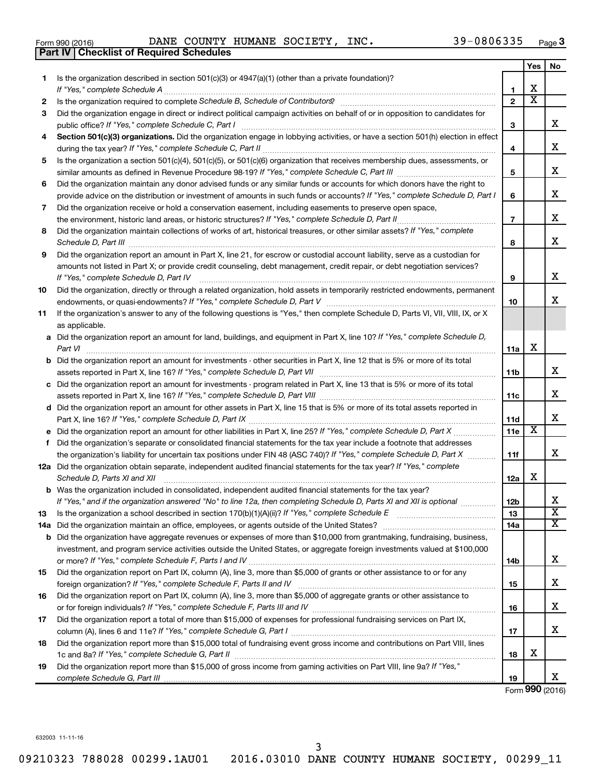| Form 990 (2016) |  |  |
|-----------------|--|--|

Form 990 (2016) Page DANE COUNTY HUMANE SOCIETY, INC. 39-0806335

|     | <b>Part IV   Checklist of Required Schedules</b>                                                                                                                                                                                    |                |                         |                              |
|-----|-------------------------------------------------------------------------------------------------------------------------------------------------------------------------------------------------------------------------------------|----------------|-------------------------|------------------------------|
|     |                                                                                                                                                                                                                                     |                | Yes                     | No                           |
| 1   | Is the organization described in section 501(c)(3) or 4947(a)(1) (other than a private foundation)?                                                                                                                                 |                |                         |                              |
|     |                                                                                                                                                                                                                                     | 1              | х                       |                              |
| 2   |                                                                                                                                                                                                                                     | $\mathbf{2}$   | $\overline{\textbf{x}}$ |                              |
| 3   | Did the organization engage in direct or indirect political campaign activities on behalf of or in opposition to candidates for                                                                                                     |                |                         |                              |
|     |                                                                                                                                                                                                                                     | 3              |                         | x                            |
| 4   | Section 501(c)(3) organizations. Did the organization engage in lobbying activities, or have a section 501(h) election in effect                                                                                                    |                |                         |                              |
|     |                                                                                                                                                                                                                                     | 4              |                         | x                            |
| 5   | Is the organization a section 501(c)(4), 501(c)(5), or 501(c)(6) organization that receives membership dues, assessments, or                                                                                                        |                |                         |                              |
|     |                                                                                                                                                                                                                                     | 5              |                         | x                            |
| 6   | Did the organization maintain any donor advised funds or any similar funds or accounts for which donors have the right to                                                                                                           |                |                         |                              |
|     | provide advice on the distribution or investment of amounts in such funds or accounts? If "Yes," complete Schedule D, Part I                                                                                                        | 6              |                         | X                            |
| 7   | Did the organization receive or hold a conservation easement, including easements to preserve open space,                                                                                                                           |                |                         |                              |
|     |                                                                                                                                                                                                                                     | $\overline{7}$ |                         | х                            |
| 8   | Did the organization maintain collections of works of art, historical treasures, or other similar assets? If "Yes," complete                                                                                                        |                |                         |                              |
|     | Schedule D, Part III <b>Marting Community</b> Construction of the Construction of the Construction of the Construction of the Construction of the Construction of the Construction of the Construction of the Construction of the C | 8              |                         | х                            |
| 9   | Did the organization report an amount in Part X, line 21, for escrow or custodial account liability, serve as a custodian for                                                                                                       |                |                         |                              |
|     | amounts not listed in Part X; or provide credit counseling, debt management, credit repair, or debt negotiation services?                                                                                                           |                |                         |                              |
|     | If "Yes," complete Schedule D, Part IV                                                                                                                                                                                              | 9              |                         | x                            |
| 10  | Did the organization, directly or through a related organization, hold assets in temporarily restricted endowments, permanent                                                                                                       |                |                         |                              |
|     |                                                                                                                                                                                                                                     | 10             |                         | x                            |
| 11  | If the organization's answer to any of the following questions is "Yes," then complete Schedule D, Parts VI, VII, VIII, IX, or X                                                                                                    |                |                         |                              |
|     | as applicable.                                                                                                                                                                                                                      |                |                         |                              |
|     | a Did the organization report an amount for land, buildings, and equipment in Part X, line 10? If "Yes," complete Schedule D,                                                                                                       |                |                         |                              |
|     |                                                                                                                                                                                                                                     | 11a            | X                       |                              |
|     | <b>b</b> Did the organization report an amount for investments - other securities in Part X, line 12 that is 5% or more of its total                                                                                                |                |                         |                              |
|     |                                                                                                                                                                                                                                     | 11b            |                         | x                            |
|     | c Did the organization report an amount for investments - program related in Part X, line 13 that is 5% or more of its total                                                                                                        |                |                         |                              |
|     |                                                                                                                                                                                                                                     | 11c            |                         | х                            |
|     | d Did the organization report an amount for other assets in Part X, line 15 that is 5% or more of its total assets reported in                                                                                                      |                |                         |                              |
|     |                                                                                                                                                                                                                                     | 11d            |                         | х                            |
|     |                                                                                                                                                                                                                                     | 11e            | х                       |                              |
|     | f Did the organization's separate or consolidated financial statements for the tax year include a footnote that addresses                                                                                                           |                |                         |                              |
|     | the organization's liability for uncertain tax positions under FIN 48 (ASC 740)? If "Yes," complete Schedule D, Part X                                                                                                              | 11f            |                         | X                            |
|     | 12a Did the organization obtain separate, independent audited financial statements for the tax year? If "Yes," complete                                                                                                             |                |                         |                              |
|     | Schedule D, Parts XI and XII                                                                                                                                                                                                        | 12a            | х                       |                              |
|     | <b>b</b> Was the organization included in consolidated, independent audited financial statements for the tax year?                                                                                                                  |                |                         |                              |
|     | If "Yes," and if the organization answered "No" to line 12a, then completing Schedule D, Parts XI and XII is optional                                                                                                               | 12b            |                         | х<br>$\overline{\mathbf{X}}$ |
| 13  |                                                                                                                                                                                                                                     | 13             |                         | X                            |
| 14a |                                                                                                                                                                                                                                     | 14a            |                         |                              |
|     | <b>b</b> Did the organization have aggregate revenues or expenses of more than \$10,000 from grantmaking, fundraising, business,                                                                                                    |                |                         |                              |
|     | investment, and program service activities outside the United States, or aggregate foreign investments valued at \$100,000                                                                                                          |                |                         | х                            |
|     |                                                                                                                                                                                                                                     | 14b            |                         |                              |
| 15  | Did the organization report on Part IX, column (A), line 3, more than \$5,000 of grants or other assistance to or for any                                                                                                           |                |                         | х                            |
|     |                                                                                                                                                                                                                                     | 15             |                         |                              |
| 16  | Did the organization report on Part IX, column (A), line 3, more than \$5,000 of aggregate grants or other assistance to                                                                                                            |                |                         | х                            |
|     |                                                                                                                                                                                                                                     | 16             |                         |                              |
| 17  | Did the organization report a total of more than \$15,000 of expenses for professional fundraising services on Part IX,                                                                                                             |                |                         | х                            |
| 18  | Did the organization report more than \$15,000 total of fundraising event gross income and contributions on Part VIII, lines                                                                                                        | 17             |                         |                              |
|     |                                                                                                                                                                                                                                     | 18             | х                       |                              |
| 19  | Did the organization report more than \$15,000 of gross income from gaming activities on Part VIII, line 9a? If "Yes,"                                                                                                              |                |                         |                              |
|     |                                                                                                                                                                                                                                     | 19             |                         | x                            |

Form (2016) **990**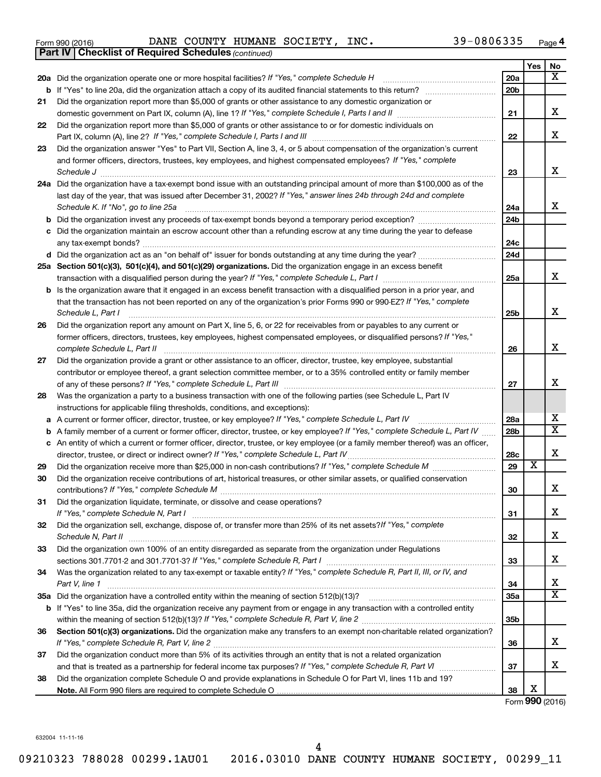|  | Form 990 (2016) |  |
|--|-----------------|--|
|  |                 |  |

*(continued)* **Part IV Checklist of Required Schedules**

Form 990 (2016) Page DANE COUNTY HUMANE SOCIETY, INC. 39-0806335

|    |                                                                                                                                                                                                                             |                 | Yes                     | No                           |
|----|-----------------------------------------------------------------------------------------------------------------------------------------------------------------------------------------------------------------------------|-----------------|-------------------------|------------------------------|
|    | 20a Did the organization operate one or more hospital facilities? If "Yes," complete Schedule H                                                                                                                             | 20a             |                         | x                            |
| b  |                                                                                                                                                                                                                             | 20 <sub>b</sub> |                         |                              |
| 21 | Did the organization report more than \$5,000 of grants or other assistance to any domestic organization or                                                                                                                 |                 |                         |                              |
|    |                                                                                                                                                                                                                             | 21              |                         | x                            |
| 22 | Did the organization report more than \$5,000 of grants or other assistance to or for domestic individuals on                                                                                                               | 22              |                         | X                            |
| 23 | Did the organization answer "Yes" to Part VII, Section A, line 3, 4, or 5 about compensation of the organization's current                                                                                                  |                 |                         |                              |
|    | and former officers, directors, trustees, key employees, and highest compensated employees? If "Yes," complete                                                                                                              |                 |                         |                              |
|    |                                                                                                                                                                                                                             | 23              |                         | х                            |
|    | 24a Did the organization have a tax-exempt bond issue with an outstanding principal amount of more than \$100,000 as of the                                                                                                 |                 |                         |                              |
|    | last day of the year, that was issued after December 31, 2002? If "Yes," answer lines 24b through 24d and complete                                                                                                          |                 |                         |                              |
|    | Schedule K. If "No", go to line 25a                                                                                                                                                                                         | 24a             |                         | x                            |
| b  |                                                                                                                                                                                                                             | 24 <sub>b</sub> |                         |                              |
|    | Did the organization maintain an escrow account other than a refunding escrow at any time during the year to defease                                                                                                        |                 |                         |                              |
|    |                                                                                                                                                                                                                             | 24c             |                         |                              |
|    |                                                                                                                                                                                                                             | 24d             |                         |                              |
|    | 25a Section 501(c)(3), 501(c)(4), and 501(c)(29) organizations. Did the organization engage in an excess benefit                                                                                                            |                 |                         |                              |
|    |                                                                                                                                                                                                                             | 25a             |                         | х                            |
| b  | Is the organization aware that it engaged in an excess benefit transaction with a disqualified person in a prior year, and                                                                                                  |                 |                         |                              |
|    | that the transaction has not been reported on any of the organization's prior Forms 990 or 990-EZ? If "Yes," complete                                                                                                       |                 |                         | х                            |
|    | Schedule L, Part I                                                                                                                                                                                                          | 25b             |                         |                              |
| 26 | Did the organization report any amount on Part X, line 5, 6, or 22 for receivables from or payables to any current or                                                                                                       |                 |                         |                              |
|    | former officers, directors, trustees, key employees, highest compensated employees, or disqualified persons? If "Yes,"<br>complete Schedule L, Part II                                                                      | 26              |                         | х                            |
| 27 | Did the organization provide a grant or other assistance to an officer, director, trustee, key employee, substantial                                                                                                        |                 |                         |                              |
|    | contributor or employee thereof, a grant selection committee member, or to a 35% controlled entity or family member                                                                                                         |                 |                         |                              |
|    |                                                                                                                                                                                                                             | 27              |                         | х                            |
| 28 | Was the organization a party to a business transaction with one of the following parties (see Schedule L, Part IV                                                                                                           |                 |                         |                              |
|    | instructions for applicable filing thresholds, conditions, and exceptions):                                                                                                                                                 |                 |                         |                              |
| а  | A current or former officer, director, trustee, or key employee? If "Yes," complete Schedule L, Part IV                                                                                                                     | 28a             |                         | х<br>$\overline{\textbf{X}}$ |
| b  | A family member of a current or former officer, director, trustee, or key employee? If "Yes," complete Schedule L, Part IV                                                                                                  | 28 <sub>b</sub> |                         |                              |
|    | c An entity of which a current or former officer, director, trustee, or key employee (or a family member thereof) was an officer,<br>director, trustee, or direct or indirect owner? If "Yes," complete Schedule L, Part IV |                 |                         | X                            |
| 29 |                                                                                                                                                                                                                             | 28c<br>29       | $\overline{\textbf{x}}$ |                              |
| 30 | Did the organization receive contributions of art, historical treasures, or other similar assets, or qualified conservation                                                                                                 |                 |                         |                              |
|    |                                                                                                                                                                                                                             | 30              |                         | x                            |
| 31 | Did the organization liquidate, terminate, or dissolve and cease operations?                                                                                                                                                |                 |                         |                              |
|    | If "Yes," complete Schedule N, Part I                                                                                                                                                                                       | 31              |                         | х                            |
| 32 | Did the organization sell, exchange, dispose of, or transfer more than 25% of its net assets? If "Yes," complete                                                                                                            |                 |                         |                              |
|    |                                                                                                                                                                                                                             | 32              |                         | х                            |
| 33 | Did the organization own 100% of an entity disregarded as separate from the organization under Regulations                                                                                                                  |                 |                         |                              |
|    |                                                                                                                                                                                                                             | 33              |                         | х                            |
| 34 | Was the organization related to any tax-exempt or taxable entity? If "Yes," complete Schedule R, Part II, III, or IV, and                                                                                                   |                 |                         |                              |
|    | Part V, line 1                                                                                                                                                                                                              | 34              |                         | х                            |
|    |                                                                                                                                                                                                                             | 35a             |                         | X                            |
|    | b If "Yes" to line 35a, did the organization receive any payment from or engage in any transaction with a controlled entity                                                                                                 |                 |                         |                              |
|    |                                                                                                                                                                                                                             | 35 <sub>b</sub> |                         |                              |
| 36 | Section 501(c)(3) organizations. Did the organization make any transfers to an exempt non-charitable related organization?                                                                                                  |                 |                         |                              |
|    |                                                                                                                                                                                                                             | 36              |                         | х                            |
| 37 | Did the organization conduct more than 5% of its activities through an entity that is not a related organization                                                                                                            |                 |                         | х                            |
|    |                                                                                                                                                                                                                             | 37              |                         |                              |
| 38 | Did the organization complete Schedule O and provide explanations in Schedule O for Part VI, lines 11b and 19?                                                                                                              | 38              | х                       |                              |
|    |                                                                                                                                                                                                                             |                 |                         |                              |

Form (2016) **990**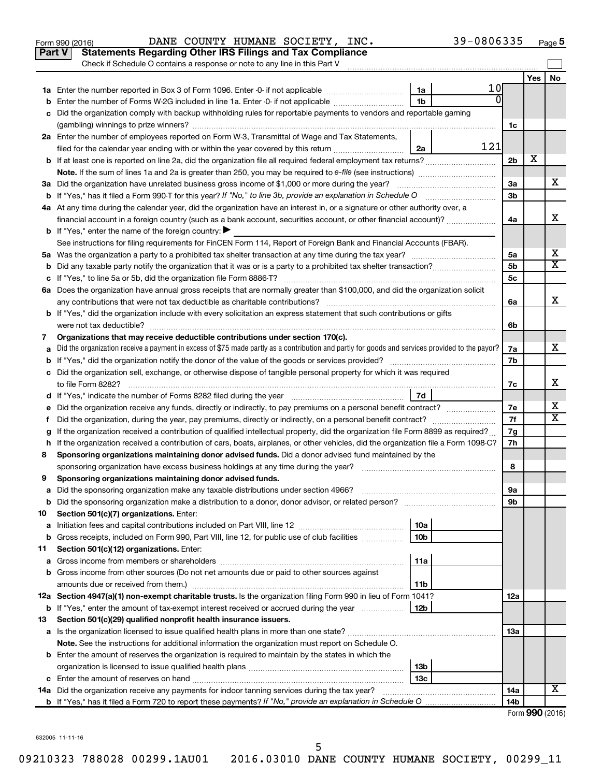| Yes<br>No.<br>10<br>1a<br>ΩI<br>1 <sub>b</sub><br>Enter the number of Forms W-2G included in line 1a. Enter -0- if not applicable<br>Did the organization comply with backup withholding rules for reportable payments to vendors and reportable gaming<br>1c<br>2a Enter the number of employees reported on Form W-3, Transmittal of Wage and Tax Statements,<br>121<br>filed for the calendar year ending with or within the year covered by this return <i>manumumumum</i><br>2a<br>х<br>2 <sub>b</sub><br>х<br>За<br>3 <sub>b</sub><br>4a At any time during the calendar year, did the organization have an interest in, or a signature or other authority over, a<br>x<br>financial account in a foreign country (such as a bank account, securities account, or other financial account)?<br>4a<br><b>b</b> If "Yes," enter the name of the foreign country: $\blacktriangleright$<br>See instructions for filing requirements for FinCEN Form 114, Report of Foreign Bank and Financial Accounts (FBAR).<br>х<br>5a<br>X<br>5b<br>5с<br>6a Does the organization have annual gross receipts that are normally greater than \$100,000, and did the organization solicit<br>x<br>6a<br><b>b</b> If "Yes," did the organization include with every solicitation an express statement that such contributions or gifts<br>6b<br>Organizations that may receive deductible contributions under section 170(c).<br>7<br>х<br>Did the organization receive a payment in excess of \$75 made partly as a contribution and partly for goods and services provided to the payor?<br>7a<br>7b<br>c Did the organization sell, exchange, or otherwise dispose of tangible personal property for which it was required<br>х<br>7с<br>7d<br>x<br>7е<br>X<br>7f<br>f.<br>If the organization received a contribution of qualified intellectual property, did the organization file Form 8899 as required?<br>7g<br>h If the organization received a contribution of cars, boats, airplanes, or other vehicles, did the organization file a Form 1098-C?<br>7h<br>Sponsoring organizations maintaining donor advised funds. Did a donor advised fund maintained by the<br>8<br>8<br>Sponsoring organizations maintaining donor advised funds.<br>9<br>9а<br>Did the sponsoring organization make a distribution to a donor, donor advisor, or related person?<br>9b<br>Section 501(c)(7) organizations. Enter:<br>10<br>10a<br>а<br>Gross receipts, included on Form 990, Part VIII, line 12, for public use of club facilities<br>10b<br>b<br>Section 501(c)(12) organizations. Enter:<br>11<br>11a<br>а<br>Gross income from other sources (Do not net amounts due or paid to other sources against<br>b<br>amounts due or received from them.)<br>11b<br>12a Section 4947(a)(1) non-exempt charitable trusts. Is the organization filing Form 990 in lieu of Form 1041?<br>12a<br>12b<br><b>b</b> If "Yes," enter the amount of tax-exempt interest received or accrued during the year<br>Section 501(c)(29) qualified nonprofit health insurance issuers.<br>13<br>13a<br>Note. See the instructions for additional information the organization must report on Schedule O.<br><b>b</b> Enter the amount of reserves the organization is required to maintain by the states in which the<br>13b<br>13c<br>c<br>х<br>14a Did the organization receive any payments for indoor tanning services during the tax year?<br>14a<br>14 <sub>b</sub> | Part V | <b>Statements Regarding Other IRS Filings and Tax Compliance</b><br>Check if Schedule O contains a response or note to any line in this Part V |  |  |
|--------------------------------------------------------------------------------------------------------------------------------------------------------------------------------------------------------------------------------------------------------------------------------------------------------------------------------------------------------------------------------------------------------------------------------------------------------------------------------------------------------------------------------------------------------------------------------------------------------------------------------------------------------------------------------------------------------------------------------------------------------------------------------------------------------------------------------------------------------------------------------------------------------------------------------------------------------------------------------------------------------------------------------------------------------------------------------------------------------------------------------------------------------------------------------------------------------------------------------------------------------------------------------------------------------------------------------------------------------------------------------------------------------------------------------------------------------------------------------------------------------------------------------------------------------------------------------------------------------------------------------------------------------------------------------------------------------------------------------------------------------------------------------------------------------------------------------------------------------------------------------------------------------------------------------------------------------------------------------------------------------------------------------------------------------------------------------------------------------------------------------------------------------------------------------------------------------------------------------------------------------------------------------------------------------------------------------------------------------------------------------------------------------------------------------------------------------------------------------------------------------------------------------------------------------------------------------------------------------------------------------------------------------------------------------------------------------------------------------------------------------------------------------------------------------------------------------------------------------------------------------------------------------------------------------------------------------------------------------------------------------------------------------------------------------------------------------------------------------------------------------------------------------------------------------------------------------------------------------------------------------------------------------------------------------------------------------------------------------------------------------------------------------------------------------------------|--------|------------------------------------------------------------------------------------------------------------------------------------------------|--|--|
|                                                                                                                                                                                                                                                                                                                                                                                                                                                                                                                                                                                                                                                                                                                                                                                                                                                                                                                                                                                                                                                                                                                                                                                                                                                                                                                                                                                                                                                                                                                                                                                                                                                                                                                                                                                                                                                                                                                                                                                                                                                                                                                                                                                                                                                                                                                                                                                                                                                                                                                                                                                                                                                                                                                                                                                                                                                                                                                                                                                                                                                                                                                                                                                                                                                                                                                                                                                                                                            |        |                                                                                                                                                |  |  |
|                                                                                                                                                                                                                                                                                                                                                                                                                                                                                                                                                                                                                                                                                                                                                                                                                                                                                                                                                                                                                                                                                                                                                                                                                                                                                                                                                                                                                                                                                                                                                                                                                                                                                                                                                                                                                                                                                                                                                                                                                                                                                                                                                                                                                                                                                                                                                                                                                                                                                                                                                                                                                                                                                                                                                                                                                                                                                                                                                                                                                                                                                                                                                                                                                                                                                                                                                                                                                                            |        |                                                                                                                                                |  |  |
|                                                                                                                                                                                                                                                                                                                                                                                                                                                                                                                                                                                                                                                                                                                                                                                                                                                                                                                                                                                                                                                                                                                                                                                                                                                                                                                                                                                                                                                                                                                                                                                                                                                                                                                                                                                                                                                                                                                                                                                                                                                                                                                                                                                                                                                                                                                                                                                                                                                                                                                                                                                                                                                                                                                                                                                                                                                                                                                                                                                                                                                                                                                                                                                                                                                                                                                                                                                                                                            |        |                                                                                                                                                |  |  |
| Form 990 (2016)                                                                                                                                                                                                                                                                                                                                                                                                                                                                                                                                                                                                                                                                                                                                                                                                                                                                                                                                                                                                                                                                                                                                                                                                                                                                                                                                                                                                                                                                                                                                                                                                                                                                                                                                                                                                                                                                                                                                                                                                                                                                                                                                                                                                                                                                                                                                                                                                                                                                                                                                                                                                                                                                                                                                                                                                                                                                                                                                                                                                                                                                                                                                                                                                                                                                                                                                                                                                                            |        |                                                                                                                                                |  |  |
|                                                                                                                                                                                                                                                                                                                                                                                                                                                                                                                                                                                                                                                                                                                                                                                                                                                                                                                                                                                                                                                                                                                                                                                                                                                                                                                                                                                                                                                                                                                                                                                                                                                                                                                                                                                                                                                                                                                                                                                                                                                                                                                                                                                                                                                                                                                                                                                                                                                                                                                                                                                                                                                                                                                                                                                                                                                                                                                                                                                                                                                                                                                                                                                                                                                                                                                                                                                                                                            |        |                                                                                                                                                |  |  |
|                                                                                                                                                                                                                                                                                                                                                                                                                                                                                                                                                                                                                                                                                                                                                                                                                                                                                                                                                                                                                                                                                                                                                                                                                                                                                                                                                                                                                                                                                                                                                                                                                                                                                                                                                                                                                                                                                                                                                                                                                                                                                                                                                                                                                                                                                                                                                                                                                                                                                                                                                                                                                                                                                                                                                                                                                                                                                                                                                                                                                                                                                                                                                                                                                                                                                                                                                                                                                                            |        |                                                                                                                                                |  |  |
|                                                                                                                                                                                                                                                                                                                                                                                                                                                                                                                                                                                                                                                                                                                                                                                                                                                                                                                                                                                                                                                                                                                                                                                                                                                                                                                                                                                                                                                                                                                                                                                                                                                                                                                                                                                                                                                                                                                                                                                                                                                                                                                                                                                                                                                                                                                                                                                                                                                                                                                                                                                                                                                                                                                                                                                                                                                                                                                                                                                                                                                                                                                                                                                                                                                                                                                                                                                                                                            |        |                                                                                                                                                |  |  |
|                                                                                                                                                                                                                                                                                                                                                                                                                                                                                                                                                                                                                                                                                                                                                                                                                                                                                                                                                                                                                                                                                                                                                                                                                                                                                                                                                                                                                                                                                                                                                                                                                                                                                                                                                                                                                                                                                                                                                                                                                                                                                                                                                                                                                                                                                                                                                                                                                                                                                                                                                                                                                                                                                                                                                                                                                                                                                                                                                                                                                                                                                                                                                                                                                                                                                                                                                                                                                                            |        |                                                                                                                                                |  |  |
|                                                                                                                                                                                                                                                                                                                                                                                                                                                                                                                                                                                                                                                                                                                                                                                                                                                                                                                                                                                                                                                                                                                                                                                                                                                                                                                                                                                                                                                                                                                                                                                                                                                                                                                                                                                                                                                                                                                                                                                                                                                                                                                                                                                                                                                                                                                                                                                                                                                                                                                                                                                                                                                                                                                                                                                                                                                                                                                                                                                                                                                                                                                                                                                                                                                                                                                                                                                                                                            |        |                                                                                                                                                |  |  |
|                                                                                                                                                                                                                                                                                                                                                                                                                                                                                                                                                                                                                                                                                                                                                                                                                                                                                                                                                                                                                                                                                                                                                                                                                                                                                                                                                                                                                                                                                                                                                                                                                                                                                                                                                                                                                                                                                                                                                                                                                                                                                                                                                                                                                                                                                                                                                                                                                                                                                                                                                                                                                                                                                                                                                                                                                                                                                                                                                                                                                                                                                                                                                                                                                                                                                                                                                                                                                                            |        |                                                                                                                                                |  |  |
|                                                                                                                                                                                                                                                                                                                                                                                                                                                                                                                                                                                                                                                                                                                                                                                                                                                                                                                                                                                                                                                                                                                                                                                                                                                                                                                                                                                                                                                                                                                                                                                                                                                                                                                                                                                                                                                                                                                                                                                                                                                                                                                                                                                                                                                                                                                                                                                                                                                                                                                                                                                                                                                                                                                                                                                                                                                                                                                                                                                                                                                                                                                                                                                                                                                                                                                                                                                                                                            |        |                                                                                                                                                |  |  |
|                                                                                                                                                                                                                                                                                                                                                                                                                                                                                                                                                                                                                                                                                                                                                                                                                                                                                                                                                                                                                                                                                                                                                                                                                                                                                                                                                                                                                                                                                                                                                                                                                                                                                                                                                                                                                                                                                                                                                                                                                                                                                                                                                                                                                                                                                                                                                                                                                                                                                                                                                                                                                                                                                                                                                                                                                                                                                                                                                                                                                                                                                                                                                                                                                                                                                                                                                                                                                                            |        |                                                                                                                                                |  |  |
|                                                                                                                                                                                                                                                                                                                                                                                                                                                                                                                                                                                                                                                                                                                                                                                                                                                                                                                                                                                                                                                                                                                                                                                                                                                                                                                                                                                                                                                                                                                                                                                                                                                                                                                                                                                                                                                                                                                                                                                                                                                                                                                                                                                                                                                                                                                                                                                                                                                                                                                                                                                                                                                                                                                                                                                                                                                                                                                                                                                                                                                                                                                                                                                                                                                                                                                                                                                                                                            |        |                                                                                                                                                |  |  |
|                                                                                                                                                                                                                                                                                                                                                                                                                                                                                                                                                                                                                                                                                                                                                                                                                                                                                                                                                                                                                                                                                                                                                                                                                                                                                                                                                                                                                                                                                                                                                                                                                                                                                                                                                                                                                                                                                                                                                                                                                                                                                                                                                                                                                                                                                                                                                                                                                                                                                                                                                                                                                                                                                                                                                                                                                                                                                                                                                                                                                                                                                                                                                                                                                                                                                                                                                                                                                                            |        |                                                                                                                                                |  |  |
|                                                                                                                                                                                                                                                                                                                                                                                                                                                                                                                                                                                                                                                                                                                                                                                                                                                                                                                                                                                                                                                                                                                                                                                                                                                                                                                                                                                                                                                                                                                                                                                                                                                                                                                                                                                                                                                                                                                                                                                                                                                                                                                                                                                                                                                                                                                                                                                                                                                                                                                                                                                                                                                                                                                                                                                                                                                                                                                                                                                                                                                                                                                                                                                                                                                                                                                                                                                                                                            |        |                                                                                                                                                |  |  |
|                                                                                                                                                                                                                                                                                                                                                                                                                                                                                                                                                                                                                                                                                                                                                                                                                                                                                                                                                                                                                                                                                                                                                                                                                                                                                                                                                                                                                                                                                                                                                                                                                                                                                                                                                                                                                                                                                                                                                                                                                                                                                                                                                                                                                                                                                                                                                                                                                                                                                                                                                                                                                                                                                                                                                                                                                                                                                                                                                                                                                                                                                                                                                                                                                                                                                                                                                                                                                                            |        |                                                                                                                                                |  |  |
|                                                                                                                                                                                                                                                                                                                                                                                                                                                                                                                                                                                                                                                                                                                                                                                                                                                                                                                                                                                                                                                                                                                                                                                                                                                                                                                                                                                                                                                                                                                                                                                                                                                                                                                                                                                                                                                                                                                                                                                                                                                                                                                                                                                                                                                                                                                                                                                                                                                                                                                                                                                                                                                                                                                                                                                                                                                                                                                                                                                                                                                                                                                                                                                                                                                                                                                                                                                                                                            |        |                                                                                                                                                |  |  |
|                                                                                                                                                                                                                                                                                                                                                                                                                                                                                                                                                                                                                                                                                                                                                                                                                                                                                                                                                                                                                                                                                                                                                                                                                                                                                                                                                                                                                                                                                                                                                                                                                                                                                                                                                                                                                                                                                                                                                                                                                                                                                                                                                                                                                                                                                                                                                                                                                                                                                                                                                                                                                                                                                                                                                                                                                                                                                                                                                                                                                                                                                                                                                                                                                                                                                                                                                                                                                                            |        |                                                                                                                                                |  |  |
|                                                                                                                                                                                                                                                                                                                                                                                                                                                                                                                                                                                                                                                                                                                                                                                                                                                                                                                                                                                                                                                                                                                                                                                                                                                                                                                                                                                                                                                                                                                                                                                                                                                                                                                                                                                                                                                                                                                                                                                                                                                                                                                                                                                                                                                                                                                                                                                                                                                                                                                                                                                                                                                                                                                                                                                                                                                                                                                                                                                                                                                                                                                                                                                                                                                                                                                                                                                                                                            |        |                                                                                                                                                |  |  |
|                                                                                                                                                                                                                                                                                                                                                                                                                                                                                                                                                                                                                                                                                                                                                                                                                                                                                                                                                                                                                                                                                                                                                                                                                                                                                                                                                                                                                                                                                                                                                                                                                                                                                                                                                                                                                                                                                                                                                                                                                                                                                                                                                                                                                                                                                                                                                                                                                                                                                                                                                                                                                                                                                                                                                                                                                                                                                                                                                                                                                                                                                                                                                                                                                                                                                                                                                                                                                                            |        |                                                                                                                                                |  |  |
|                                                                                                                                                                                                                                                                                                                                                                                                                                                                                                                                                                                                                                                                                                                                                                                                                                                                                                                                                                                                                                                                                                                                                                                                                                                                                                                                                                                                                                                                                                                                                                                                                                                                                                                                                                                                                                                                                                                                                                                                                                                                                                                                                                                                                                                                                                                                                                                                                                                                                                                                                                                                                                                                                                                                                                                                                                                                                                                                                                                                                                                                                                                                                                                                                                                                                                                                                                                                                                            |        |                                                                                                                                                |  |  |
|                                                                                                                                                                                                                                                                                                                                                                                                                                                                                                                                                                                                                                                                                                                                                                                                                                                                                                                                                                                                                                                                                                                                                                                                                                                                                                                                                                                                                                                                                                                                                                                                                                                                                                                                                                                                                                                                                                                                                                                                                                                                                                                                                                                                                                                                                                                                                                                                                                                                                                                                                                                                                                                                                                                                                                                                                                                                                                                                                                                                                                                                                                                                                                                                                                                                                                                                                                                                                                            |        |                                                                                                                                                |  |  |
|                                                                                                                                                                                                                                                                                                                                                                                                                                                                                                                                                                                                                                                                                                                                                                                                                                                                                                                                                                                                                                                                                                                                                                                                                                                                                                                                                                                                                                                                                                                                                                                                                                                                                                                                                                                                                                                                                                                                                                                                                                                                                                                                                                                                                                                                                                                                                                                                                                                                                                                                                                                                                                                                                                                                                                                                                                                                                                                                                                                                                                                                                                                                                                                                                                                                                                                                                                                                                                            |        |                                                                                                                                                |  |  |
|                                                                                                                                                                                                                                                                                                                                                                                                                                                                                                                                                                                                                                                                                                                                                                                                                                                                                                                                                                                                                                                                                                                                                                                                                                                                                                                                                                                                                                                                                                                                                                                                                                                                                                                                                                                                                                                                                                                                                                                                                                                                                                                                                                                                                                                                                                                                                                                                                                                                                                                                                                                                                                                                                                                                                                                                                                                                                                                                                                                                                                                                                                                                                                                                                                                                                                                                                                                                                                            |        |                                                                                                                                                |  |  |
|                                                                                                                                                                                                                                                                                                                                                                                                                                                                                                                                                                                                                                                                                                                                                                                                                                                                                                                                                                                                                                                                                                                                                                                                                                                                                                                                                                                                                                                                                                                                                                                                                                                                                                                                                                                                                                                                                                                                                                                                                                                                                                                                                                                                                                                                                                                                                                                                                                                                                                                                                                                                                                                                                                                                                                                                                                                                                                                                                                                                                                                                                                                                                                                                                                                                                                                                                                                                                                            |        |                                                                                                                                                |  |  |
|                                                                                                                                                                                                                                                                                                                                                                                                                                                                                                                                                                                                                                                                                                                                                                                                                                                                                                                                                                                                                                                                                                                                                                                                                                                                                                                                                                                                                                                                                                                                                                                                                                                                                                                                                                                                                                                                                                                                                                                                                                                                                                                                                                                                                                                                                                                                                                                                                                                                                                                                                                                                                                                                                                                                                                                                                                                                                                                                                                                                                                                                                                                                                                                                                                                                                                                                                                                                                                            |        |                                                                                                                                                |  |  |
|                                                                                                                                                                                                                                                                                                                                                                                                                                                                                                                                                                                                                                                                                                                                                                                                                                                                                                                                                                                                                                                                                                                                                                                                                                                                                                                                                                                                                                                                                                                                                                                                                                                                                                                                                                                                                                                                                                                                                                                                                                                                                                                                                                                                                                                                                                                                                                                                                                                                                                                                                                                                                                                                                                                                                                                                                                                                                                                                                                                                                                                                                                                                                                                                                                                                                                                                                                                                                                            |        |                                                                                                                                                |  |  |
|                                                                                                                                                                                                                                                                                                                                                                                                                                                                                                                                                                                                                                                                                                                                                                                                                                                                                                                                                                                                                                                                                                                                                                                                                                                                                                                                                                                                                                                                                                                                                                                                                                                                                                                                                                                                                                                                                                                                                                                                                                                                                                                                                                                                                                                                                                                                                                                                                                                                                                                                                                                                                                                                                                                                                                                                                                                                                                                                                                                                                                                                                                                                                                                                                                                                                                                                                                                                                                            |        |                                                                                                                                                |  |  |
|                                                                                                                                                                                                                                                                                                                                                                                                                                                                                                                                                                                                                                                                                                                                                                                                                                                                                                                                                                                                                                                                                                                                                                                                                                                                                                                                                                                                                                                                                                                                                                                                                                                                                                                                                                                                                                                                                                                                                                                                                                                                                                                                                                                                                                                                                                                                                                                                                                                                                                                                                                                                                                                                                                                                                                                                                                                                                                                                                                                                                                                                                                                                                                                                                                                                                                                                                                                                                                            |        |                                                                                                                                                |  |  |
|                                                                                                                                                                                                                                                                                                                                                                                                                                                                                                                                                                                                                                                                                                                                                                                                                                                                                                                                                                                                                                                                                                                                                                                                                                                                                                                                                                                                                                                                                                                                                                                                                                                                                                                                                                                                                                                                                                                                                                                                                                                                                                                                                                                                                                                                                                                                                                                                                                                                                                                                                                                                                                                                                                                                                                                                                                                                                                                                                                                                                                                                                                                                                                                                                                                                                                                                                                                                                                            |        |                                                                                                                                                |  |  |
|                                                                                                                                                                                                                                                                                                                                                                                                                                                                                                                                                                                                                                                                                                                                                                                                                                                                                                                                                                                                                                                                                                                                                                                                                                                                                                                                                                                                                                                                                                                                                                                                                                                                                                                                                                                                                                                                                                                                                                                                                                                                                                                                                                                                                                                                                                                                                                                                                                                                                                                                                                                                                                                                                                                                                                                                                                                                                                                                                                                                                                                                                                                                                                                                                                                                                                                                                                                                                                            |        |                                                                                                                                                |  |  |
|                                                                                                                                                                                                                                                                                                                                                                                                                                                                                                                                                                                                                                                                                                                                                                                                                                                                                                                                                                                                                                                                                                                                                                                                                                                                                                                                                                                                                                                                                                                                                                                                                                                                                                                                                                                                                                                                                                                                                                                                                                                                                                                                                                                                                                                                                                                                                                                                                                                                                                                                                                                                                                                                                                                                                                                                                                                                                                                                                                                                                                                                                                                                                                                                                                                                                                                                                                                                                                            |        |                                                                                                                                                |  |  |
|                                                                                                                                                                                                                                                                                                                                                                                                                                                                                                                                                                                                                                                                                                                                                                                                                                                                                                                                                                                                                                                                                                                                                                                                                                                                                                                                                                                                                                                                                                                                                                                                                                                                                                                                                                                                                                                                                                                                                                                                                                                                                                                                                                                                                                                                                                                                                                                                                                                                                                                                                                                                                                                                                                                                                                                                                                                                                                                                                                                                                                                                                                                                                                                                                                                                                                                                                                                                                                            |        |                                                                                                                                                |  |  |
|                                                                                                                                                                                                                                                                                                                                                                                                                                                                                                                                                                                                                                                                                                                                                                                                                                                                                                                                                                                                                                                                                                                                                                                                                                                                                                                                                                                                                                                                                                                                                                                                                                                                                                                                                                                                                                                                                                                                                                                                                                                                                                                                                                                                                                                                                                                                                                                                                                                                                                                                                                                                                                                                                                                                                                                                                                                                                                                                                                                                                                                                                                                                                                                                                                                                                                                                                                                                                                            |        |                                                                                                                                                |  |  |
|                                                                                                                                                                                                                                                                                                                                                                                                                                                                                                                                                                                                                                                                                                                                                                                                                                                                                                                                                                                                                                                                                                                                                                                                                                                                                                                                                                                                                                                                                                                                                                                                                                                                                                                                                                                                                                                                                                                                                                                                                                                                                                                                                                                                                                                                                                                                                                                                                                                                                                                                                                                                                                                                                                                                                                                                                                                                                                                                                                                                                                                                                                                                                                                                                                                                                                                                                                                                                                            |        |                                                                                                                                                |  |  |
|                                                                                                                                                                                                                                                                                                                                                                                                                                                                                                                                                                                                                                                                                                                                                                                                                                                                                                                                                                                                                                                                                                                                                                                                                                                                                                                                                                                                                                                                                                                                                                                                                                                                                                                                                                                                                                                                                                                                                                                                                                                                                                                                                                                                                                                                                                                                                                                                                                                                                                                                                                                                                                                                                                                                                                                                                                                                                                                                                                                                                                                                                                                                                                                                                                                                                                                                                                                                                                            |        |                                                                                                                                                |  |  |
|                                                                                                                                                                                                                                                                                                                                                                                                                                                                                                                                                                                                                                                                                                                                                                                                                                                                                                                                                                                                                                                                                                                                                                                                                                                                                                                                                                                                                                                                                                                                                                                                                                                                                                                                                                                                                                                                                                                                                                                                                                                                                                                                                                                                                                                                                                                                                                                                                                                                                                                                                                                                                                                                                                                                                                                                                                                                                                                                                                                                                                                                                                                                                                                                                                                                                                                                                                                                                                            |        |                                                                                                                                                |  |  |
|                                                                                                                                                                                                                                                                                                                                                                                                                                                                                                                                                                                                                                                                                                                                                                                                                                                                                                                                                                                                                                                                                                                                                                                                                                                                                                                                                                                                                                                                                                                                                                                                                                                                                                                                                                                                                                                                                                                                                                                                                                                                                                                                                                                                                                                                                                                                                                                                                                                                                                                                                                                                                                                                                                                                                                                                                                                                                                                                                                                                                                                                                                                                                                                                                                                                                                                                                                                                                                            |        |                                                                                                                                                |  |  |
|                                                                                                                                                                                                                                                                                                                                                                                                                                                                                                                                                                                                                                                                                                                                                                                                                                                                                                                                                                                                                                                                                                                                                                                                                                                                                                                                                                                                                                                                                                                                                                                                                                                                                                                                                                                                                                                                                                                                                                                                                                                                                                                                                                                                                                                                                                                                                                                                                                                                                                                                                                                                                                                                                                                                                                                                                                                                                                                                                                                                                                                                                                                                                                                                                                                                                                                                                                                                                                            |        |                                                                                                                                                |  |  |
|                                                                                                                                                                                                                                                                                                                                                                                                                                                                                                                                                                                                                                                                                                                                                                                                                                                                                                                                                                                                                                                                                                                                                                                                                                                                                                                                                                                                                                                                                                                                                                                                                                                                                                                                                                                                                                                                                                                                                                                                                                                                                                                                                                                                                                                                                                                                                                                                                                                                                                                                                                                                                                                                                                                                                                                                                                                                                                                                                                                                                                                                                                                                                                                                                                                                                                                                                                                                                                            |        |                                                                                                                                                |  |  |
|                                                                                                                                                                                                                                                                                                                                                                                                                                                                                                                                                                                                                                                                                                                                                                                                                                                                                                                                                                                                                                                                                                                                                                                                                                                                                                                                                                                                                                                                                                                                                                                                                                                                                                                                                                                                                                                                                                                                                                                                                                                                                                                                                                                                                                                                                                                                                                                                                                                                                                                                                                                                                                                                                                                                                                                                                                                                                                                                                                                                                                                                                                                                                                                                                                                                                                                                                                                                                                            |        |                                                                                                                                                |  |  |
|                                                                                                                                                                                                                                                                                                                                                                                                                                                                                                                                                                                                                                                                                                                                                                                                                                                                                                                                                                                                                                                                                                                                                                                                                                                                                                                                                                                                                                                                                                                                                                                                                                                                                                                                                                                                                                                                                                                                                                                                                                                                                                                                                                                                                                                                                                                                                                                                                                                                                                                                                                                                                                                                                                                                                                                                                                                                                                                                                                                                                                                                                                                                                                                                                                                                                                                                                                                                                                            |        |                                                                                                                                                |  |  |
|                                                                                                                                                                                                                                                                                                                                                                                                                                                                                                                                                                                                                                                                                                                                                                                                                                                                                                                                                                                                                                                                                                                                                                                                                                                                                                                                                                                                                                                                                                                                                                                                                                                                                                                                                                                                                                                                                                                                                                                                                                                                                                                                                                                                                                                                                                                                                                                                                                                                                                                                                                                                                                                                                                                                                                                                                                                                                                                                                                                                                                                                                                                                                                                                                                                                                                                                                                                                                                            |        |                                                                                                                                                |  |  |
|                                                                                                                                                                                                                                                                                                                                                                                                                                                                                                                                                                                                                                                                                                                                                                                                                                                                                                                                                                                                                                                                                                                                                                                                                                                                                                                                                                                                                                                                                                                                                                                                                                                                                                                                                                                                                                                                                                                                                                                                                                                                                                                                                                                                                                                                                                                                                                                                                                                                                                                                                                                                                                                                                                                                                                                                                                                                                                                                                                                                                                                                                                                                                                                                                                                                                                                                                                                                                                            |        |                                                                                                                                                |  |  |
|                                                                                                                                                                                                                                                                                                                                                                                                                                                                                                                                                                                                                                                                                                                                                                                                                                                                                                                                                                                                                                                                                                                                                                                                                                                                                                                                                                                                                                                                                                                                                                                                                                                                                                                                                                                                                                                                                                                                                                                                                                                                                                                                                                                                                                                                                                                                                                                                                                                                                                                                                                                                                                                                                                                                                                                                                                                                                                                                                                                                                                                                                                                                                                                                                                                                                                                                                                                                                                            |        |                                                                                                                                                |  |  |
|                                                                                                                                                                                                                                                                                                                                                                                                                                                                                                                                                                                                                                                                                                                                                                                                                                                                                                                                                                                                                                                                                                                                                                                                                                                                                                                                                                                                                                                                                                                                                                                                                                                                                                                                                                                                                                                                                                                                                                                                                                                                                                                                                                                                                                                                                                                                                                                                                                                                                                                                                                                                                                                                                                                                                                                                                                                                                                                                                                                                                                                                                                                                                                                                                                                                                                                                                                                                                                            |        |                                                                                                                                                |  |  |
|                                                                                                                                                                                                                                                                                                                                                                                                                                                                                                                                                                                                                                                                                                                                                                                                                                                                                                                                                                                                                                                                                                                                                                                                                                                                                                                                                                                                                                                                                                                                                                                                                                                                                                                                                                                                                                                                                                                                                                                                                                                                                                                                                                                                                                                                                                                                                                                                                                                                                                                                                                                                                                                                                                                                                                                                                                                                                                                                                                                                                                                                                                                                                                                                                                                                                                                                                                                                                                            |        |                                                                                                                                                |  |  |
|                                                                                                                                                                                                                                                                                                                                                                                                                                                                                                                                                                                                                                                                                                                                                                                                                                                                                                                                                                                                                                                                                                                                                                                                                                                                                                                                                                                                                                                                                                                                                                                                                                                                                                                                                                                                                                                                                                                                                                                                                                                                                                                                                                                                                                                                                                                                                                                                                                                                                                                                                                                                                                                                                                                                                                                                                                                                                                                                                                                                                                                                                                                                                                                                                                                                                                                                                                                                                                            |        |                                                                                                                                                |  |  |
|                                                                                                                                                                                                                                                                                                                                                                                                                                                                                                                                                                                                                                                                                                                                                                                                                                                                                                                                                                                                                                                                                                                                                                                                                                                                                                                                                                                                                                                                                                                                                                                                                                                                                                                                                                                                                                                                                                                                                                                                                                                                                                                                                                                                                                                                                                                                                                                                                                                                                                                                                                                                                                                                                                                                                                                                                                                                                                                                                                                                                                                                                                                                                                                                                                                                                                                                                                                                                                            |        |                                                                                                                                                |  |  |
|                                                                                                                                                                                                                                                                                                                                                                                                                                                                                                                                                                                                                                                                                                                                                                                                                                                                                                                                                                                                                                                                                                                                                                                                                                                                                                                                                                                                                                                                                                                                                                                                                                                                                                                                                                                                                                                                                                                                                                                                                                                                                                                                                                                                                                                                                                                                                                                                                                                                                                                                                                                                                                                                                                                                                                                                                                                                                                                                                                                                                                                                                                                                                                                                                                                                                                                                                                                                                                            |        |                                                                                                                                                |  |  |
|                                                                                                                                                                                                                                                                                                                                                                                                                                                                                                                                                                                                                                                                                                                                                                                                                                                                                                                                                                                                                                                                                                                                                                                                                                                                                                                                                                                                                                                                                                                                                                                                                                                                                                                                                                                                                                                                                                                                                                                                                                                                                                                                                                                                                                                                                                                                                                                                                                                                                                                                                                                                                                                                                                                                                                                                                                                                                                                                                                                                                                                                                                                                                                                                                                                                                                                                                                                                                                            |        |                                                                                                                                                |  |  |
|                                                                                                                                                                                                                                                                                                                                                                                                                                                                                                                                                                                                                                                                                                                                                                                                                                                                                                                                                                                                                                                                                                                                                                                                                                                                                                                                                                                                                                                                                                                                                                                                                                                                                                                                                                                                                                                                                                                                                                                                                                                                                                                                                                                                                                                                                                                                                                                                                                                                                                                                                                                                                                                                                                                                                                                                                                                                                                                                                                                                                                                                                                                                                                                                                                                                                                                                                                                                                                            |        |                                                                                                                                                |  |  |
|                                                                                                                                                                                                                                                                                                                                                                                                                                                                                                                                                                                                                                                                                                                                                                                                                                                                                                                                                                                                                                                                                                                                                                                                                                                                                                                                                                                                                                                                                                                                                                                                                                                                                                                                                                                                                                                                                                                                                                                                                                                                                                                                                                                                                                                                                                                                                                                                                                                                                                                                                                                                                                                                                                                                                                                                                                                                                                                                                                                                                                                                                                                                                                                                                                                                                                                                                                                                                                            |        |                                                                                                                                                |  |  |

Form 990 (2016) Page DANE COUNTY HUMANE SOCIETY, INC. 39-0806335

39-0806335 Page 5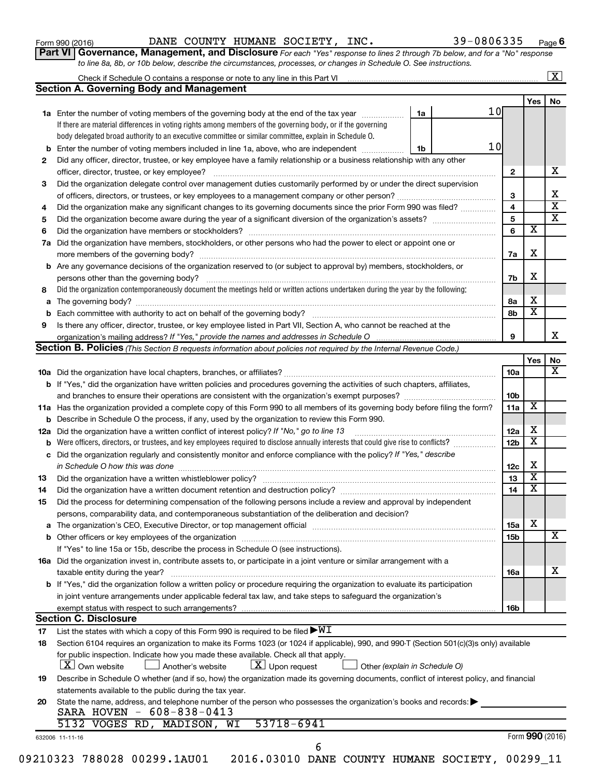Form 990 (2016) Page DANE COUNTY HUMANE SOCIETY, INC. 39-0806335

**Part VI** Governance, Management, and Disclosure For each "Yes" response to lines 2 through 7b below, and for a "No" response *to line 8a, 8b, or 10b below, describe the circumstances, processes, or changes in Schedule O. See instructions.*

|     | Check if Schedule O contains a response or note to any line in this Part VI [11] [11] [12] Check if Schedule O contains a response or note to any line in this Part VI                                                         |    |    |                 |                         | $\boxed{\text{X}}$      |
|-----|--------------------------------------------------------------------------------------------------------------------------------------------------------------------------------------------------------------------------------|----|----|-----------------|-------------------------|-------------------------|
|     | <b>Section A. Governing Body and Management</b>                                                                                                                                                                                |    |    |                 |                         |                         |
|     |                                                                                                                                                                                                                                |    |    |                 | Yes                     | No                      |
|     | 1a Enter the number of voting members of the governing body at the end of the tax year                                                                                                                                         | 1a | 10 |                 |                         |                         |
|     | If there are material differences in voting rights among members of the governing body, or if the governing                                                                                                                    |    |    |                 |                         |                         |
|     | body delegated broad authority to an executive committee or similar committee, explain in Schedule O.                                                                                                                          |    |    |                 |                         |                         |
| b   | Enter the number of voting members included in line 1a, above, who are independent                                                                                                                                             | 1b | 10 |                 |                         |                         |
| 2   | Did any officer, director, trustee, or key employee have a family relationship or a business relationship with any other                                                                                                       |    |    |                 |                         |                         |
|     | officer, director, trustee, or key employee?                                                                                                                                                                                   |    |    | $\mathbf{2}$    |                         | х                       |
| 3   | Did the organization delegate control over management duties customarily performed by or under the direct supervision                                                                                                          |    |    |                 |                         |                         |
|     |                                                                                                                                                                                                                                |    |    | 3               |                         | х                       |
| 4   | Did the organization make any significant changes to its governing documents since the prior Form 990 was filed?                                                                                                               |    |    | 4               |                         | $\overline{\mathbf{x}}$ |
| 5   |                                                                                                                                                                                                                                |    |    | 5               |                         | $\overline{\mathbf{x}}$ |
| 6   |                                                                                                                                                                                                                                |    |    | 6               | $\overline{\mathbf{x}}$ |                         |
| 7a  | Did the organization have members, stockholders, or other persons who had the power to elect or appoint one or                                                                                                                 |    |    |                 |                         |                         |
|     |                                                                                                                                                                                                                                |    |    | 7a              | X                       |                         |
| b   | Are any governance decisions of the organization reserved to (or subject to approval by) members, stockholders, or                                                                                                             |    |    |                 |                         |                         |
|     |                                                                                                                                                                                                                                |    |    | 7b              | х                       |                         |
| 8   | Did the organization contemporaneously document the meetings held or written actions undertaken during the year by the following:                                                                                              |    |    |                 |                         |                         |
|     |                                                                                                                                                                                                                                |    |    |                 | х                       |                         |
| а   |                                                                                                                                                                                                                                |    |    | 8a              | $\overline{\mathbf{x}}$ |                         |
|     |                                                                                                                                                                                                                                |    |    | 8b              |                         |                         |
| 9   | Is there any officer, director, trustee, or key employee listed in Part VII, Section A, who cannot be reached at the                                                                                                           |    |    |                 |                         | х                       |
|     |                                                                                                                                                                                                                                |    |    | 9               |                         |                         |
|     | Section B. Policies (This Section B requests information about policies not required by the Internal Revenue Code.)                                                                                                            |    |    |                 |                         |                         |
|     |                                                                                                                                                                                                                                |    |    |                 | Yes                     | No                      |
|     |                                                                                                                                                                                                                                |    |    | <b>10a</b>      |                         | х                       |
|     | <b>b</b> If "Yes," did the organization have written policies and procedures governing the activities of such chapters, affiliates,                                                                                            |    |    |                 |                         |                         |
|     |                                                                                                                                                                                                                                |    |    | 10b             |                         |                         |
|     | 11a Has the organization provided a complete copy of this Form 990 to all members of its governing body before filing the form?                                                                                                |    |    | 11a             | X                       |                         |
|     | Describe in Schedule O the process, if any, used by the organization to review this Form 990.                                                                                                                                  |    |    |                 |                         |                         |
| 12a | Did the organization have a written conflict of interest policy? If "No," go to line 13                                                                                                                                        |    |    | 12a             | х                       |                         |
|     | Were officers, directors, or trustees, and key employees required to disclose annually interests that could give rise to conflicts?                                                                                            |    |    | 12 <sub>b</sub> | $\overline{\textbf{x}}$ |                         |
| с   | Did the organization regularly and consistently monitor and enforce compliance with the policy? If "Yes," describe                                                                                                             |    |    |                 |                         |                         |
|     | in Schedule O how this was done manufactured and continuum and contact the was done manufactured and contact t                                                                                                                 |    |    | 12c             | х                       |                         |
| 13  |                                                                                                                                                                                                                                |    |    | 13              | $\overline{\textbf{x}}$ |                         |
| 14  |                                                                                                                                                                                                                                |    |    | 14              | $\overline{\textbf{x}}$ |                         |
| 15  | Did the process for determining compensation of the following persons include a review and approval by independent                                                                                                             |    |    |                 |                         |                         |
|     | persons, comparability data, and contemporaneous substantiation of the deliberation and decision?                                                                                                                              |    |    |                 |                         |                         |
| а   | The organization's CEO, Executive Director, or top management official [111] [12] manuscription and an intervention of the organization's CEO, Executive Director, or top management official [12] manuscription and an interv |    |    | 15a             | X                       |                         |
|     |                                                                                                                                                                                                                                |    |    | 15b             |                         | x                       |
|     | If "Yes" to line 15a or 15b, describe the process in Schedule O (see instructions).                                                                                                                                            |    |    |                 |                         |                         |
|     | 16a Did the organization invest in, contribute assets to, or participate in a joint venture or similar arrangement with a                                                                                                      |    |    |                 |                         |                         |
|     | taxable entity during the year?                                                                                                                                                                                                |    |    | 16a             |                         | x                       |
|     | b If "Yes," did the organization follow a written policy or procedure requiring the organization to evaluate its participation                                                                                                 |    |    |                 |                         |                         |
|     |                                                                                                                                                                                                                                |    |    |                 |                         |                         |
|     | in joint venture arrangements under applicable federal tax law, and take steps to safeguard the organization's                                                                                                                 |    |    |                 |                         |                         |
|     | exempt status with respect to such arrangements?                                                                                                                                                                               |    |    | 16b             |                         |                         |
|     | <b>Section C. Disclosure</b>                                                                                                                                                                                                   |    |    |                 |                         |                         |
| 17  | List the states with which a copy of this Form 990 is required to be filed $\blacktriangleright\texttt{WI}$                                                                                                                    |    |    |                 |                         |                         |
| 18  | Section 6104 requires an organization to make its Forms 1023 (or 1024 if applicable), 990, and 990-T (Section 501(c)(3)s only) available                                                                                       |    |    |                 |                         |                         |
|     | for public inspection. Indicate how you made these available. Check all that apply.                                                                                                                                            |    |    |                 |                         |                         |
|     | $\lfloor x \rfloor$ Upon request<br>  X   Own website<br>Another's website<br>Other (explain in Schedule O)                                                                                                                    |    |    |                 |                         |                         |
| 19  | Describe in Schedule O whether (and if so, how) the organization made its governing documents, conflict of interest policy, and financial                                                                                      |    |    |                 |                         |                         |
|     | statements available to the public during the tax year.                                                                                                                                                                        |    |    |                 |                         |                         |
| 20  | State the name, address, and telephone number of the person who possesses the organization's books and records:                                                                                                                |    |    |                 |                         |                         |
|     | SARA HOVEN - 608-838-0413                                                                                                                                                                                                      |    |    |                 |                         |                         |
|     | 53718-6941<br>5132 VOGES RD, MADISON,<br>WI                                                                                                                                                                                    |    |    |                 |                         |                         |
|     | 632006 11-11-16                                                                                                                                                                                                                |    |    |                 | Form 990 (2016)         |                         |
|     | 6                                                                                                                                                                                                                              |    |    |                 |                         |                         |
|     | 09210323 788028 00299.1AU01  2016.03010 DANE COUNTY HUMANE SOCIETY, 00299 11                                                                                                                                                   |    |    |                 |                         |                         |
|     |                                                                                                                                                                                                                                |    |    |                 |                         |                         |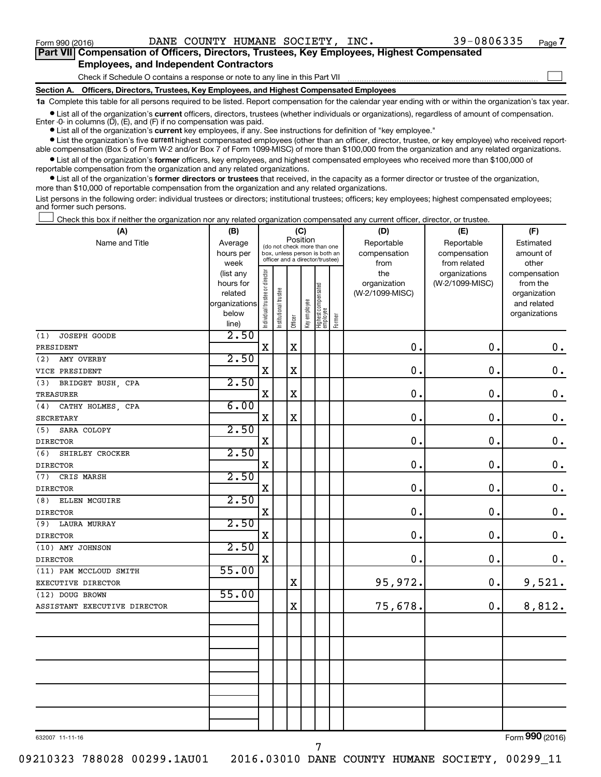$\Box$ 

| Part VII Compensation of Officers, Directors, Trustees, Key Employees, Highest Compensated |  |
|--------------------------------------------------------------------------------------------|--|
| <b>Employees, and Independent Contractors</b>                                              |  |

Check if Schedule O contains a response or note to any line in this Part VII

**Section A. Officers, Directors, Trustees, Key Employees, and Highest Compensated Employees**

**1a**  Complete this table for all persons required to be listed. Report compensation for the calendar year ending with or within the organization's tax year.

**•** List all of the organization's current officers, directors, trustees (whether individuals or organizations), regardless of amount of compensation. Enter -0- in columns  $(D)$ ,  $(E)$ , and  $(F)$  if no compensation was paid.

**•** List all of the organization's **current** key employees, if any. See instructions for definition of "key employee."

**•** List the organization's five current highest compensated employees (other than an officer, director, trustee, or key employee) who received reportable compensation (Box 5 of Form W-2 and/or Box 7 of Form 1099-MISC) of more than \$100,000 from the organization and any related organizations.

**•** List all of the organization's former officers, key employees, and highest compensated employees who received more than \$100,000 of reportable compensation from the organization and any related organizations.

**•** List all of the organization's former directors or trustees that received, in the capacity as a former director or trustee of the organization, more than \$10,000 of reportable compensation from the organization and any related organizations.

List persons in the following order: individual trustees or directors; institutional trustees; officers; key employees; highest compensated employees; and former such persons.

Check this box if neither the organization nor any related organization compensated any current officer, director, or trustee.  $\Box$ 

| (A)                          | (B)                      | (C)                                     |                       |             |              |                                                                  |        | (D)             | (E)             | (F)                         |
|------------------------------|--------------------------|-----------------------------------------|-----------------------|-------------|--------------|------------------------------------------------------------------|--------|-----------------|-----------------|-----------------------------|
| Name and Title               | Average                  | Position<br>(do not check more than one |                       |             |              |                                                                  |        | Reportable      | Reportable      | Estimated                   |
|                              | hours per                |                                         |                       |             |              | box, unless person is both an<br>officer and a director/trustee) |        | compensation    | compensation    | amount of                   |
|                              | week                     |                                         |                       |             |              |                                                                  |        | from            | from related    | other                       |
|                              | (list any                |                                         |                       |             |              |                                                                  |        | the             | organizations   | compensation                |
|                              | hours for                |                                         |                       |             |              |                                                                  |        | organization    | (W-2/1099-MISC) | from the                    |
|                              | related<br>organizations |                                         |                       |             |              |                                                                  |        | (W-2/1099-MISC) |                 | organization<br>and related |
|                              | below                    |                                         |                       |             |              |                                                                  |        |                 |                 | organizations               |
|                              | line)                    | Individual trustee or director          | Institutional trustee | Officer     | Key employee | Highest compensated<br>employee                                  | Former |                 |                 |                             |
| JOSEPH GOODE<br>(1)          | 2.50                     |                                         |                       |             |              |                                                                  |        |                 |                 |                             |
| PRESIDENT                    |                          | $\mathbf X$                             |                       | $\mathbf X$ |              |                                                                  |        | $\mathbf 0$ .   | 0.              | $\mathbf 0$ .               |
| AMY OVERBY<br>(2)            | 2.50                     |                                         |                       |             |              |                                                                  |        |                 |                 |                             |
| VICE PRESIDENT               |                          | $\mathbf X$                             |                       | $\mathbf X$ |              |                                                                  |        | $\mathbf 0$ .   | $\mathbf 0$ .   | $\mathbf 0$ .               |
| (3)<br>BRIDGET BUSH, CPA     | 2.50                     |                                         |                       |             |              |                                                                  |        |                 |                 |                             |
| <b>TREASURER</b>             |                          | $\mathbf X$                             |                       | $\mathbf X$ |              |                                                                  |        | $\mathbf 0$ .   | $\mathbf 0$ .   | $\mathbf 0$ .               |
| CATHY HOLMES, CPA<br>(4)     | 6.00                     |                                         |                       |             |              |                                                                  |        |                 |                 |                             |
| <b>SECRETARY</b>             |                          | $\mathbf X$                             |                       | $\mathbf x$ |              |                                                                  |        | 0.              | $\mathbf 0$ .   | $\mathbf 0$ .               |
| (5)<br>SARA COLOPY           | 2.50                     |                                         |                       |             |              |                                                                  |        |                 |                 |                             |
| <b>DIRECTOR</b>              |                          | X                                       |                       |             |              |                                                                  |        | $\mathbf 0$ .   | $\mathbf 0$ .   | $\mathbf 0$ .               |
| SHIRLEY CROCKER<br>(6)       | 2.50                     |                                         |                       |             |              |                                                                  |        |                 |                 |                             |
| <b>DIRECTOR</b>              |                          | X                                       |                       |             |              |                                                                  |        | 0.              | $\mathbf 0$ .   | $\mathbf 0$ .               |
| CRIS MARSH<br>(7)            | 2.50                     |                                         |                       |             |              |                                                                  |        |                 |                 |                             |
| <b>DIRECTOR</b>              |                          | X                                       |                       |             |              |                                                                  |        | $\mathbf 0$ .   | 0.              | $\mathbf 0$ .               |
| ELLEN MCGUIRE<br>(8)         | 2.50                     |                                         |                       |             |              |                                                                  |        |                 |                 |                             |
| <b>DIRECTOR</b>              |                          | $\mathbf X$                             |                       |             |              |                                                                  |        | 0.              | 0.              | $\boldsymbol{0}$ .          |
| <b>LAURA MURRAY</b><br>(9)   | 2.50                     |                                         |                       |             |              |                                                                  |        |                 |                 |                             |
| <b>DIRECTOR</b>              |                          | X                                       |                       |             |              |                                                                  |        | $\mathbf 0$ .   | 0.              | $\boldsymbol{0}$ .          |
| (10) AMY JOHNSON             | 2.50                     |                                         |                       |             |              |                                                                  |        |                 |                 |                             |
| <b>DIRECTOR</b>              |                          | $\mathbf X$                             |                       |             |              |                                                                  |        | 0.              | 0.              | 0.                          |
| (11) PAM MCCLOUD SMITH       | 55.00                    |                                         |                       |             |              |                                                                  |        |                 |                 |                             |
| EXECUTIVE DIRECTOR           |                          |                                         |                       | X           |              |                                                                  |        | 95,972.         | 0.              | 9,521.                      |
| (12) DOUG BROWN              | 55.00                    |                                         |                       |             |              |                                                                  |        |                 |                 |                             |
| ASSISTANT EXECUTIVE DIRECTOR |                          |                                         |                       | $\mathbf X$ |              |                                                                  |        | 75,678.         | 0.              | 8,812.                      |
|                              |                          |                                         |                       |             |              |                                                                  |        |                 |                 |                             |
|                              |                          |                                         |                       |             |              |                                                                  |        |                 |                 |                             |
|                              |                          |                                         |                       |             |              |                                                                  |        |                 |                 |                             |
|                              |                          |                                         |                       |             |              |                                                                  |        |                 |                 |                             |
|                              |                          |                                         |                       |             |              |                                                                  |        |                 |                 |                             |
|                              |                          |                                         |                       |             |              |                                                                  |        |                 |                 |                             |
|                              |                          |                                         |                       |             |              |                                                                  |        |                 |                 |                             |
|                              |                          |                                         |                       |             |              |                                                                  |        |                 |                 |                             |
|                              |                          |                                         |                       |             |              |                                                                  |        |                 |                 |                             |
|                              |                          |                                         |                       |             |              |                                                                  |        |                 |                 | $000 \times 10$<br>$\sim$   |

632007 11-11-16

7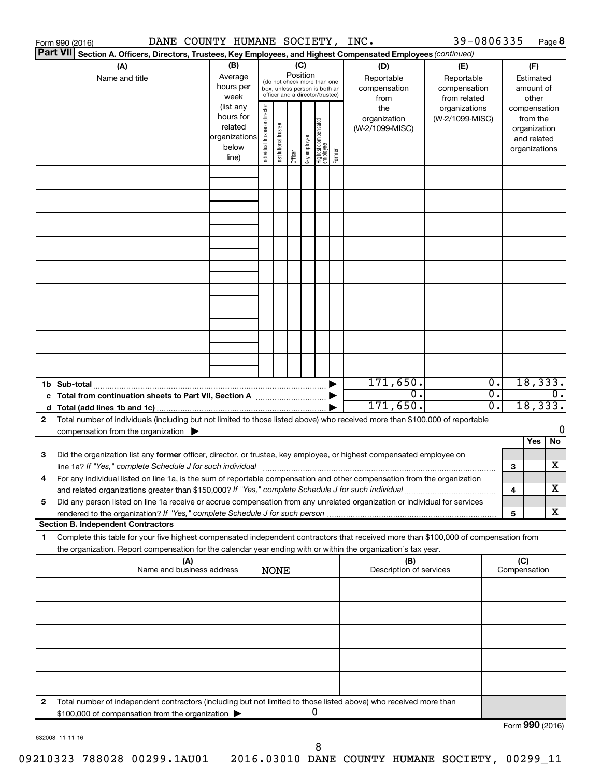|                 | DANE COUNTY HUMANE SOCIETY, INC.<br>Form 990 (2016)                                                                                  |                          |                                |                       |          |              |                                                              |        |                         | 39-0806335      |                  |              | Page 8           |
|-----------------|--------------------------------------------------------------------------------------------------------------------------------------|--------------------------|--------------------------------|-----------------------|----------|--------------|--------------------------------------------------------------|--------|-------------------------|-----------------|------------------|--------------|------------------|
| <b>Part VII</b> | Section A. Officers, Directors, Trustees, Key Employees, and Highest Compensated Employees (continued)                               |                          |                                |                       |          |              |                                                              |        |                         |                 |                  |              |                  |
|                 | (A)                                                                                                                                  | (B)                      |                                |                       | (C)      |              |                                                              |        | (D)                     | (E)             |                  |              | (F)              |
|                 | Name and title                                                                                                                       | Average                  |                                |                       | Position |              |                                                              |        | Reportable              | Reportable      |                  |              | Estimated        |
|                 |                                                                                                                                      | hours per                |                                |                       |          |              | (do not check more than one<br>box, unless person is both an |        | compensation            | compensation    |                  |              | amount of        |
|                 |                                                                                                                                      | week                     |                                |                       |          |              | officer and a director/trustee)                              |        | from                    | from related    |                  |              | other            |
|                 |                                                                                                                                      | (list any                |                                |                       |          |              |                                                              |        | the                     | organizations   |                  |              | compensation     |
|                 |                                                                                                                                      | hours for                |                                |                       |          |              |                                                              |        | organization            | (W-2/1099-MISC) |                  |              | from the         |
|                 |                                                                                                                                      | related<br>organizations |                                |                       |          |              |                                                              |        | (W-2/1099-MISC)         |                 |                  |              | organization     |
|                 |                                                                                                                                      | below                    |                                |                       |          |              |                                                              |        |                         |                 |                  |              | and related      |
|                 |                                                                                                                                      | line)                    | Individual trustee or director | Institutional trustee | Officer  | Key employee | Highest compensated<br>  employee                            | Former |                         |                 |                  |              | organizations    |
|                 |                                                                                                                                      |                          |                                |                       |          |              |                                                              |        |                         |                 |                  |              |                  |
|                 |                                                                                                                                      |                          |                                |                       |          |              |                                                              |        |                         |                 |                  |              |                  |
|                 |                                                                                                                                      |                          |                                |                       |          |              |                                                              |        |                         |                 |                  |              |                  |
|                 |                                                                                                                                      |                          |                                |                       |          |              |                                                              |        |                         |                 |                  |              |                  |
|                 |                                                                                                                                      |                          |                                |                       |          |              |                                                              |        |                         |                 |                  |              |                  |
|                 |                                                                                                                                      |                          |                                |                       |          |              |                                                              |        |                         |                 |                  |              |                  |
|                 |                                                                                                                                      |                          |                                |                       |          |              |                                                              |        |                         |                 |                  |              |                  |
|                 |                                                                                                                                      |                          |                                |                       |          |              |                                                              |        |                         |                 |                  |              |                  |
|                 |                                                                                                                                      |                          |                                |                       |          |              |                                                              |        |                         |                 |                  |              |                  |
|                 |                                                                                                                                      |                          |                                |                       |          |              |                                                              |        |                         |                 |                  |              |                  |
|                 |                                                                                                                                      |                          |                                |                       |          |              |                                                              |        |                         |                 |                  |              |                  |
|                 |                                                                                                                                      |                          |                                |                       |          |              |                                                              |        |                         |                 |                  |              |                  |
|                 |                                                                                                                                      |                          |                                |                       |          |              |                                                              |        |                         |                 |                  |              |                  |
|                 |                                                                                                                                      |                          |                                |                       |          |              |                                                              |        |                         |                 |                  |              |                  |
|                 |                                                                                                                                      |                          |                                |                       |          |              |                                                              |        |                         |                 |                  |              |                  |
|                 |                                                                                                                                      |                          |                                |                       |          |              |                                                              |        |                         |                 |                  |              |                  |
|                 |                                                                                                                                      |                          |                                |                       |          |              |                                                              |        |                         |                 |                  |              |                  |
|                 |                                                                                                                                      |                          |                                |                       |          |              |                                                              |        |                         |                 |                  |              |                  |
|                 |                                                                                                                                      |                          |                                |                       |          |              |                                                              |        | 171,650.                |                 | Ο.               |              | 18,333.          |
|                 | 1b Sub-total                                                                                                                         |                          |                                |                       |          |              |                                                              |        | $\overline{0}$ .        |                 | $\overline{0}$ . |              | $\overline{0}$ . |
|                 |                                                                                                                                      |                          |                                |                       |          |              |                                                              |        | 171,650.                |                 | 0.               |              | 18,333.          |
| 2               | Total number of individuals (including but not limited to those listed above) who received more than \$100,000 of reportable         |                          |                                |                       |          |              |                                                              |        |                         |                 |                  |              |                  |
|                 |                                                                                                                                      |                          |                                |                       |          |              |                                                              |        |                         |                 |                  |              | 0                |
|                 | compensation from the organization $\blacktriangleright$                                                                             |                          |                                |                       |          |              |                                                              |        |                         |                 |                  |              | Yes<br>No        |
| 3               | Did the organization list any former officer, director, or trustee, key employee, or highest compensated employee on                 |                          |                                |                       |          |              |                                                              |        |                         |                 |                  |              |                  |
|                 |                                                                                                                                      |                          |                                |                       |          |              |                                                              |        |                         |                 |                  | 3            | х                |
|                 | For any individual listed on line 1a, is the sum of reportable compensation and other compensation from the organization             |                          |                                |                       |          |              |                                                              |        |                         |                 |                  |              |                  |
|                 | and related organizations greater than \$150,000? If "Yes," complete Schedule J for such individual                                  |                          |                                |                       |          |              |                                                              |        |                         |                 |                  | 4            | х                |
| 5               | Did any person listed on line 1a receive or accrue compensation from any unrelated organization or individual for services           |                          |                                |                       |          |              |                                                              |        |                         |                 |                  |              |                  |
|                 |                                                                                                                                      |                          |                                |                       |          |              |                                                              |        |                         |                 |                  | 5            | х                |
|                 | <b>Section B. Independent Contractors</b>                                                                                            |                          |                                |                       |          |              |                                                              |        |                         |                 |                  |              |                  |
| 1.              | Complete this table for your five highest compensated independent contractors that received more than \$100,000 of compensation from |                          |                                |                       |          |              |                                                              |        |                         |                 |                  |              |                  |
|                 | the organization. Report compensation for the calendar year ending with or within the organization's tax year.                       |                          |                                |                       |          |              |                                                              |        |                         |                 |                  |              |                  |
|                 | (A)                                                                                                                                  |                          |                                |                       |          |              |                                                              |        | (B)                     |                 |                  | (C)          |                  |
|                 | Name and business address                                                                                                            |                          |                                | <b>NONE</b>           |          |              |                                                              |        | Description of services |                 |                  | Compensation |                  |
|                 |                                                                                                                                      |                          |                                |                       |          |              |                                                              |        |                         |                 |                  |              |                  |
|                 |                                                                                                                                      |                          |                                |                       |          |              |                                                              |        |                         |                 |                  |              |                  |
|                 |                                                                                                                                      |                          |                                |                       |          |              |                                                              |        |                         |                 |                  |              |                  |
|                 |                                                                                                                                      |                          |                                |                       |          |              |                                                              |        |                         |                 |                  |              |                  |
|                 |                                                                                                                                      |                          |                                |                       |          |              |                                                              |        |                         |                 |                  |              |                  |
|                 |                                                                                                                                      |                          |                                |                       |          |              |                                                              |        |                         |                 |                  |              |                  |
|                 |                                                                                                                                      |                          |                                |                       |          |              |                                                              |        |                         |                 |                  |              |                  |
|                 |                                                                                                                                      |                          |                                |                       |          |              |                                                              |        |                         |                 |                  |              |                  |
|                 |                                                                                                                                      |                          |                                |                       |          |              |                                                              |        |                         |                 |                  |              |                  |
|                 |                                                                                                                                      |                          |                                |                       |          |              |                                                              |        |                         |                 |                  |              |                  |
| 2               | Total number of independent contractors (including but not limited to those listed above) who received more than                     |                          |                                |                       |          |              |                                                              |        |                         |                 |                  |              |                  |
|                 | \$100,000 of compensation from the organization                                                                                      |                          |                                |                       |          |              | 0                                                            |        |                         |                 |                  |              |                  |
|                 |                                                                                                                                      |                          |                                |                       |          |              |                                                              |        |                         |                 |                  |              | Form 990 (2016)  |

632008 11-11-16

8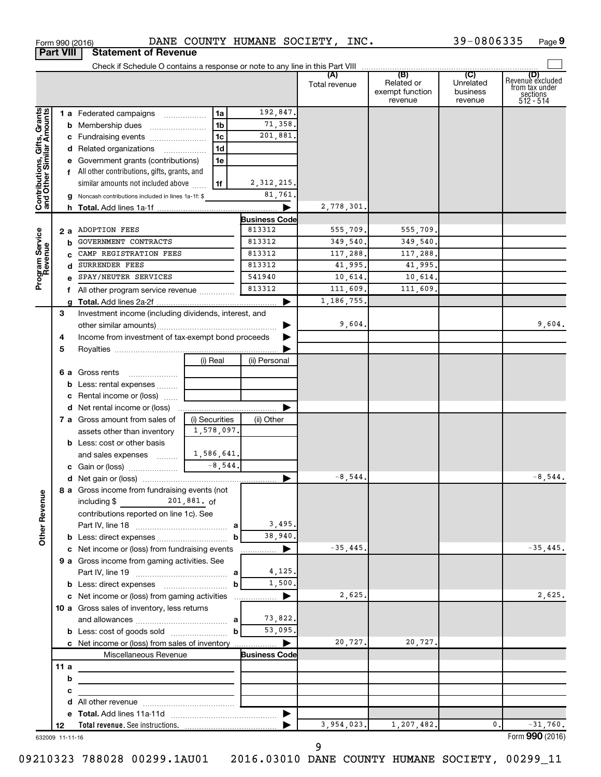|                              |                 |                                                             |                |        |                      | Total revenue | (B)<br>Related or<br>exempt function<br>revenue | (C)<br>Unrelated<br>business<br>revenue | (D)<br>Revenue excluded<br>from tax under<br>sections<br>512 - 514 |
|------------------------------|-----------------|-------------------------------------------------------------|----------------|--------|----------------------|---------------|-------------------------------------------------|-----------------------------------------|--------------------------------------------------------------------|
|                              |                 | 1 a Federated campaigns                                     | 1a             |        | 192,847.             |               |                                                 |                                         |                                                                    |
| Contributions, Gifts, Grants |                 | <b>b</b> Membership dues                                    | 1 <sub>b</sub> |        | 71,358.              |               |                                                 |                                         |                                                                    |
|                              |                 | c Fundraising events                                        | 1c             |        | 201,881.             |               |                                                 |                                         |                                                                    |
|                              |                 | d Related organizations                                     | 1d             |        |                      |               |                                                 |                                         |                                                                    |
|                              |                 | e Government grants (contributions)                         | 1e             |        |                      |               |                                                 |                                         |                                                                    |
|                              |                 | f All other contributions, gifts, grants, and               |                |        |                      |               |                                                 |                                         |                                                                    |
|                              |                 | similar amounts not included above                          | 1f             |        | 2, 312, 215.         |               |                                                 |                                         |                                                                    |
|                              |                 | g Noncash contributions included in lines 1a-1f: \$         |                |        | 81,761               |               |                                                 |                                         |                                                                    |
|                              |                 |                                                             |                |        |                      | 2,778,301.    |                                                 |                                         |                                                                    |
|                              |                 |                                                             |                |        | <b>Business Code</b> |               |                                                 |                                         |                                                                    |
|                              |                 | 2 a ADOPTION FEES                                           |                |        | 813312               | 555,709.      | 555,709.                                        |                                         |                                                                    |
|                              | b               | GOVERNMENT CONTRACTS                                        |                |        | 813312               | 349,540.      | 349,540.                                        |                                         |                                                                    |
|                              |                 | CAMP REGISTRATION FEES                                      |                |        | 813312               | 117,288.      | 117,288.                                        |                                         |                                                                    |
|                              | d               | SURRENDER FEES                                              |                | 813312 | 41,995.              | 41,995.       |                                                 |                                         |                                                                    |
| Program Service<br>Revenue   |                 | SPAY/NEUTER SERVICES                                        |                |        | 541940               | 10,614.       | 10,614.                                         |                                         |                                                                    |
|                              |                 | f All other program service revenue                         |                |        | 813312               | 111,609.      | 111,609.                                        |                                         |                                                                    |
|                              |                 |                                                             |                |        |                      | 1, 186, 755.  |                                                 |                                         |                                                                    |
|                              | 3               | Investment income (including dividends, interest, and       |                |        |                      |               |                                                 |                                         |                                                                    |
|                              |                 |                                                             |                |        |                      | 9,604.        |                                                 |                                         | 9,604.                                                             |
|                              | 4               | Income from investment of tax-exempt bond proceeds          |                |        |                      |               |                                                 |                                         |                                                                    |
|                              | 5               |                                                             |                |        |                      |               |                                                 |                                         |                                                                    |
|                              |                 |                                                             | (i) Real       |        | (ii) Personal        |               |                                                 |                                         |                                                                    |
|                              |                 | 6 a Gross rents                                             |                |        |                      |               |                                                 |                                         |                                                                    |
|                              |                 | <b>b</b> Less: rental expenses                              |                |        |                      |               |                                                 |                                         |                                                                    |
|                              |                 | <b>c</b> Rental income or (loss)                            |                |        |                      |               |                                                 |                                         |                                                                    |
|                              |                 |                                                             |                |        |                      |               |                                                 |                                         |                                                                    |
|                              |                 | 7 a Gross amount from sales of                              | (i) Securities |        | (ii) Other           |               |                                                 |                                         |                                                                    |
|                              |                 | assets other than inventory                                 | 1,578,097.     |        |                      |               |                                                 |                                         |                                                                    |
|                              |                 | <b>b</b> Less: cost or other basis                          | 1,586,641.     |        |                      |               |                                                 |                                         |                                                                    |
|                              |                 | and sales expenses                                          | $-8,544$ .     |        |                      |               |                                                 |                                         |                                                                    |
|                              |                 |                                                             |                |        |                      | $-8,544.$     |                                                 |                                         | $-8,544.$                                                          |
|                              |                 | 8 a Gross income from fundraising events (not               |                |        |                      |               |                                                 |                                         |                                                                    |
| g                            |                 |                                                             |                |        |                      |               |                                                 |                                         |                                                                    |
| Other Rever                  |                 | contributions reported on line 1c). See                     |                |        |                      |               |                                                 |                                         |                                                                    |
|                              |                 |                                                             |                |        | 3,495.               |               |                                                 |                                         |                                                                    |
|                              |                 |                                                             |                | b      | 38,940.              |               |                                                 |                                         |                                                                    |
|                              |                 | c Net income or (loss) from fundraising events              |                |        | ▶                    | $-35,445.$    |                                                 |                                         | $-35,445.$                                                         |
|                              |                 | 9 a Gross income from gaming activities. See                |                |        |                      |               |                                                 |                                         |                                                                    |
|                              |                 |                                                             |                |        | 4,125.               |               |                                                 |                                         |                                                                    |
|                              |                 |                                                             |                | b      | 1,500,               |               |                                                 |                                         |                                                                    |
|                              |                 | c Net income or (loss) from gaming activities               |                |        | ▶                    | 2,625.        |                                                 |                                         | 2,625.                                                             |
|                              |                 | 10 a Gross sales of inventory, less returns                 |                |        |                      |               |                                                 |                                         |                                                                    |
|                              |                 |                                                             |                |        | 73,822.              |               |                                                 |                                         |                                                                    |
|                              |                 |                                                             |                |        | 53,095.              |               |                                                 |                                         |                                                                    |
|                              |                 | c Net income or (loss) from sales of inventory              |                |        | ▶                    | 20,727.       | 20,727.                                         |                                         |                                                                    |
|                              |                 | Miscellaneous Revenue                                       |                |        | <b>Business Code</b> |               |                                                 |                                         |                                                                    |
|                              | 11a             | the control of the control of the control of the control of |                |        |                      |               |                                                 |                                         |                                                                    |
|                              | b               |                                                             |                |        |                      |               |                                                 |                                         |                                                                    |
|                              | с               |                                                             |                |        |                      |               |                                                 |                                         |                                                                    |
|                              |                 |                                                             |                |        |                      |               |                                                 |                                         |                                                                    |
|                              |                 |                                                             |                |        |                      |               |                                                 |                                         |                                                                    |
|                              | 12              |                                                             |                |        |                      | 3,954,023.    | 1,207,482.                                      |                                         | $-31,760.$<br>0.                                                   |
|                              | 632009 11-11-16 |                                                             |                |        |                      |               |                                                 |                                         | Form 990 (2016)                                                    |

632009 11-11-16

**Part VIII Statement of Revenue**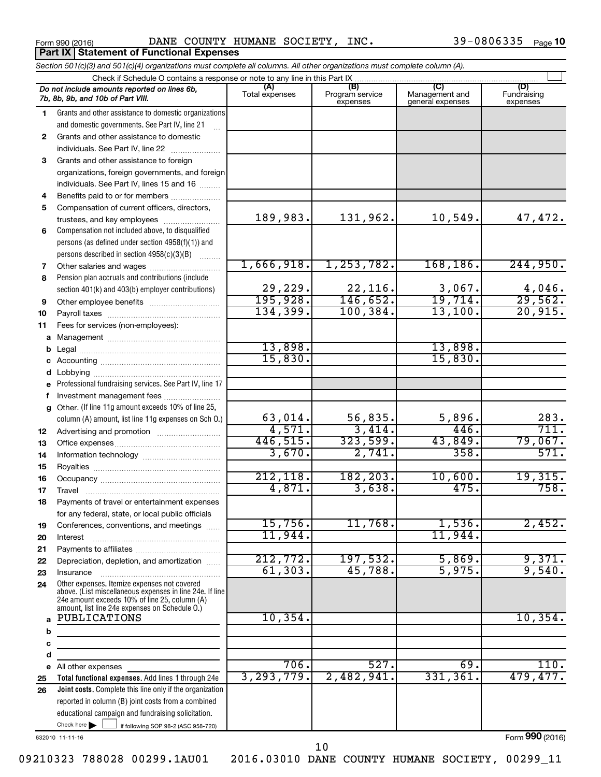**Part IX Statement of Functional Expenses** 

Form 990 (2016) Page DANE COUNTY HUMANE SOCIETY, INC. 39-0806335

*Section 501(c)(3) and 501(c)(4) organizations must complete all columns. All other organizations must complete column (A).*

|              | Section 50 HCJ(3) and 50 HCJ(4) organizations must complete all columns. All other organizations must complete column (A).<br>Check if Schedule O contains a response or note to any line in this Part IX |                |                             |                                    |                         |
|--------------|-----------------------------------------------------------------------------------------------------------------------------------------------------------------------------------------------------------|----------------|-----------------------------|------------------------------------|-------------------------|
|              | Do not include amounts reported on lines 6b,                                                                                                                                                              | (A)            | (B)                         | (C)                                | (D)                     |
|              | 7b, 8b, 9b, and 10b of Part VIII.                                                                                                                                                                         | Total expenses | Program service<br>expenses | Management and<br>general expenses | Fundraising<br>expenses |
| 1.           | Grants and other assistance to domestic organizations                                                                                                                                                     |                |                             |                                    |                         |
|              | and domestic governments. See Part IV, line 21                                                                                                                                                            |                |                             |                                    |                         |
| $\mathbf{2}$ | Grants and other assistance to domestic                                                                                                                                                                   |                |                             |                                    |                         |
|              | individuals. See Part IV, line 22                                                                                                                                                                         |                |                             |                                    |                         |
| 3            | Grants and other assistance to foreign                                                                                                                                                                    |                |                             |                                    |                         |
|              | organizations, foreign governments, and foreign                                                                                                                                                           |                |                             |                                    |                         |
|              | individuals. See Part IV, lines 15 and 16                                                                                                                                                                 |                |                             |                                    |                         |
| 4            | Benefits paid to or for members                                                                                                                                                                           |                |                             |                                    |                         |
| 5            | Compensation of current officers, directors,                                                                                                                                                              |                |                             |                                    |                         |
|              | trustees, and key employees                                                                                                                                                                               | 189,983.       | 131,962.                    | 10,549.                            | 47,472.                 |
| 6            | Compensation not included above, to disqualified                                                                                                                                                          |                |                             |                                    |                         |
|              | persons (as defined under section 4958(f)(1)) and                                                                                                                                                         |                |                             |                                    |                         |
|              | persons described in section 4958(c)(3)(B)                                                                                                                                                                | 1,666,918.     | 1, 253, 782.                | 168, 186.                          | 244,950.                |
| 7            | Other salaries and wages                                                                                                                                                                                  |                |                             |                                    |                         |
| 8            | Pension plan accruals and contributions (include<br>section 401(k) and 403(b) employer contributions)                                                                                                     | 29,229.        | 22,116.                     | 3,067.                             | 4,046.                  |
| 9            |                                                                                                                                                                                                           | 195,928.       | 146,652.                    | 19,714.                            | 29,562.                 |
| 10           |                                                                                                                                                                                                           | 134,399.       | 100, 384.                   | 13,100.                            | 20,915.                 |
| 11           | Fees for services (non-employees):                                                                                                                                                                        |                |                             |                                    |                         |
| а            |                                                                                                                                                                                                           |                |                             |                                    |                         |
| b            |                                                                                                                                                                                                           | 13,898.        |                             | 13,898.                            |                         |
| с            |                                                                                                                                                                                                           | 15,830.        |                             | 15,830.                            |                         |
| d            |                                                                                                                                                                                                           |                |                             |                                    |                         |
|              | Professional fundraising services. See Part IV, line 17                                                                                                                                                   |                |                             |                                    |                         |
|              | Investment management fees                                                                                                                                                                                |                |                             |                                    |                         |
| g            | Other. (If line 11g amount exceeds 10% of line 25,                                                                                                                                                        |                |                             |                                    |                         |
|              | column (A) amount, list line 11g expenses on Sch O.)                                                                                                                                                      | 63,014.        | 56,835.                     | 5,896.                             | 283.                    |
| 12           |                                                                                                                                                                                                           | 4,571.         | 3,414.                      | 446.                               | 711.                    |
| 13           |                                                                                                                                                                                                           | 446,515.       | 323,599.                    | 43,849.                            | 79,067.                 |
| 14           |                                                                                                                                                                                                           | 3,670.         | 2,741.                      | 358.                               | 571.                    |
| 15           |                                                                                                                                                                                                           |                |                             |                                    |                         |
| 16           |                                                                                                                                                                                                           | 212, 118.      | 182, 203.                   | 10,600.                            | 19,315.                 |
| 17           |                                                                                                                                                                                                           | 4,871.         | 3,638.                      | 475.                               | 758.                    |
| 18           | Payments of travel or entertainment expenses                                                                                                                                                              |                |                             |                                    |                         |
|              | for any federal, state, or local public officials                                                                                                                                                         |                |                             |                                    |                         |
| 19           | Conferences, conventions, and meetings                                                                                                                                                                    | 15,756.        | 11,768.                     | 1,536                              | 2,452.                  |
| 20           | Interest                                                                                                                                                                                                  | 11,944.        |                             | 11,944                             |                         |
| 21           |                                                                                                                                                                                                           | 212,772.       | 197,532.                    | 5,869.                             | 9,371.                  |
| 22           | Depreciation, depletion, and amortization                                                                                                                                                                 | 61, 303.       | 45,788.                     | 5,975.                             | 9,540.                  |
| 23<br>24     | Insurance<br>Other expenses. Itemize expenses not covered                                                                                                                                                 |                |                             |                                    |                         |
|              | above. (List miscellaneous expenses in line 24e. If line                                                                                                                                                  |                |                             |                                    |                         |
|              | 24e amount exceeds 10% of line 25, column (A)<br>amount, list line 24e expenses on Schedule O.)                                                                                                           |                |                             |                                    |                         |
|              | PUBLICATIONS                                                                                                                                                                                              | 10, 354.       |                             |                                    | 10,354.                 |
| b            |                                                                                                                                                                                                           |                |                             |                                    |                         |
| с            |                                                                                                                                                                                                           |                |                             |                                    |                         |
| d            |                                                                                                                                                                                                           |                |                             |                                    |                         |
| е            | All other expenses                                                                                                                                                                                        | 706.           | 527.                        | 69.                                | $\overline{110}$ .      |
| 25           | Total functional expenses. Add lines 1 through 24e                                                                                                                                                        | 3, 293, 779.   | 2,482,941.                  | 331,361.                           | 479,477.                |
| 26           | Joint costs. Complete this line only if the organization                                                                                                                                                  |                |                             |                                    |                         |
|              | reported in column (B) joint costs from a combined                                                                                                                                                        |                |                             |                                    |                         |
|              | educational campaign and fundraising solicitation.                                                                                                                                                        |                |                             |                                    |                         |
|              | Check here $\blacktriangleright$<br>$\overline{\phantom{0}}$ if following SOP 98-2 (ASC 958-720)                                                                                                          |                |                             |                                    |                         |

632010 11-11-16

Form (2016) **990**

10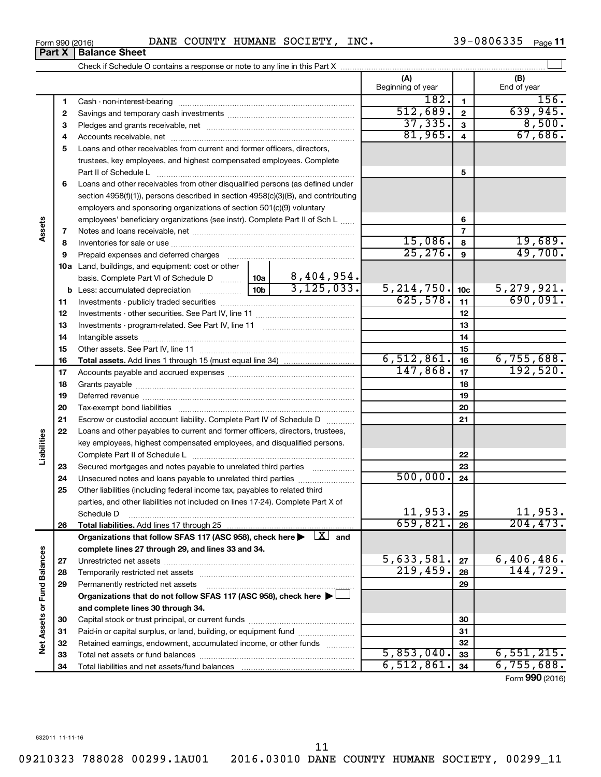**32 33 34**

|                             | <b>Part X</b> | <b>Balance Sheet</b>                                                                                                      |                             |                 |                    |
|-----------------------------|---------------|---------------------------------------------------------------------------------------------------------------------------|-----------------------------|-----------------|--------------------|
|                             |               |                                                                                                                           |                             |                 |                    |
|                             |               |                                                                                                                           | (A)<br>Beginning of year    |                 | (B)<br>End of year |
|                             | 1             |                                                                                                                           | 182.                        | 1               | 156.               |
|                             | 2             |                                                                                                                           | 512,689.                    | $\overline{2}$  | 639,945.           |
|                             | з             |                                                                                                                           | 37, 335.                    | 3               | 8,500.             |
|                             | 4             |                                                                                                                           | 81,965.                     | 4               | 67,686.            |
|                             | 5             | Loans and other receivables from current and former officers, directors,                                                  |                             |                 |                    |
|                             |               | trustees, key employees, and highest compensated employees. Complete<br>Part II of Schedule L                             |                             | 5               |                    |
|                             | 6             | Loans and other receivables from other disqualified persons (as defined under                                             |                             |                 |                    |
|                             |               | section 4958(f)(1)), persons described in section 4958(c)(3)(B), and contributing                                         |                             |                 |                    |
|                             |               | employers and sponsoring organizations of section 501(c)(9) voluntary                                                     |                             |                 |                    |
|                             |               | employees' beneficiary organizations (see instr). Complete Part II of Sch L                                               |                             | 6               |                    |
| Assets                      | 7             |                                                                                                                           |                             | 7               |                    |
|                             | 8             |                                                                                                                           | 15,086.                     | 8               | 19,689.            |
|                             | 9             | Prepaid expenses and deferred charges                                                                                     | 25, 276.                    | 9               | 49,700.            |
|                             | 10a           | Land, buildings, and equipment: cost or other                                                                             |                             |                 |                    |
|                             |               | basis. Complete Part VI of Schedule D    10a   8,404,954.                                                                 |                             |                 |                    |
|                             | b             | 3, 125, 033.                                                                                                              | $\frac{5,214,750}{625,578}$ | 10 <sub>c</sub> | 5,279,921.         |
|                             | 11            |                                                                                                                           |                             | 11              | 690,091.           |
|                             | 12            |                                                                                                                           |                             | 12              |                    |
|                             | 13            |                                                                                                                           |                             | 13              |                    |
|                             | 14            |                                                                                                                           |                             | 14              |                    |
|                             | 15            |                                                                                                                           |                             | 15              |                    |
|                             | 16            |                                                                                                                           | 6,512,861.                  | 16              | 6,755,688.         |
|                             | 17            |                                                                                                                           | 147,868.                    | 17              | 192,520.           |
|                             | 18            |                                                                                                                           |                             | 18              |                    |
|                             | 19            |                                                                                                                           |                             | 19              |                    |
|                             | 20            |                                                                                                                           |                             | 20              |                    |
|                             | 21            | Escrow or custodial account liability. Complete Part IV of Schedule D                                                     |                             | 21              |                    |
|                             | 22            | Loans and other payables to current and former officers, directors, trustees,                                             |                             |                 |                    |
| Liabilities                 |               | key employees, highest compensated employees, and disqualified persons.                                                   |                             |                 |                    |
|                             |               |                                                                                                                           |                             | 22              |                    |
|                             | 23            | Secured mortgages and notes payable to unrelated third parties                                                            |                             | 23              |                    |
|                             | 24            | Unsecured notes and loans payable to unrelated third parties                                                              | 500,000.                    | 24              |                    |
|                             | 25            | Other liabilities (including federal income tax, payables to related third                                                |                             |                 |                    |
|                             |               | parties, and other liabilities not included on lines 17-24). Complete Part X of                                           |                             |                 |                    |
|                             |               | Schedule D                                                                                                                | 11,953.                     | 25              | 11,953.            |
|                             | 26            | Total liabilities. Add lines 17 through 25                                                                                | 659,821                     | 26              | 204, 473.          |
|                             |               | Organizations that follow SFAS 117 (ASC 958), check here $\blacktriangleright \begin{array}{c} \boxed{X} \end{array}$ and |                             |                 |                    |
|                             |               | complete lines 27 through 29, and lines 33 and 34.                                                                        |                             |                 |                    |
|                             | 27            |                                                                                                                           | 5,633,581.                  | 27              | 6,406,486.         |
|                             | 28            |                                                                                                                           | 219,459.                    | 28              | 144,729.           |
|                             | 29            | Permanently restricted net assets                                                                                         |                             | 29              |                    |
| Net Assets or Fund Balances |               | Organizations that do not follow SFAS 117 (ASC 958), check here ▶                                                         |                             |                 |                    |
|                             |               | and complete lines 30 through 34.                                                                                         |                             |                 |                    |
|                             | 30            |                                                                                                                           |                             | 30              |                    |
|                             | 31            | Paid-in or capital surplus, or land, building, or equipment fund                                                          |                             | 31              |                    |
|                             | 32            | Retained earnings, endowment, accumulated income, or other funds                                                          |                             | 32              |                    |
|                             |               | Total not concta as fund holongen                                                                                         | 5 853 040                   | $\sim$          | 6551215            |

### Form (2016) **990**

 $\overline{5,853,040.}$  33 6,551,215.  $\begin{array}{|c|c|c|c|c|c|c|c|c|} \hline 6,512,861. & 34 & 6,755,688. \hline \end{array}$ 

11

09210323 788028 00299.1AU01 2016.03010 DANE COUNTY HUMANE SOCIETY, 00299\_11

Total net assets or fund balances Total liabilities and net assets/fund balances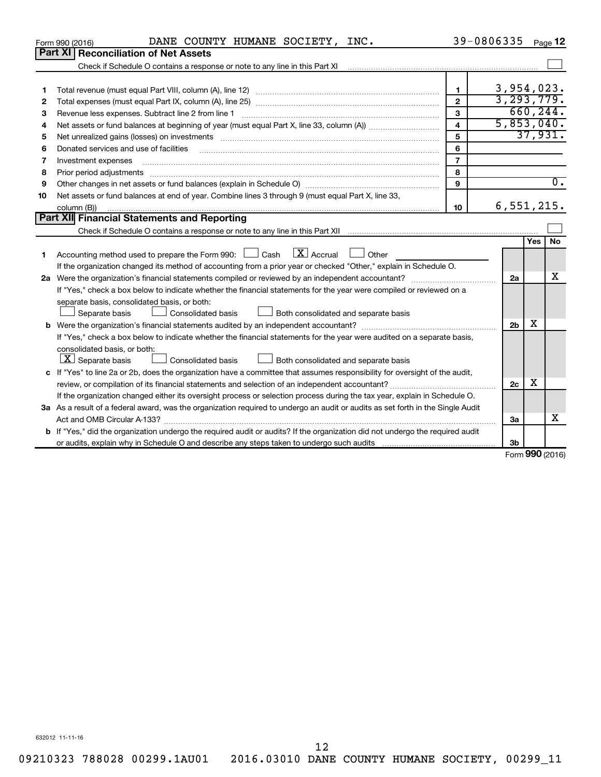|    | DANE COUNTY HUMANE SOCIETY, INC.<br>Form 990 (2016)                                                                                                                                                                            | 39-0806335              |                |     | Page 12          |
|----|--------------------------------------------------------------------------------------------------------------------------------------------------------------------------------------------------------------------------------|-------------------------|----------------|-----|------------------|
|    | <b>Part XI Reconciliation of Net Assets</b>                                                                                                                                                                                    |                         |                |     |                  |
|    | Check if Schedule O contains a response or note to any line in this Part XI [11] [12] Check if Schedule O contains a response or note to any line in this Part XI                                                              |                         |                |     |                  |
|    |                                                                                                                                                                                                                                |                         |                |     |                  |
| 1  |                                                                                                                                                                                                                                | $\mathbf{1}$            | 3,954,023.     |     |                  |
| 2  |                                                                                                                                                                                                                                | $\overline{2}$          | 3, 293, 779.   |     |                  |
| з  |                                                                                                                                                                                                                                | 3                       |                |     | 660, 244.        |
| 4  |                                                                                                                                                                                                                                | $\overline{\mathbf{4}}$ | 5,853,040.     |     |                  |
| 5  | Net unrealized gains (losses) on investments [11] matter than the control of the state of the state of the state of the state of the state of the state of the state of the state of the state of the state of the state of th | 5                       |                |     | 37,931.          |
| 6  |                                                                                                                                                                                                                                | 6                       |                |     |                  |
| 7  | Investment expenses                                                                                                                                                                                                            | $\overline{7}$          |                |     |                  |
| 8  | Prior period adjustments                                                                                                                                                                                                       | 8                       |                |     |                  |
| 9  |                                                                                                                                                                                                                                | 9                       |                |     | $\overline{0}$ . |
| 10 | Net assets or fund balances at end of year. Combine lines 3 through 9 (must equal Part X, line 33,                                                                                                                             |                         |                |     |                  |
|    | column (B))                                                                                                                                                                                                                    | 10                      | 6,551,215.     |     |                  |
|    | Part XII Financial Statements and Reporting                                                                                                                                                                                    |                         |                |     |                  |
|    |                                                                                                                                                                                                                                |                         |                |     |                  |
|    |                                                                                                                                                                                                                                |                         |                | Yes | <b>No</b>        |
| 1  | $\lfloor x \rfloor$ Accrual<br>Accounting method used to prepare the Form 990: [130] Cash<br>Other                                                                                                                             |                         |                |     |                  |
|    | If the organization changed its method of accounting from a prior year or checked "Other," explain in Schedule O.                                                                                                              |                         |                |     |                  |
|    |                                                                                                                                                                                                                                |                         | 2a             |     | x                |
|    | If "Yes," check a box below to indicate whether the financial statements for the year were compiled or reviewed on a                                                                                                           |                         |                |     |                  |
|    | separate basis, consolidated basis, or both:                                                                                                                                                                                   |                         |                |     |                  |
|    | Consolidated basis<br>Separate basis<br>Both consolidated and separate basis                                                                                                                                                   |                         |                |     |                  |
|    |                                                                                                                                                                                                                                |                         | 2 <sub>b</sub> | х   |                  |
|    | If "Yes," check a box below to indicate whether the financial statements for the year were audited on a separate basis,                                                                                                        |                         |                |     |                  |
|    | consolidated basis, or both:                                                                                                                                                                                                   |                         |                |     |                  |
|    | $ \mathbf{X} $ Separate basis<br>Both consolidated and separate basis<br><b>Consolidated basis</b>                                                                                                                             |                         |                |     |                  |
|    | c If "Yes" to line 2a or 2b, does the organization have a committee that assumes responsibility for oversight of the audit,                                                                                                    |                         |                |     |                  |
|    |                                                                                                                                                                                                                                |                         | 2c             | х   |                  |
|    | If the organization changed either its oversight process or selection process during the tax year, explain in Schedule O.                                                                                                      |                         |                |     |                  |
|    | 3a As a result of a federal award, was the organization required to undergo an audit or audits as set forth in the Single Audit                                                                                                |                         |                |     |                  |
|    |                                                                                                                                                                                                                                |                         | За             |     | x                |
|    | b If "Yes," did the organization undergo the required audit or audits? If the organization did not undergo the required audit                                                                                                  |                         |                |     |                  |
|    |                                                                                                                                                                                                                                |                         | 3b             |     |                  |
|    |                                                                                                                                                                                                                                |                         |                |     | Form 990 (2016)  |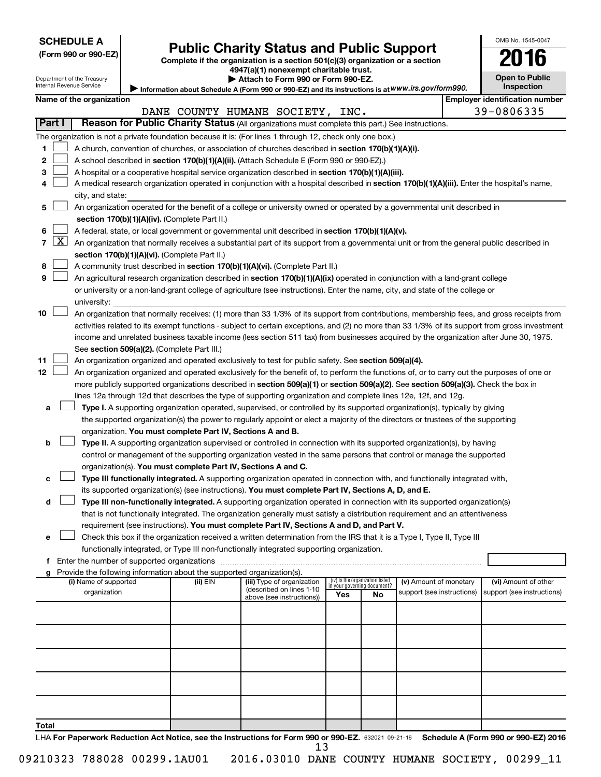Department of the Treasury Internal Revenue Service

| (Form 990 or 990-EZ |  |  |  |  |  |
|---------------------|--|--|--|--|--|
|---------------------|--|--|--|--|--|

# Form 990 or 990-EZ) **Public Charity Status and Public Support**<br>
Complete if the organization is a section 501(c)(3) organization or a section<br> **2016**

**4947(a)(1) nonexempt charitable trust. | Attach to Form 990 or Form 990-EZ.** 

| Open to Public<br>Inspection |  |
|------------------------------|--|

OMB No. 1545-0047

**Information about Schedule A (Form 990 or 990-EZ) and its instructions is at**  *www.irs.gov/form990.* **|** 

|        | Name of the organization<br><b>Employer identification number</b> |                                                                                                                                                                |          |                                                       |                                                                |    |                            |  |                            |  |
|--------|-------------------------------------------------------------------|----------------------------------------------------------------------------------------------------------------------------------------------------------------|----------|-------------------------------------------------------|----------------------------------------------------------------|----|----------------------------|--|----------------------------|--|
|        |                                                                   |                                                                                                                                                                |          | DANE COUNTY HUMANE SOCIETY, INC.                      |                                                                |    |                            |  | 39-0806335                 |  |
| Part I |                                                                   | Reason for Public Charity Status (All organizations must complete this part.) See instructions.                                                                |          |                                                       |                                                                |    |                            |  |                            |  |
|        |                                                                   | The organization is not a private foundation because it is: (For lines 1 through 12, check only one box.)                                                      |          |                                                       |                                                                |    |                            |  |                            |  |
| 1      |                                                                   | A church, convention of churches, or association of churches described in section 170(b)(1)(A)(i).                                                             |          |                                                       |                                                                |    |                            |  |                            |  |
| 2      |                                                                   | A school described in section 170(b)(1)(A)(ii). (Attach Schedule E (Form 990 or 990-EZ).)                                                                      |          |                                                       |                                                                |    |                            |  |                            |  |
| 3      |                                                                   |                                                                                                                                                                |          |                                                       |                                                                |    |                            |  |                            |  |
|        |                                                                   | A hospital or a cooperative hospital service organization described in section 170(b)(1)(A)(iii).                                                              |          |                                                       |                                                                |    |                            |  |                            |  |
| 4      |                                                                   | A medical research organization operated in conjunction with a hospital described in section 170(b)(1)(A)(iii). Enter the hospital's name,<br>city, and state: |          |                                                       |                                                                |    |                            |  |                            |  |
|        |                                                                   | An organization operated for the benefit of a college or university owned or operated by a governmental unit described in                                      |          |                                                       |                                                                |    |                            |  |                            |  |
| 5      |                                                                   | section 170(b)(1)(A)(iv). (Complete Part II.)                                                                                                                  |          |                                                       |                                                                |    |                            |  |                            |  |
|        |                                                                   |                                                                                                                                                                |          |                                                       |                                                                |    |                            |  |                            |  |
| 6      |                                                                   | A federal, state, or local government or governmental unit described in section 170(b)(1)(A)(v).                                                               |          |                                                       |                                                                |    |                            |  |                            |  |
| 7      | <u>  X  </u>                                                      | An organization that normally receives a substantial part of its support from a governmental unit or from the general public described in                      |          |                                                       |                                                                |    |                            |  |                            |  |
|        |                                                                   | section 170(b)(1)(A)(vi). (Complete Part II.)                                                                                                                  |          |                                                       |                                                                |    |                            |  |                            |  |
| 8      |                                                                   | A community trust described in section 170(b)(1)(A)(vi). (Complete Part II.)                                                                                   |          |                                                       |                                                                |    |                            |  |                            |  |
| 9      |                                                                   | An agricultural research organization described in section 170(b)(1)(A)(ix) operated in conjunction with a land-grant college                                  |          |                                                       |                                                                |    |                            |  |                            |  |
|        |                                                                   | or university or a non-land-grant college of agriculture (see instructions). Enter the name, city, and state of the college or                                 |          |                                                       |                                                                |    |                            |  |                            |  |
|        |                                                                   | university:                                                                                                                                                    |          |                                                       |                                                                |    |                            |  |                            |  |
| 10     |                                                                   | An organization that normally receives: (1) more than 33 1/3% of its support from contributions, membership fees, and gross receipts from                      |          |                                                       |                                                                |    |                            |  |                            |  |
|        |                                                                   | activities related to its exempt functions - subject to certain exceptions, and (2) no more than 33 1/3% of its support from gross investment                  |          |                                                       |                                                                |    |                            |  |                            |  |
|        |                                                                   | income and unrelated business taxable income (less section 511 tax) from businesses acquired by the organization after June 30, 1975.                          |          |                                                       |                                                                |    |                            |  |                            |  |
|        |                                                                   | See section 509(a)(2). (Complete Part III.)                                                                                                                    |          |                                                       |                                                                |    |                            |  |                            |  |
| 11     |                                                                   | An organization organized and operated exclusively to test for public safety. See section 509(a)(4).                                                           |          |                                                       |                                                                |    |                            |  |                            |  |
| 12     |                                                                   | An organization organized and operated exclusively for the benefit of, to perform the functions of, or to carry out the purposes of one or                     |          |                                                       |                                                                |    |                            |  |                            |  |
|        |                                                                   | more publicly supported organizations described in section 509(a)(1) or section 509(a)(2). See section 509(a)(3). Check the box in                             |          |                                                       |                                                                |    |                            |  |                            |  |
|        |                                                                   | lines 12a through 12d that describes the type of supporting organization and complete lines 12e, 12f, and 12g.                                                 |          |                                                       |                                                                |    |                            |  |                            |  |
| а      |                                                                   | Type I. A supporting organization operated, supervised, or controlled by its supported organization(s), typically by giving                                    |          |                                                       |                                                                |    |                            |  |                            |  |
|        |                                                                   | the supported organization(s) the power to regularly appoint or elect a majority of the directors or trustees of the supporting                                |          |                                                       |                                                                |    |                            |  |                            |  |
|        |                                                                   | organization. You must complete Part IV, Sections A and B.                                                                                                     |          |                                                       |                                                                |    |                            |  |                            |  |
| b      |                                                                   | Type II. A supporting organization supervised or controlled in connection with its supported organization(s), by having                                        |          |                                                       |                                                                |    |                            |  |                            |  |
|        |                                                                   |                                                                                                                                                                |          |                                                       |                                                                |    |                            |  |                            |  |
|        |                                                                   | control or management of the supporting organization vested in the same persons that control or manage the supported                                           |          |                                                       |                                                                |    |                            |  |                            |  |
|        |                                                                   | organization(s). You must complete Part IV, Sections A and C.                                                                                                  |          |                                                       |                                                                |    |                            |  |                            |  |
| с      |                                                                   | Type III functionally integrated. A supporting organization operated in connection with, and functionally integrated with,                                     |          |                                                       |                                                                |    |                            |  |                            |  |
|        |                                                                   | its supported organization(s) (see instructions). You must complete Part IV, Sections A, D, and E.                                                             |          |                                                       |                                                                |    |                            |  |                            |  |
| d      |                                                                   | Type III non-functionally integrated. A supporting organization operated in connection with its supported organization(s)                                      |          |                                                       |                                                                |    |                            |  |                            |  |
|        |                                                                   | that is not functionally integrated. The organization generally must satisfy a distribution requirement and an attentiveness                                   |          |                                                       |                                                                |    |                            |  |                            |  |
|        |                                                                   | requirement (see instructions). You must complete Part IV, Sections A and D, and Part V.                                                                       |          |                                                       |                                                                |    |                            |  |                            |  |
| е      |                                                                   | Check this box if the organization received a written determination from the IRS that it is a Type I, Type II, Type III                                        |          |                                                       |                                                                |    |                            |  |                            |  |
|        |                                                                   | functionally integrated, or Type III non-functionally integrated supporting organization.                                                                      |          |                                                       |                                                                |    |                            |  |                            |  |
| f      |                                                                   | Enter the number of supported organizations                                                                                                                    |          |                                                       |                                                                |    |                            |  |                            |  |
| g      |                                                                   | Provide the following information about the supported organization(s).                                                                                         |          |                                                       |                                                                |    |                            |  |                            |  |
|        |                                                                   | (i) Name of supported                                                                                                                                          | (ii) EIN | (iii) Type of organization                            | (iv) Is the organization listed<br>in your governing document? |    | (v) Amount of monetary     |  | (vi) Amount of other       |  |
|        |                                                                   | organization                                                                                                                                                   |          | (described on lines 1-10<br>above (see instructions)) | Yes                                                            | No | support (see instructions) |  | support (see instructions) |  |
|        |                                                                   |                                                                                                                                                                |          |                                                       |                                                                |    |                            |  |                            |  |
|        |                                                                   |                                                                                                                                                                |          |                                                       |                                                                |    |                            |  |                            |  |
|        |                                                                   |                                                                                                                                                                |          |                                                       |                                                                |    |                            |  |                            |  |
|        |                                                                   |                                                                                                                                                                |          |                                                       |                                                                |    |                            |  |                            |  |
|        |                                                                   |                                                                                                                                                                |          |                                                       |                                                                |    |                            |  |                            |  |
|        |                                                                   |                                                                                                                                                                |          |                                                       |                                                                |    |                            |  |                            |  |
|        |                                                                   |                                                                                                                                                                |          |                                                       |                                                                |    |                            |  |                            |  |
|        |                                                                   |                                                                                                                                                                |          |                                                       |                                                                |    |                            |  |                            |  |
|        |                                                                   |                                                                                                                                                                |          |                                                       |                                                                |    |                            |  |                            |  |
|        |                                                                   |                                                                                                                                                                |          |                                                       |                                                                |    |                            |  |                            |  |
|        |                                                                   |                                                                                                                                                                |          |                                                       |                                                                |    |                            |  |                            |  |
| Total  |                                                                   |                                                                                                                                                                |          |                                                       |                                                                |    |                            |  |                            |  |

LHA For Paperwork Reduction Act Notice, see the Instructions for Form 990 or 990-EZ. 632021 09-21-16 Schedule A (Form 990 or 990-EZ) 2016 13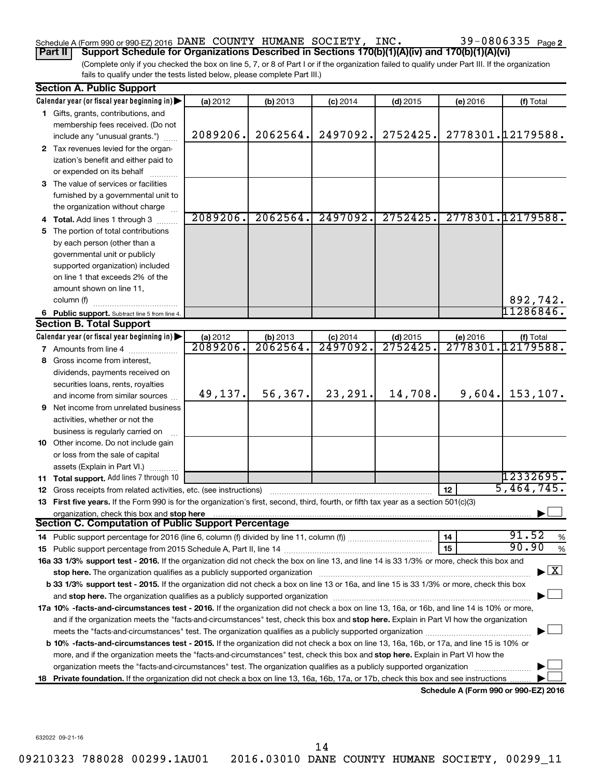### Schedule A (Form 990 or 990-EZ) 2016 DANE COUNTY HUMANE SOCIETY, INC.  $39-0806335$   $_{\rm Page}$

(Complete only if you checked the box on line 5, 7, or 8 of Part I or if the organization failed to qualify under Part III. If the organization **Part II Support Schedule for Organizations Described in Sections 170(b)(1)(A)(iv) and 170(b)(1)(A)(vi)**

fails to qualify under the tests listed below, please complete Part III.)

|    | <b>Section A. Public Support</b>                                                                                                                                                                                               |          |          |            |            |          |                                          |
|----|--------------------------------------------------------------------------------------------------------------------------------------------------------------------------------------------------------------------------------|----------|----------|------------|------------|----------|------------------------------------------|
|    | Calendar year (or fiscal year beginning in)                                                                                                                                                                                    | (a) 2012 | (b) 2013 | $(c)$ 2014 | $(d)$ 2015 | (e) 2016 | (f) Total                                |
|    | 1 Gifts, grants, contributions, and                                                                                                                                                                                            |          |          |            |            |          |                                          |
|    | membership fees received. (Do not                                                                                                                                                                                              |          |          |            |            |          |                                          |
|    | include any "unusual grants.")                                                                                                                                                                                                 | 2089206. | 2062564. | 2497092.   | 2752425.   |          | 2778301.12179588.                        |
|    | 2 Tax revenues levied for the organ-                                                                                                                                                                                           |          |          |            |            |          |                                          |
|    | ization's benefit and either paid to                                                                                                                                                                                           |          |          |            |            |          |                                          |
|    | or expended on its behalf                                                                                                                                                                                                      |          |          |            |            |          |                                          |
|    | 3 The value of services or facilities                                                                                                                                                                                          |          |          |            |            |          |                                          |
|    | furnished by a governmental unit to                                                                                                                                                                                            |          |          |            |            |          |                                          |
|    | the organization without charge                                                                                                                                                                                                |          |          |            |            |          |                                          |
|    | <b>Total.</b> Add lines 1 through 3                                                                                                                                                                                            | 2089206. | 2062564. | 2497092.   | 2752425.   |          | 2778301.12179588.                        |
| 5  | The portion of total contributions                                                                                                                                                                                             |          |          |            |            |          |                                          |
|    | by each person (other than a                                                                                                                                                                                                   |          |          |            |            |          |                                          |
|    | governmental unit or publicly                                                                                                                                                                                                  |          |          |            |            |          |                                          |
|    | supported organization) included                                                                                                                                                                                               |          |          |            |            |          |                                          |
|    | on line 1 that exceeds 2% of the                                                                                                                                                                                               |          |          |            |            |          |                                          |
|    | amount shown on line 11,                                                                                                                                                                                                       |          |          |            |            |          |                                          |
|    | column (f)                                                                                                                                                                                                                     |          |          |            |            |          | 892,742.                                 |
|    | 6 Public support. Subtract line 5 from line 4.                                                                                                                                                                                 |          |          |            |            |          | 11286846.                                |
|    | <b>Section B. Total Support</b>                                                                                                                                                                                                |          |          |            |            |          |                                          |
|    | Calendar year (or fiscal year beginning in)                                                                                                                                                                                    | (a) 2012 | (b) 2013 | $(c)$ 2014 | $(d)$ 2015 | (e) 2016 | (f) Total                                |
|    | <b>7</b> Amounts from line 4                                                                                                                                                                                                   | 2089206. | 2062564. | 2497092.   | 2752425    |          | 2778301.12179588.                        |
| 8  | Gross income from interest.                                                                                                                                                                                                    |          |          |            |            |          |                                          |
|    | dividends, payments received on                                                                                                                                                                                                |          |          |            |            |          |                                          |
|    | securities loans, rents, royalties                                                                                                                                                                                             |          |          |            |            |          |                                          |
|    | and income from similar sources                                                                                                                                                                                                | 49,137.  | 56,367.  | 23, 291.   | 14,708.    | 9,604.   | 153,107.                                 |
| 9  | Net income from unrelated business                                                                                                                                                                                             |          |          |            |            |          |                                          |
|    | activities, whether or not the                                                                                                                                                                                                 |          |          |            |            |          |                                          |
|    | business is regularly carried on                                                                                                                                                                                               |          |          |            |            |          |                                          |
|    | 10 Other income. Do not include gain                                                                                                                                                                                           |          |          |            |            |          |                                          |
|    | or loss from the sale of capital                                                                                                                                                                                               |          |          |            |            |          |                                          |
|    | assets (Explain in Part VI.)                                                                                                                                                                                                   |          |          |            |            |          |                                          |
|    | <b>11 Total support.</b> Add lines 7 through 10                                                                                                                                                                                |          |          |            |            |          | 12332695.                                |
| 12 | Gross receipts from related activities, etc. (see instructions)                                                                                                                                                                |          |          |            |            | 12       | 5,464,745.                               |
|    | 13 First five years. If the Form 990 is for the organization's first, second, third, fourth, or fifth tax year as a section 501(c)(3)                                                                                          |          |          |            |            |          |                                          |
|    | organization, check this box and stop here<br>Section C. Computation of Public Support Percentage                                                                                                                              |          |          |            |            |          |                                          |
|    |                                                                                                                                                                                                                                |          |          |            |            | 14       | 91.52<br>%                               |
|    |                                                                                                                                                                                                                                |          |          |            |            | 15       | 90.90<br>%                               |
|    | 16a 33 1/3% support test - 2016. If the organization did not check the box on line 13, and line 14 is 33 1/3% or more, check this box and                                                                                      |          |          |            |            |          |                                          |
|    | stop here. The organization qualifies as a publicly supported organization manufaction manufacture content and the supported organization manufacture content and the supported or state of the state of the state of the stat |          |          |            |            |          | $\blacktriangleright$ $\boxed{\text{X}}$ |
|    | b 33 1/3% support test - 2015. If the organization did not check a box on line 13 or 16a, and line 15 is 33 1/3% or more, check this box                                                                                       |          |          |            |            |          |                                          |
|    |                                                                                                                                                                                                                                |          |          |            |            |          |                                          |
|    | 17a 10% -facts-and-circumstances test - 2016. If the organization did not check a box on line 13, 16a, or 16b, and line 14 is 10% or more,                                                                                     |          |          |            |            |          |                                          |
|    | and if the organization meets the "facts-and-circumstances" test, check this box and stop here. Explain in Part VI how the organization                                                                                        |          |          |            |            |          |                                          |
|    |                                                                                                                                                                                                                                |          |          |            |            |          |                                          |
|    | b 10% -facts-and-circumstances test - 2015. If the organization did not check a box on line 13, 16a, 16b, or 17a, and line 15 is 10% or                                                                                        |          |          |            |            |          |                                          |
|    | more, and if the organization meets the "facts-and-circumstances" test, check this box and stop here. Explain in Part VI how the                                                                                               |          |          |            |            |          |                                          |
|    | organization meets the "facts-and-circumstances" test. The organization qualifies as a publicly supported organization                                                                                                         |          |          |            |            |          |                                          |
|    | 18 Private foundation. If the organization did not check a box on line 13, 16a, 16b, 17a, or 17b, check this box and see instructions                                                                                          |          |          |            |            |          |                                          |
|    | Schedule A (Form 990 or 990-EZ) 2016                                                                                                                                                                                           |          |          |            |            |          |                                          |

14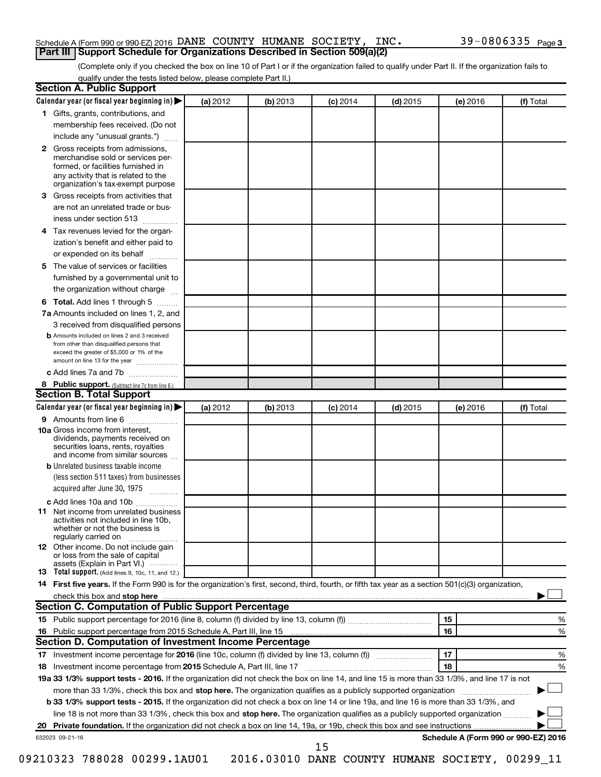### Schedule A (Form 990 or 990-EZ) 2016 DANE COUNTY HUMANE SOCIETY, INC.  $39-0806335$   $_{\rm Page}$ **Part III Support Schedule for Organizations Described in Section 509(a)(2)**

(Complete only if you checked the box on line 10 of Part I or if the organization failed to qualify under Part II. If the organization fails to qualify under the tests listed below, please complete Part II.)

| <b>Section A. Public Support</b>                                                                                                                                                                                                        |          |          |                 |            |          |                                      |
|-----------------------------------------------------------------------------------------------------------------------------------------------------------------------------------------------------------------------------------------|----------|----------|-----------------|------------|----------|--------------------------------------|
| Calendar year (or fiscal year beginning in)                                                                                                                                                                                             | (a) 2012 | (b) 2013 | $(c)$ 2014      | $(d)$ 2015 | (e) 2016 | (f) Total                            |
| 1 Gifts, grants, contributions, and                                                                                                                                                                                                     |          |          |                 |            |          |                                      |
| membership fees received. (Do not                                                                                                                                                                                                       |          |          |                 |            |          |                                      |
| include any "unusual grants.")                                                                                                                                                                                                          |          |          |                 |            |          |                                      |
| 2 Gross receipts from admissions,<br>merchandise sold or services per-<br>formed, or facilities furnished in<br>any activity that is related to the<br>organization's tax-exempt purpose                                                |          |          |                 |            |          |                                      |
| 3 Gross receipts from activities that                                                                                                                                                                                                   |          |          |                 |            |          |                                      |
| are not an unrelated trade or bus-<br>iness under section 513                                                                                                                                                                           |          |          |                 |            |          |                                      |
| 4 Tax revenues levied for the organ-                                                                                                                                                                                                    |          |          |                 |            |          |                                      |
| ization's benefit and either paid to<br>or expended on its behalf                                                                                                                                                                       |          |          |                 |            |          |                                      |
| 5 The value of services or facilities                                                                                                                                                                                                   |          |          |                 |            |          |                                      |
| furnished by a governmental unit to                                                                                                                                                                                                     |          |          |                 |            |          |                                      |
| the organization without charge                                                                                                                                                                                                         |          |          |                 |            |          |                                      |
| 6 Total. Add lines 1 through 5                                                                                                                                                                                                          |          |          |                 |            |          |                                      |
| 7a Amounts included on lines 1, 2, and                                                                                                                                                                                                  |          |          |                 |            |          |                                      |
| 3 received from disqualified persons                                                                                                                                                                                                    |          |          |                 |            |          |                                      |
| <b>b</b> Amounts included on lines 2 and 3 received<br>from other than disqualified persons that<br>exceed the greater of \$5,000 or 1% of the<br>amount on line 13 for the year                                                        |          |          |                 |            |          |                                      |
| c Add lines 7a and 7b                                                                                                                                                                                                                   |          |          |                 |            |          |                                      |
| 8 Public support. (Subtract line 7c from line 6.)                                                                                                                                                                                       |          |          |                 |            |          |                                      |
| <b>Section B. Total Support</b>                                                                                                                                                                                                         |          |          |                 |            |          |                                      |
| Calendar year (or fiscal year beginning in)                                                                                                                                                                                             | (a) 2012 | (b) 2013 | <b>(c)</b> 2014 | $(d)$ 2015 | (e) 2016 | (f) Total                            |
| 9 Amounts from line 6                                                                                                                                                                                                                   |          |          |                 |            |          |                                      |
| <b>10a</b> Gross income from interest,<br>dividends, payments received on<br>securities loans, rents, royalties<br>and income from similar sources                                                                                      |          |          |                 |            |          |                                      |
| <b>b</b> Unrelated business taxable income<br>(less section 511 taxes) from businesses<br>acquired after June 30, 1975                                                                                                                  |          |          |                 |            |          |                                      |
| c Add lines 10a and 10b                                                                                                                                                                                                                 |          |          |                 |            |          |                                      |
| <b>11</b> Net income from unrelated business<br>activities not included in line 10b.<br>whether or not the business is<br>regularly carried on                                                                                          |          |          |                 |            |          |                                      |
| 12 Other income. Do not include gain<br>or loss from the sale of capital<br>assets (Explain in Part VI.)                                                                                                                                |          |          |                 |            |          |                                      |
| <b>13</b> Total support. (Add lines 9, 10c, 11, and 12.)                                                                                                                                                                                |          |          |                 |            |          |                                      |
| 14 First five years. If the Form 990 is for the organization's first, second, third, fourth, or fifth tax year as a section 501(c)(3) organization,                                                                                     |          |          |                 |            |          |                                      |
| check this box and stop here <b>contained and the contained and stop here</b> check this box and stop here <b>contained and the contained and stop here</b> contained and stop here contained and and stop here contained and stop here |          |          |                 |            |          |                                      |
| Section C. Computation of Public Support Percentage                                                                                                                                                                                     |          |          |                 |            |          |                                      |
|                                                                                                                                                                                                                                         |          |          |                 |            | 15       | ℅                                    |
|                                                                                                                                                                                                                                         |          |          |                 |            | 16       | %                                    |
| Section D. Computation of Investment Income Percentage                                                                                                                                                                                  |          |          |                 |            |          |                                      |
|                                                                                                                                                                                                                                         |          |          |                 |            | 17       | %                                    |
| 18 Investment income percentage from 2015 Schedule A, Part III, line 17                                                                                                                                                                 |          |          |                 |            | 18       | %                                    |
| 19a 33 1/3% support tests - 2016. If the organization did not check the box on line 14, and line 15 is more than 33 1/3%, and line 17 is not                                                                                            |          |          |                 |            |          |                                      |
| more than 33 1/3%, check this box and stop here. The organization qualifies as a publicly supported organization                                                                                                                        |          |          |                 |            |          |                                      |
| b 33 1/3% support tests - 2015. If the organization did not check a box on line 14 or line 19a, and line 16 is more than 33 1/3%, and                                                                                                   |          |          |                 |            |          |                                      |
| line 18 is not more than 33 1/3%, check this box and stop here. The organization qualifies as a publicly supported organization                                                                                                         |          |          |                 |            |          |                                      |
|                                                                                                                                                                                                                                         |          |          |                 |            |          |                                      |
| 632023 09-21-16                                                                                                                                                                                                                         |          |          | 15              |            |          | Schedule A (Form 990 or 990-EZ) 2016 |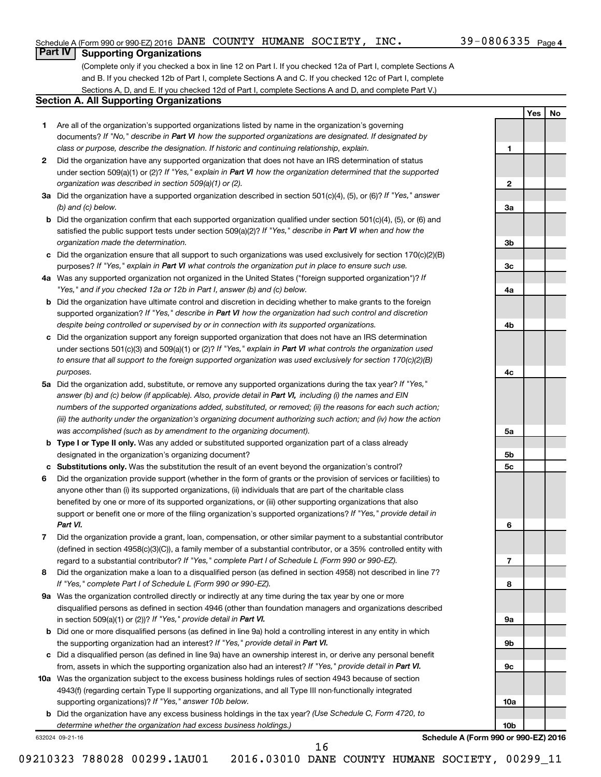**1**

**2**

**3a**

**3b**

**3c**

**4a**

**4b**

**4c**

**5a**

**5b 5c**

**6**

**7**

**8**

**9a**

**9b**

**9c**

**10a**

**10b**

**Yes No**

### **Part IV Supporting Organizations**

(Complete only if you checked a box in line 12 on Part I. If you checked 12a of Part I, complete Sections A and B. If you checked 12b of Part I, complete Sections A and C. If you checked 12c of Part I, complete Sections A, D, and E. If you checked 12d of Part I, complete Sections A and D, and complete Part V.)

### **Section A. All Supporting Organizations**

- **1** Are all of the organization's supported organizations listed by name in the organization's governing documents? If "No," describe in Part VI how the supported organizations are designated. If designated by *class or purpose, describe the designation. If historic and continuing relationship, explain.*
- **2** Did the organization have any supported organization that does not have an IRS determination of status under section 509(a)(1) or (2)? If "Yes," explain in Part VI how the organization determined that the supported *organization was described in section 509(a)(1) or (2).*
- **3a** Did the organization have a supported organization described in section 501(c)(4), (5), or (6)? If "Yes," answer *(b) and (c) below.*
- **b** Did the organization confirm that each supported organization qualified under section 501(c)(4), (5), or (6) and satisfied the public support tests under section 509(a)(2)? If "Yes," describe in Part VI when and how the *organization made the determination.*
- **c** Did the organization ensure that all support to such organizations was used exclusively for section 170(c)(2)(B) purposes? If "Yes," explain in Part VI what controls the organization put in place to ensure such use.
- **4 a** *If* Was any supported organization not organized in the United States ("foreign supported organization")? *"Yes," and if you checked 12a or 12b in Part I, answer (b) and (c) below.*
- **b** Did the organization have ultimate control and discretion in deciding whether to make grants to the foreign supported organization? If "Yes," describe in Part VI how the organization had such control and discretion *despite being controlled or supervised by or in connection with its supported organizations.*
- **c** Did the organization support any foreign supported organization that does not have an IRS determination under sections 501(c)(3) and 509(a)(1) or (2)? If "Yes," explain in Part VI what controls the organization used *to ensure that all support to the foreign supported organization was used exclusively for section 170(c)(2)(B) purposes.*
- **5a** Did the organization add, substitute, or remove any supported organizations during the tax year? If "Yes," answer (b) and (c) below (if applicable). Also, provide detail in Part VI, including (i) the names and EIN *numbers of the supported organizations added, substituted, or removed; (ii) the reasons for each such action; (iii) the authority under the organization's organizing document authorizing such action; and (iv) how the action was accomplished (such as by amendment to the organizing document).*
- **b Type I or Type II only.** Was any added or substituted supported organization part of a class already designated in the organization's organizing document?
- **c Substitutions only.**  Was the substitution the result of an event beyond the organization's control?
- **6** Did the organization provide support (whether in the form of grants or the provision of services or facilities) to support or benefit one or more of the filing organization's supported organizations? If "Yes," provide detail in anyone other than (i) its supported organizations, (ii) individuals that are part of the charitable class benefited by one or more of its supported organizations, or (iii) other supporting organizations that also *Part VI.*
- **7** Did the organization provide a grant, loan, compensation, or other similar payment to a substantial contributor regard to a substantial contributor? If "Yes," complete Part I of Schedule L (Form 990 or 990-EZ). (defined in section 4958(c)(3)(C)), a family member of a substantial contributor, or a 35% controlled entity with
- **8** Did the organization make a loan to a disqualified person (as defined in section 4958) not described in line 7? *If "Yes," complete Part I of Schedule L (Form 990 or 990-EZ).*
- **9 a** Was the organization controlled directly or indirectly at any time during the tax year by one or more in section 509(a)(1) or (2))? If "Yes," provide detail in Part VI. disqualified persons as defined in section 4946 (other than foundation managers and organizations described
- **b** Did one or more disqualified persons (as defined in line 9a) hold a controlling interest in any entity in which the supporting organization had an interest? If "Yes," provide detail in Part VI.
- **c** Did a disqualified person (as defined in line 9a) have an ownership interest in, or derive any personal benefit from, assets in which the supporting organization also had an interest? If "Yes," provide detail in Part VI.
- **10 a** Was the organization subject to the excess business holdings rules of section 4943 because of section supporting organizations)? If "Yes," answer 10b below. 4943(f) (regarding certain Type II supporting organizations, and all Type III non-functionally integrated
	- **b** Did the organization have any excess business holdings in the tax year? (Use Schedule C, Form 4720, to *determine whether the organization had excess business holdings.)*

632024 09-21-16

**Schedule A (Form 990 or 990-EZ) 2016**

09210323 788028 00299.1AU01 2016.03010 DANE COUNTY HUMANE SOCIETY, 00299\_11

16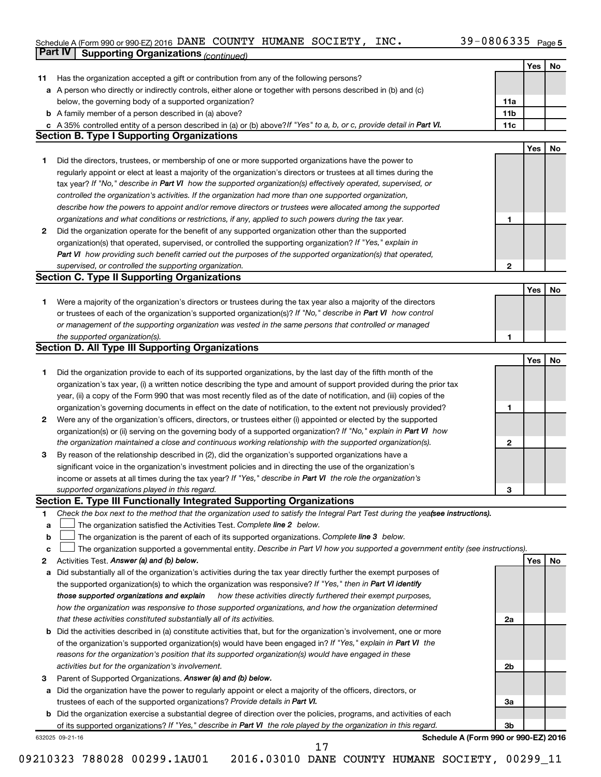#### Schedule A (Form 990 or 990-EZ) 2016 DANE COUNTY HUMANE SOCIETY, INC.  $39-0800335$  Page DANE COUNTY HUMANE SOCIETY, INC. 39-0806335

|             | Part IV<br><b>Supporting Organizations (continued)</b>                                                                                                                                                                           |                 |     |    |
|-------------|----------------------------------------------------------------------------------------------------------------------------------------------------------------------------------------------------------------------------------|-----------------|-----|----|
|             |                                                                                                                                                                                                                                  |                 | Yes | No |
| 11          | Has the organization accepted a gift or contribution from any of the following persons?                                                                                                                                          |                 |     |    |
|             | a A person who directly or indirectly controls, either alone or together with persons described in (b) and (c)                                                                                                                   |                 |     |    |
|             | below, the governing body of a supported organization?                                                                                                                                                                           | 11a             |     |    |
|             | <b>b</b> A family member of a person described in (a) above?                                                                                                                                                                     | 11 <sub>b</sub> |     |    |
|             | c A 35% controlled entity of a person described in (a) or (b) above? If "Yes" to a, b, or c, provide detail in Part VI.                                                                                                          | 11c             |     |    |
|             | <b>Section B. Type I Supporting Organizations</b>                                                                                                                                                                                |                 |     |    |
|             |                                                                                                                                                                                                                                  |                 | Yes | No |
| 1           | Did the directors, trustees, or membership of one or more supported organizations have the power to                                                                                                                              |                 |     |    |
|             | regularly appoint or elect at least a majority of the organization's directors or trustees at all times during the                                                                                                               |                 |     |    |
|             |                                                                                                                                                                                                                                  |                 |     |    |
|             | tax year? If "No," describe in Part VI how the supported organization(s) effectively operated, supervised, or                                                                                                                    |                 |     |    |
|             | controlled the organization's activities. If the organization had more than one supported organization,                                                                                                                          |                 |     |    |
|             | describe how the powers to appoint and/or remove directors or trustees were allocated among the supported                                                                                                                        |                 |     |    |
|             | organizations and what conditions or restrictions, if any, applied to such powers during the tax year.                                                                                                                           | 1               |     |    |
| 2           | Did the organization operate for the benefit of any supported organization other than the supported                                                                                                                              |                 |     |    |
|             | organization(s) that operated, supervised, or controlled the supporting organization? If "Yes," explain in                                                                                                                       |                 |     |    |
|             | Part VI how providing such benefit carried out the purposes of the supported organization(s) that operated,                                                                                                                      |                 |     |    |
|             | supervised, or controlled the supporting organization.                                                                                                                                                                           | 2               |     |    |
|             | <b>Section C. Type II Supporting Organizations</b>                                                                                                                                                                               |                 |     |    |
|             |                                                                                                                                                                                                                                  |                 | Yes | No |
| 1           | Were a majority of the organization's directors or trustees during the tax year also a majority of the directors                                                                                                                 |                 |     |    |
|             | or trustees of each of the organization's supported organization(s)? If "No," describe in Part VI how control                                                                                                                    |                 |     |    |
|             | or management of the supporting organization was vested in the same persons that controlled or managed                                                                                                                           |                 |     |    |
|             | the supported organization(s).                                                                                                                                                                                                   | 1               |     |    |
|             | <b>Section D. All Type III Supporting Organizations</b>                                                                                                                                                                          |                 |     |    |
|             |                                                                                                                                                                                                                                  |                 | Yes | No |
| 1           | Did the organization provide to each of its supported organizations, by the last day of the fifth month of the                                                                                                                   |                 |     |    |
|             | organization's tax year, (i) a written notice describing the type and amount of support provided during the prior tax                                                                                                            |                 |     |    |
|             | year, (ii) a copy of the Form 990 that was most recently filed as of the date of notification, and (iii) copies of the                                                                                                           |                 |     |    |
|             | organization's governing documents in effect on the date of notification, to the extent not previously provided?                                                                                                                 | 1               |     |    |
| 2           | Were any of the organization's officers, directors, or trustees either (i) appointed or elected by the supported                                                                                                                 |                 |     |    |
|             | organization(s) or (ii) serving on the governing body of a supported organization? If "No," explain in Part VI how                                                                                                               |                 |     |    |
|             | the organization maintained a close and continuous working relationship with the supported organization(s).                                                                                                                      | $\mathbf{2}$    |     |    |
| 3           | By reason of the relationship described in (2), did the organization's supported organizations have a                                                                                                                            |                 |     |    |
|             | significant voice in the organization's investment policies and in directing the use of the organization's                                                                                                                       |                 |     |    |
|             | income or assets at all times during the tax year? If "Yes," describe in Part VI the role the organization's                                                                                                                     |                 |     |    |
|             | supported organizations played in this regard.                                                                                                                                                                                   | з               |     |    |
|             | Section E. Type III Functionally Integrated Supporting Organizations                                                                                                                                                             |                 |     |    |
| 1           | Check the box next to the method that the organization used to satisfy the Integral Part Test during the yealsee instructions).                                                                                                  |                 |     |    |
| a           | The organization satisfied the Activities Test. Complete line 2 below.                                                                                                                                                           |                 |     |    |
| $\mathbf b$ | The organization is the parent of each of its supported organizations. Complete line 3 below.                                                                                                                                    |                 |     |    |
| c           | The organization supported a governmental entity. Describe in Part VI how you supported a government entity (see instructions).                                                                                                  |                 |     |    |
| 2           | Activities Test. Answer (a) and (b) below.                                                                                                                                                                                       |                 | Yes | No |
|             |                                                                                                                                                                                                                                  |                 |     |    |
| а           | Did substantially all of the organization's activities during the tax year directly further the exempt purposes of<br>the supported organization(s) to which the organization was responsive? If "Yes," then in Part VI identify |                 |     |    |
|             |                                                                                                                                                                                                                                  |                 |     |    |
|             | those supported organizations and explain<br>how these activities directly furthered their exempt purposes,                                                                                                                      |                 |     |    |
|             | how the organization was responsive to those supported organizations, and how the organization determined                                                                                                                        |                 |     |    |
|             | that these activities constituted substantially all of its activities.                                                                                                                                                           | 2a              |     |    |
|             | <b>b</b> Did the activities described in (a) constitute activities that, but for the organization's involvement, one or more                                                                                                     |                 |     |    |
|             | of the organization's supported organization(s) would have been engaged in? If "Yes," explain in Part VI the                                                                                                                     |                 |     |    |
|             | reasons for the organization's position that its supported organization(s) would have engaged in these                                                                                                                           |                 |     |    |
|             | activities but for the organization's involvement.                                                                                                                                                                               | 2b              |     |    |
| з           | Parent of Supported Organizations. Answer (a) and (b) below.                                                                                                                                                                     |                 |     |    |
|             | a Did the organization have the power to regularly appoint or elect a majority of the officers, directors, or                                                                                                                    |                 |     |    |
|             | trustees of each of the supported organizations? Provide details in Part VI.                                                                                                                                                     | За              |     |    |
|             | <b>b</b> Did the organization exercise a substantial degree of direction over the policies, programs, and activities of each                                                                                                     |                 |     |    |
|             | of its supported organizations? If "Yes," describe in Part VI the role played by the organization in this regard.                                                                                                                | 3b              |     |    |
|             | Schedule A (Form 990 or 990-EZ) 2016<br>632025 09-21-16<br>17                                                                                                                                                                    |                 |     |    |
|             |                                                                                                                                                                                                                                  |                 |     |    |

 $\perp$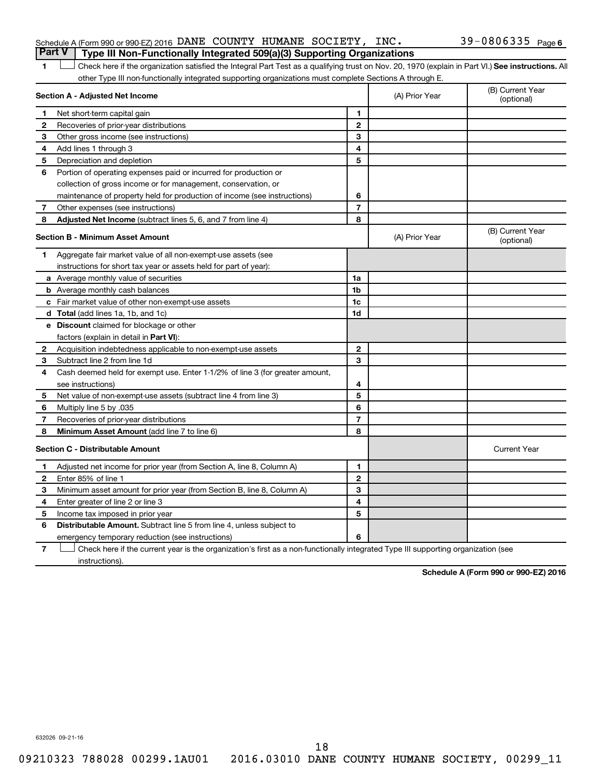| Schedule A (Form 990 or 990-EZ) 2016 DANE COUNTY HUMANE SOCIETY, INC.                 |  |  | 39-0806335 $_{Page6}$ |  |
|---------------------------------------------------------------------------------------|--|--|-----------------------|--|
| <b>Part V</b> Type III Non-Functionally Integrated 509(a)(3) Supporting Organizations |  |  |                       |  |

1 **Letter See instructions.** All Check here if the organization satisfied the Integral Part Test as a qualifying trust on Nov. 20, 1970 (explain in Part VI.) See instructions. All other Type III non-functionally integrated supporting organizations must complete Sections A through E.

| Section A - Adjusted Net Income |                                                                              |                | (A) Prior Year | (B) Current Year<br>(optional) |
|---------------------------------|------------------------------------------------------------------------------|----------------|----------------|--------------------------------|
| 1                               | Net short-term capital gain                                                  | 1              |                |                                |
| 2                               | Recoveries of prior-year distributions                                       | $\overline{2}$ |                |                                |
| 3                               | Other gross income (see instructions)                                        | 3              |                |                                |
| 4                               | Add lines 1 through 3                                                        | 4              |                |                                |
| 5                               | Depreciation and depletion                                                   | 5              |                |                                |
| 6                               | Portion of operating expenses paid or incurred for production or             |                |                |                                |
|                                 | collection of gross income or for management, conservation, or               |                |                |                                |
|                                 | maintenance of property held for production of income (see instructions)     | 6              |                |                                |
| 7                               | Other expenses (see instructions)                                            | $\overline{7}$ |                |                                |
| 8                               | <b>Adjusted Net Income</b> (subtract lines 5, 6, and 7 from line 4)          | 8              |                |                                |
|                                 | <b>Section B - Minimum Asset Amount</b>                                      |                | (A) Prior Year | (B) Current Year<br>(optional) |
| 1.                              | Aggregate fair market value of all non-exempt-use assets (see                |                |                |                                |
|                                 | instructions for short tax year or assets held for part of year):            |                |                |                                |
|                                 | a Average monthly value of securities                                        | 1a             |                |                                |
|                                 | <b>b</b> Average monthly cash balances                                       | 1 <sub>b</sub> |                |                                |
|                                 | c Fair market value of other non-exempt-use assets                           | 1c             |                |                                |
|                                 | d Total (add lines 1a, 1b, and 1c)                                           | 1 <sub>d</sub> |                |                                |
|                                 | e Discount claimed for blockage or other                                     |                |                |                                |
|                                 | factors (explain in detail in <b>Part VI</b> ):                              |                |                |                                |
| 2                               | Acquisition indebtedness applicable to non-exempt-use assets                 | $\mathbf{2}$   |                |                                |
| 3                               | Subtract line 2 from line 1d                                                 | 3              |                |                                |
| 4                               | Cash deemed held for exempt use. Enter 1-1/2% of line 3 (for greater amount, |                |                |                                |
|                                 | see instructions)                                                            | 4              |                |                                |
| 5                               | Net value of non-exempt-use assets (subtract line 4 from line 3)             | 5              |                |                                |
| 6                               | Multiply line 5 by .035                                                      | 6              |                |                                |
| 7                               | Recoveries of prior-year distributions                                       | 7              |                |                                |
| 8                               | Minimum Asset Amount (add line 7 to line 6)                                  | 8              |                |                                |
|                                 | <b>Section C - Distributable Amount</b>                                      |                |                | <b>Current Year</b>            |
| 1                               | Adjusted net income for prior year (from Section A, line 8, Column A)        | 1              |                |                                |
| $\mathbf{2}$                    | Enter 85% of line 1                                                          | $\overline{2}$ |                |                                |
| з                               | Minimum asset amount for prior year (from Section B, line 8, Column A)       | 3              |                |                                |
| 4                               | Enter greater of line 2 or line 3                                            | 4              |                |                                |
| 5                               | Income tax imposed in prior year                                             | 5              |                |                                |
| 6                               | Distributable Amount. Subtract line 5 from line 4, unless subject to         |                |                |                                |
|                                 | emergency temporary reduction (see instructions)                             | 6              |                |                                |
|                                 |                                                                              |                |                |                                |

**7** Check here if the current year is the organization's first as a non-functionally integrated Type III supporting organization (see † instructions).

**Schedule A (Form 990 or 990-EZ) 2016**

632026 09-21-16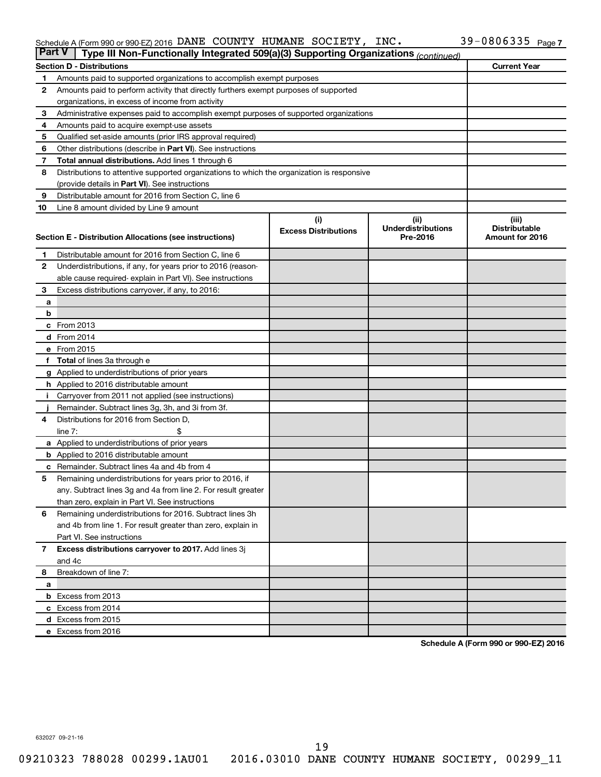#### Schedule A (Form 990 or 990-EZ) 2016 DANE COUNTY HUMANE SOCIETY, INC.  $39-0800335$  Page DANE COUNTY HUMANE SOCIETY, INC. 39-0806335

| <b>Part V</b>  | Type III Non-Functionally Integrated 509(a)(3) Supporting Organizations (continued)        |                             |                                       |                                         |  |
|----------------|--------------------------------------------------------------------------------------------|-----------------------------|---------------------------------------|-----------------------------------------|--|
|                | <b>Section D - Distributions</b>                                                           |                             |                                       | <b>Current Year</b>                     |  |
| 1              | Amounts paid to supported organizations to accomplish exempt purposes                      |                             |                                       |                                         |  |
| $\mathbf{2}$   | Amounts paid to perform activity that directly furthers exempt purposes of supported       |                             |                                       |                                         |  |
|                | organizations, in excess of income from activity                                           |                             |                                       |                                         |  |
| 3              | Administrative expenses paid to accomplish exempt purposes of supported organizations      |                             |                                       |                                         |  |
| 4              | Amounts paid to acquire exempt-use assets                                                  |                             |                                       |                                         |  |
| 5              | Qualified set-aside amounts (prior IRS approval required)                                  |                             |                                       |                                         |  |
| 6              | Other distributions (describe in <b>Part VI</b> ). See instructions                        |                             |                                       |                                         |  |
| 7              | <b>Total annual distributions.</b> Add lines 1 through 6                                   |                             |                                       |                                         |  |
| 8              | Distributions to attentive supported organizations to which the organization is responsive |                             |                                       |                                         |  |
|                | (provide details in Part VI). See instructions                                             |                             |                                       |                                         |  |
| 9              | Distributable amount for 2016 from Section C, line 6                                       |                             |                                       |                                         |  |
| 10             | Line 8 amount divided by Line 9 amount                                                     |                             |                                       |                                         |  |
|                |                                                                                            | (i)                         | (ii)                                  | (iii)                                   |  |
|                |                                                                                            | <b>Excess Distributions</b> | <b>Underdistributions</b><br>Pre-2016 | <b>Distributable</b><br>Amount for 2016 |  |
|                | Section E - Distribution Allocations (see instructions)                                    |                             |                                       |                                         |  |
| 1              | Distributable amount for 2016 from Section C, line 6                                       |                             |                                       |                                         |  |
| $\mathbf{2}$   | Underdistributions, if any, for years prior to 2016 (reason-                               |                             |                                       |                                         |  |
|                | able cause required-explain in Part VI). See instructions                                  |                             |                                       |                                         |  |
| 3              | Excess distributions carryover, if any, to 2016:                                           |                             |                                       |                                         |  |
| а              |                                                                                            |                             |                                       |                                         |  |
| b              |                                                                                            |                             |                                       |                                         |  |
|                | c From 2013                                                                                |                             |                                       |                                         |  |
|                | <b>d</b> From 2014                                                                         |                             |                                       |                                         |  |
|                | e From 2015                                                                                |                             |                                       |                                         |  |
|                | f Total of lines 3a through e                                                              |                             |                                       |                                         |  |
|                | <b>g</b> Applied to underdistributions of prior years                                      |                             |                                       |                                         |  |
|                | <b>h</b> Applied to 2016 distributable amount                                              |                             |                                       |                                         |  |
| Ť.             | Carryover from 2011 not applied (see instructions)                                         |                             |                                       |                                         |  |
|                | Remainder. Subtract lines 3g, 3h, and 3i from 3f.                                          |                             |                                       |                                         |  |
| 4              | Distributions for 2016 from Section D,                                                     |                             |                                       |                                         |  |
|                | line $7:$                                                                                  |                             |                                       |                                         |  |
|                | a Applied to underdistributions of prior years                                             |                             |                                       |                                         |  |
|                | <b>b</b> Applied to 2016 distributable amount                                              |                             |                                       |                                         |  |
| c              | Remainder. Subtract lines 4a and 4b from 4                                                 |                             |                                       |                                         |  |
| 5              | Remaining underdistributions for years prior to 2016, if                                   |                             |                                       |                                         |  |
|                | any. Subtract lines 3g and 4a from line 2. For result greater                              |                             |                                       |                                         |  |
|                | than zero, explain in Part VI. See instructions                                            |                             |                                       |                                         |  |
| 6              | Remaining underdistributions for 2016. Subtract lines 3h                                   |                             |                                       |                                         |  |
|                | and 4b from line 1. For result greater than zero, explain in                               |                             |                                       |                                         |  |
|                | Part VI. See instructions                                                                  |                             |                                       |                                         |  |
| $\overline{7}$ | Excess distributions carryover to 2017. Add lines 3j                                       |                             |                                       |                                         |  |
|                | and 4c                                                                                     |                             |                                       |                                         |  |
| 8              | Breakdown of line 7:                                                                       |                             |                                       |                                         |  |
| a              |                                                                                            |                             |                                       |                                         |  |
|                | <b>b</b> Excess from 2013                                                                  |                             |                                       |                                         |  |
|                | c Excess from 2014                                                                         |                             |                                       |                                         |  |
|                | d Excess from 2015                                                                         |                             |                                       |                                         |  |
|                | e Excess from 2016                                                                         |                             |                                       |                                         |  |

**Schedule A (Form 990 or 990-EZ) 2016**

632027 09-21-16

19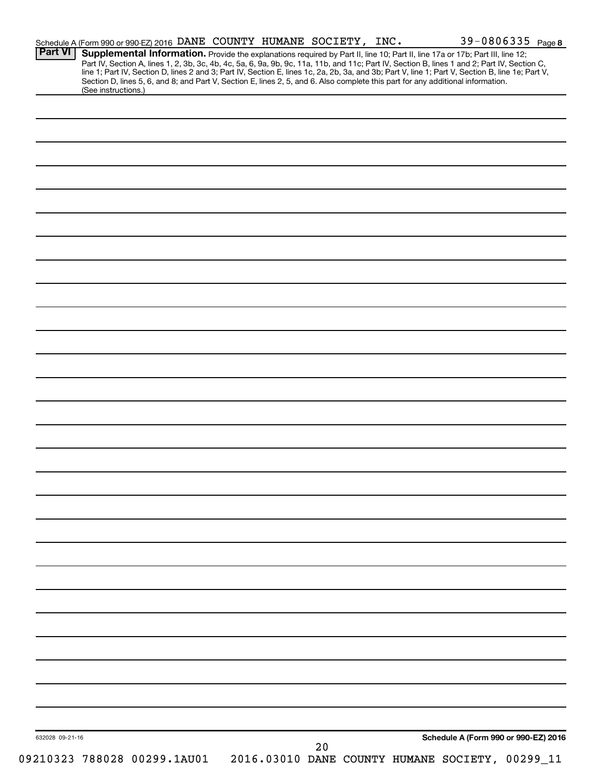| Supplemental Information. Provide the explanations required by Part II, line 10; Part II, line 17a or 17b; Part III, line 12;<br>Part IV, Section A, lines 1, 2, 3b, 3c, 4b, 4c, 5a, 6, 9a, 9b, 9c, 11a, 11b, and 11c; Part IV, Section B, lines 1 and 2; Part IV, Section C,<br>line 1; Part IV, Section D, lines 2 and 3; Part IV, Section E, lines 1c, 2a, 2b,<br>Section D, lines 5, 6, and 8; and Part V, Section E, lines 2, 5, and 6. Also complete this part for any additional information.<br>(See instructions.)<br>Schedule A (Form 990 or 990-EZ) 2016<br>20 | <b>Part VI</b>  | Schedule A (Form 990 or 990-EZ) 2016 DANE COUNTY HUMANE SOCIETY, INC. |  |  | 39-0806335 Page 8 |  |
|---------------------------------------------------------------------------------------------------------------------------------------------------------------------------------------------------------------------------------------------------------------------------------------------------------------------------------------------------------------------------------------------------------------------------------------------------------------------------------------------------------------------------------------------------------------------------|-----------------|-----------------------------------------------------------------------|--|--|-------------------|--|
|                                                                                                                                                                                                                                                                                                                                                                                                                                                                                                                                                                           |                 |                                                                       |  |  |                   |  |
|                                                                                                                                                                                                                                                                                                                                                                                                                                                                                                                                                                           |                 |                                                                       |  |  |                   |  |
|                                                                                                                                                                                                                                                                                                                                                                                                                                                                                                                                                                           |                 |                                                                       |  |  |                   |  |
|                                                                                                                                                                                                                                                                                                                                                                                                                                                                                                                                                                           |                 |                                                                       |  |  |                   |  |
|                                                                                                                                                                                                                                                                                                                                                                                                                                                                                                                                                                           |                 |                                                                       |  |  |                   |  |
|                                                                                                                                                                                                                                                                                                                                                                                                                                                                                                                                                                           |                 |                                                                       |  |  |                   |  |
|                                                                                                                                                                                                                                                                                                                                                                                                                                                                                                                                                                           |                 |                                                                       |  |  |                   |  |
|                                                                                                                                                                                                                                                                                                                                                                                                                                                                                                                                                                           |                 |                                                                       |  |  |                   |  |
|                                                                                                                                                                                                                                                                                                                                                                                                                                                                                                                                                                           |                 |                                                                       |  |  |                   |  |
|                                                                                                                                                                                                                                                                                                                                                                                                                                                                                                                                                                           |                 |                                                                       |  |  |                   |  |
|                                                                                                                                                                                                                                                                                                                                                                                                                                                                                                                                                                           |                 |                                                                       |  |  |                   |  |
|                                                                                                                                                                                                                                                                                                                                                                                                                                                                                                                                                                           |                 |                                                                       |  |  |                   |  |
|                                                                                                                                                                                                                                                                                                                                                                                                                                                                                                                                                                           |                 |                                                                       |  |  |                   |  |
|                                                                                                                                                                                                                                                                                                                                                                                                                                                                                                                                                                           |                 |                                                                       |  |  |                   |  |
|                                                                                                                                                                                                                                                                                                                                                                                                                                                                                                                                                                           |                 |                                                                       |  |  |                   |  |
|                                                                                                                                                                                                                                                                                                                                                                                                                                                                                                                                                                           |                 |                                                                       |  |  |                   |  |
|                                                                                                                                                                                                                                                                                                                                                                                                                                                                                                                                                                           |                 |                                                                       |  |  |                   |  |
|                                                                                                                                                                                                                                                                                                                                                                                                                                                                                                                                                                           |                 |                                                                       |  |  |                   |  |
|                                                                                                                                                                                                                                                                                                                                                                                                                                                                                                                                                                           |                 |                                                                       |  |  |                   |  |
|                                                                                                                                                                                                                                                                                                                                                                                                                                                                                                                                                                           |                 |                                                                       |  |  |                   |  |
|                                                                                                                                                                                                                                                                                                                                                                                                                                                                                                                                                                           |                 |                                                                       |  |  |                   |  |
|                                                                                                                                                                                                                                                                                                                                                                                                                                                                                                                                                                           |                 |                                                                       |  |  |                   |  |
|                                                                                                                                                                                                                                                                                                                                                                                                                                                                                                                                                                           |                 |                                                                       |  |  |                   |  |
|                                                                                                                                                                                                                                                                                                                                                                                                                                                                                                                                                                           |                 |                                                                       |  |  |                   |  |
|                                                                                                                                                                                                                                                                                                                                                                                                                                                                                                                                                                           |                 |                                                                       |  |  |                   |  |
|                                                                                                                                                                                                                                                                                                                                                                                                                                                                                                                                                                           |                 |                                                                       |  |  |                   |  |
|                                                                                                                                                                                                                                                                                                                                                                                                                                                                                                                                                                           |                 |                                                                       |  |  |                   |  |
|                                                                                                                                                                                                                                                                                                                                                                                                                                                                                                                                                                           |                 |                                                                       |  |  |                   |  |
|                                                                                                                                                                                                                                                                                                                                                                                                                                                                                                                                                                           |                 |                                                                       |  |  |                   |  |
|                                                                                                                                                                                                                                                                                                                                                                                                                                                                                                                                                                           |                 |                                                                       |  |  |                   |  |
|                                                                                                                                                                                                                                                                                                                                                                                                                                                                                                                                                                           |                 |                                                                       |  |  |                   |  |
|                                                                                                                                                                                                                                                                                                                                                                                                                                                                                                                                                                           |                 |                                                                       |  |  |                   |  |
|                                                                                                                                                                                                                                                                                                                                                                                                                                                                                                                                                                           |                 |                                                                       |  |  |                   |  |
|                                                                                                                                                                                                                                                                                                                                                                                                                                                                                                                                                                           |                 |                                                                       |  |  |                   |  |
|                                                                                                                                                                                                                                                                                                                                                                                                                                                                                                                                                                           |                 |                                                                       |  |  |                   |  |
|                                                                                                                                                                                                                                                                                                                                                                                                                                                                                                                                                                           |                 |                                                                       |  |  |                   |  |
|                                                                                                                                                                                                                                                                                                                                                                                                                                                                                                                                                                           |                 |                                                                       |  |  |                   |  |
|                                                                                                                                                                                                                                                                                                                                                                                                                                                                                                                                                                           |                 |                                                                       |  |  |                   |  |
|                                                                                                                                                                                                                                                                                                                                                                                                                                                                                                                                                                           |                 |                                                                       |  |  |                   |  |
|                                                                                                                                                                                                                                                                                                                                                                                                                                                                                                                                                                           |                 |                                                                       |  |  |                   |  |
|                                                                                                                                                                                                                                                                                                                                                                                                                                                                                                                                                                           |                 |                                                                       |  |  |                   |  |
|                                                                                                                                                                                                                                                                                                                                                                                                                                                                                                                                                                           |                 |                                                                       |  |  |                   |  |
|                                                                                                                                                                                                                                                                                                                                                                                                                                                                                                                                                                           |                 |                                                                       |  |  |                   |  |
|                                                                                                                                                                                                                                                                                                                                                                                                                                                                                                                                                                           |                 |                                                                       |  |  |                   |  |
|                                                                                                                                                                                                                                                                                                                                                                                                                                                                                                                                                                           |                 |                                                                       |  |  |                   |  |
|                                                                                                                                                                                                                                                                                                                                                                                                                                                                                                                                                                           |                 |                                                                       |  |  |                   |  |
|                                                                                                                                                                                                                                                                                                                                                                                                                                                                                                                                                                           |                 |                                                                       |  |  |                   |  |
|                                                                                                                                                                                                                                                                                                                                                                                                                                                                                                                                                                           |                 |                                                                       |  |  |                   |  |
|                                                                                                                                                                                                                                                                                                                                                                                                                                                                                                                                                                           |                 |                                                                       |  |  |                   |  |
|                                                                                                                                                                                                                                                                                                                                                                                                                                                                                                                                                                           |                 |                                                                       |  |  |                   |  |
|                                                                                                                                                                                                                                                                                                                                                                                                                                                                                                                                                                           | 632028 09-21-16 |                                                                       |  |  |                   |  |
| 09210323 788028 00299.1AU01<br>2016.03010 DANE COUNTY HUMANE SOCIETY, 00299_11                                                                                                                                                                                                                                                                                                                                                                                                                                                                                            |                 |                                                                       |  |  |                   |  |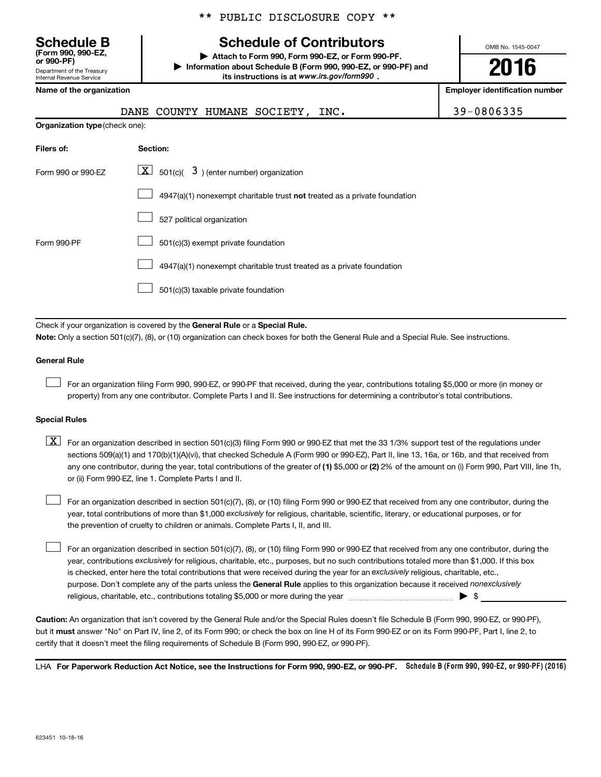\*\* PUBLIC DISCLOSURE COPY \*\*

## **Schedule B Schedule of Contributors**

**or 990-PF) | Attach to Form 990, Form 990-EZ, or Form 990-PF. | Information about Schedule B (Form 990, 990-EZ, or 990-PF) and** its instructions is at www.irs.gov/form990.

OMB No. 1545-0047

**2016**

**Name of the organization Employer identification number**

| (Form 990, 990-EZ,<br>or 990-PF)                              |  |
|---------------------------------------------------------------|--|
| Department of the Treasury<br><b>Internal Revenue Service</b> |  |

**Organization type** (check one):

| DANE COUNTY HUMANE SOCIETY, INC. | 39-0806335 |
|----------------------------------|------------|
|----------------------------------|------------|

| Filers of:         | Section:                                                                  |
|--------------------|---------------------------------------------------------------------------|
| Form 990 or 990-FZ | $\boxed{\textbf{X}}$ 501(c)( 3) (enter number) organization               |
|                    | 4947(a)(1) nonexempt charitable trust not treated as a private foundation |
|                    | 527 political organization                                                |
| Form 990-PF        | 501(c)(3) exempt private foundation                                       |
|                    | 4947(a)(1) nonexempt charitable trust treated as a private foundation     |
|                    | 501(c)(3) taxable private foundation                                      |

Check if your organization is covered by the General Rule or a Special Rule.

**Note:**  Only a section 501(c)(7), (8), or (10) organization can check boxes for both the General Rule and a Special Rule. See instructions.

### **General Rule**

 $\Box$ 

For an organization filing Form 990, 990-EZ, or 990-PF that received, during the year, contributions totaling \$5,000 or more (in money or property) from any one contributor. Complete Parts I and II. See instructions for determining a contributor's total contributions.

### **Special Rules**

any one contributor, during the year, total contributions of the greater of **(1)** \$5,000 or **(2)** 2% of the amount on (i) Form 990, Part VIII, line 1h,  $\boxed{\text{X}}$  For an organization described in section 501(c)(3) filing Form 990 or 990-EZ that met the 33 1/3% support test of the regulations under sections 509(a)(1) and 170(b)(1)(A)(vi), that checked Schedule A (Form 990 or 990-EZ), Part II, line 13, 16a, or 16b, and that received from or (ii) Form 990-EZ, line 1. Complete Parts I and II.

year, total contributions of more than \$1,000 *exclusively* for religious, charitable, scientific, literary, or educational purposes, or for For an organization described in section 501(c)(7), (8), or (10) filing Form 990 or 990-EZ that received from any one contributor, during the the prevention of cruelty to children or animals. Complete Parts I, II, and III.  $\Box$ 

purpose. Don't complete any of the parts unless the General Rule applies to this organization because it received nonexclusively year, contributions exclusively for religious, charitable, etc., purposes, but no such contributions totaled more than \$1,000. If this box is checked, enter here the total contributions that were received during the year for an exclusively religious, charitable, etc., For an organization described in section 501(c)(7), (8), or (10) filing Form 990 or 990-EZ that received from any one contributor, during the religious, charitable, etc., contributions totaling \$5,000 or more during the year  $\ldots$  $\ldots$  $\ldots$  $\ldots$  $\ldots$  $\ldots$  $\Box$ 

**Caution:**  An organization that isn't covered by the General Rule and/or the Special Rules doesn't file Schedule B (Form 990, 990-EZ, or 990-PF),  **must** but it answer "No" on Part IV, line 2, of its Form 990; or check the box on line H of its Form 990-EZ or on its Form 990-PF, Part I, line 2, to certify that it doesn't meet the filing requirements of Schedule B (Form 990, 990-EZ, or 990-PF).

LHA For Paperwork Reduction Act Notice, see the Instructions for Form 990, 990-EZ, or 990-PF. Schedule B (Form 990, 990-EZ, or 990-PF) (2016)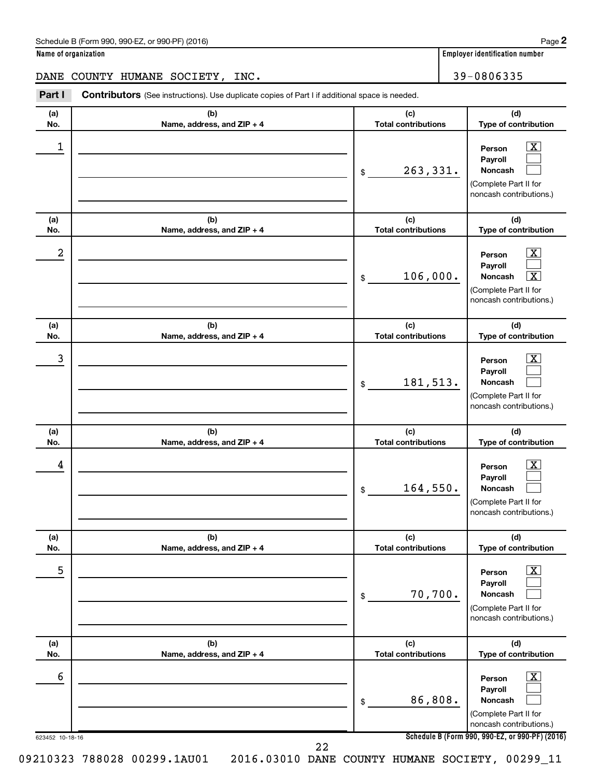| Schedule B (Form 990, 990-EZ, or 990-PF) (2016) | Page |
|-------------------------------------------------|------|
|-------------------------------------------------|------|

**Name of organization Employer identification number**

DANE COUNTY HUMANE SOCIETY, INC. 39-0806335

623452 10-18-16 **Schedule B (Form 990, 990-EZ, or 990-PF) (2016) (a) No. (b) Name, address, and ZIP + 4 (c) Total contributions (d) Type of contribution Person Payroll Noncash (a) No. (b) Name, address, and ZIP + 4 (c) Total contributions (d) Type of contribution Person Payroll Noncash (a) No. (b) Name, address, and ZIP + 4 (c) Total contributions (d) Type of contribution Person Payroll Noncash (a) No. (b) Name, address, and ZIP + 4 (c) Total contributions (d) Type of contribution Person Payroll Noncash (a) No. (b) Name, address, and ZIP + 4 (c) Total contributions (d) Type of contribution Person Payroll Noncash (a) No. (b) Name, address, and ZIP + 4 (c) Total contributions (d) Type of contribution Person Payroll Noncash Part I** Contributors (See instructions). Use duplicate copies of Part I if additional space is needed. \$ (Complete Part II for noncash contributions.) \$ (Complete Part II for noncash contributions.) \$ (Complete Part II for noncash contributions.) \$ (Complete Part II for noncash contributions.) \$ (Complete Part II for noncash contributions.) \$ (Complete Part II for noncash contributions.)  $\lfloor x \rfloor$  $\Box$  $\Box$  $\boxed{\text{X}}$  $\Box$ †  $\boxed{\textbf{X}}$  $\Box$  $\Box$  $\boxed{\textbf{X}}$  $\Box$  $\Box$  $\boxed{\text{X}}$  $\Box$  $\Box$  $\boxed{\text{X}}$  $\Box$  $\Box$  $\begin{array}{|c|c|c|c|c|}\hline \ \text{1} & \text{Person} & \text{X} \ \hline \end{array}$ 263,331.  $2$  Person  $\overline{\text{X}}$  $106,000.$  $\begin{array}{|c|c|c|c|c|c|}\hline \text{3} & \text{Person} & \text{X} \ \hline \end{array}$ 181,513.  $\begin{array}{|c|c|c|c|c|}\hline \text{4} & \text{Person} & \text{\textbf{X}}\ \hline \end{array}$ 164,550. 5 X 70,700.  $\overline{6}$  Person  $\overline{X}$ 86,808. 09210323 788028 00299.1AU01 2016.03010 DANE COUNTY HUMANE SOCIETY, 00299\_11 22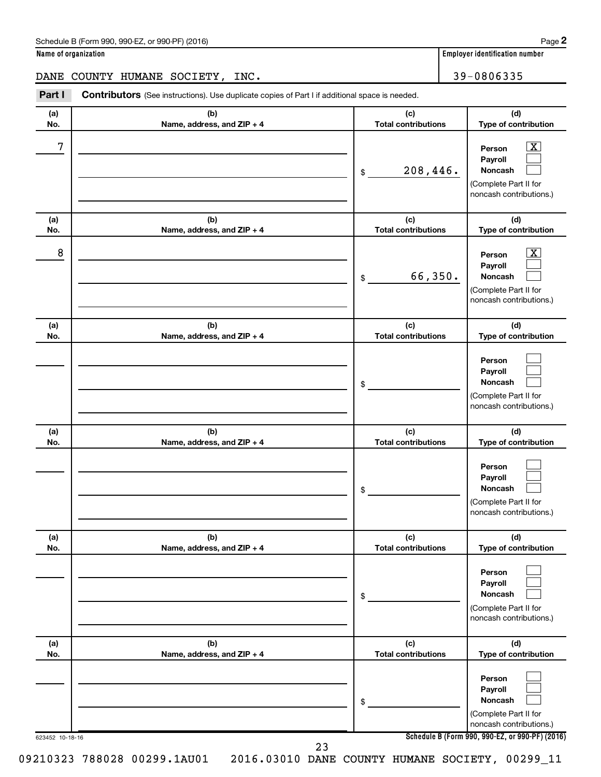| Schedule B (Form 990, 990-EZ, or 990-PF) (2016) | Page |
|-------------------------------------------------|------|
|-------------------------------------------------|------|

DANE COUNTY HUMANE SOCIETY, INC.  $\vert$  39-0806335

623452 10-18-16 **Schedule B (Form 990, 990-EZ, or 990-PF) (2016) (a) No. (b) Name, address, and ZIP + 4 (c) Total contributions (d) Type of contribution Person Payroll Noncash (a) No. (b) Name, address, and ZIP + 4 (c) Total contributions (d) Type of contribution Person Payroll Noncash (a) No. (b) Name, address, and ZIP + 4 (c) Total contributions (d) Type of contribution Person Payroll Noncash (a) No. (b) Name, address, and ZIP + 4 (c) Total contributions (d) Type of contribution Person Payroll Noncash (a) No. (b) Name, address, and ZIP + 4 (c) Total contributions (d) Type of contribution Person Payroll Noncash (a) No. (b) Name, address, and ZIP + 4 (c) Total contributions (d) Type of contribution Person Payroll Noncash Part I** Contributors (See instructions). Use duplicate copies of Part I if additional space is needed. \$ (Complete Part II for noncash contributions.) \$ (Complete Part II for noncash contributions.) \$ (Complete Part II for noncash contributions.) \$ (Complete Part II for noncash contributions.) \$ (Complete Part II for noncash contributions.) \$ (Complete Part II for noncash contributions.)  $\lfloor x \rfloor$  $\Box$  $\Box$  $\overline{\mathbf{X}}$  $\Box$  $\Box$  $\Box$  $\Box$  $\Box$  $\Box$  $\Box$  $\Box$  $\Box$  $\Box$  $\Box$  $\Box$  $\Box$  $\Box$  $7$   $|$  Person  $\overline{\text{X}}$ 208,446.  $8$  Person  $\overline{\text{X}}$ 66,350.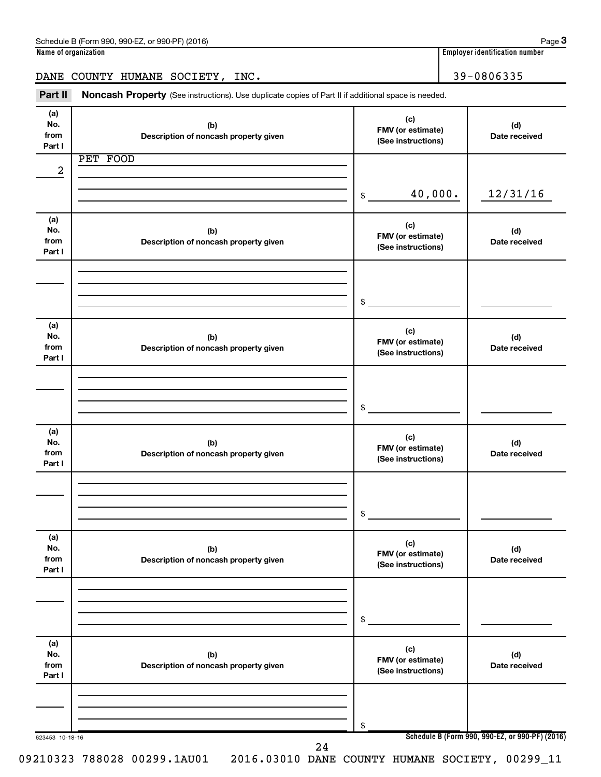| Schedule<br>(2016)<br>990-EZ<br>990-PF<br>m 990<br>or<br>∙orm<br>в | Page                                    |
|--------------------------------------------------------------------|-----------------------------------------|
| Name<br>of organization (                                          | <br>, identification number<br>Emplover |

| mployer identification number: |  |
|--------------------------------|--|
|                                |  |

DANE COUNTY HUMANE SOCIETY, INC. 49 | 39-0806335

Part II Noncash Property (See instructions). Use duplicate copies of Part II if additional space is needed.

| No.<br>from     | (b)<br>Description of noncash property given | (c)<br>FMV (or estimate)<br>(See instructions) | (d)<br>Date received                            |
|-----------------|----------------------------------------------|------------------------------------------------|-------------------------------------------------|
| Part I          | PET FOOD                                     |                                                |                                                 |
| 2               |                                              |                                                |                                                 |
|                 |                                              |                                                |                                                 |
|                 |                                              | 40,000.<br>$\frac{1}{2}$                       | 12/31/16                                        |
|                 |                                              |                                                |                                                 |
| (a)             |                                              | (c)                                            |                                                 |
| No.             | (b)                                          | FMV (or estimate)                              | (d)                                             |
| from            | Description of noncash property given        | (See instructions)                             | Date received                                   |
| Part I          |                                              |                                                |                                                 |
|                 |                                              |                                                |                                                 |
|                 |                                              |                                                |                                                 |
|                 |                                              | \$                                             |                                                 |
|                 |                                              |                                                |                                                 |
| (a)             |                                              | (c)                                            |                                                 |
| No.             | (b)                                          | FMV (or estimate)                              | (d)                                             |
| from<br>Part I  | Description of noncash property given        | (See instructions)                             | Date received                                   |
|                 |                                              |                                                |                                                 |
|                 |                                              |                                                |                                                 |
|                 |                                              |                                                |                                                 |
|                 |                                              | \$                                             |                                                 |
|                 |                                              |                                                |                                                 |
| (a)             |                                              | (c)                                            |                                                 |
| No.             | (b)                                          | FMV (or estimate)                              | (d)                                             |
| from<br>Part I  | Description of noncash property given        | (See instructions)                             | Date received                                   |
|                 |                                              |                                                |                                                 |
|                 |                                              |                                                |                                                 |
|                 |                                              |                                                |                                                 |
|                 |                                              | \$                                             |                                                 |
|                 |                                              |                                                |                                                 |
| (a)             |                                              | (c)                                            |                                                 |
| No.<br>from     | (b)<br>Description of noncash property given | FMV (or estimate)                              | (d)<br>Date received                            |
| Part I          |                                              | (See instructions)                             |                                                 |
|                 |                                              |                                                |                                                 |
|                 |                                              |                                                |                                                 |
|                 |                                              |                                                |                                                 |
|                 |                                              | \$                                             |                                                 |
|                 |                                              |                                                |                                                 |
| (a)<br>No.      | (b)                                          | (c)                                            | (d)                                             |
| from            | Description of noncash property given        | FMV (or estimate)                              | Date received                                   |
| Part I          |                                              | (See instructions)                             |                                                 |
|                 |                                              |                                                |                                                 |
|                 |                                              |                                                |                                                 |
|                 |                                              |                                                |                                                 |
|                 |                                              | \$                                             |                                                 |
| 623453 10-18-16 | 24                                           |                                                | Schedule B (Form 990, 990-EZ, or 990-PF) (2016) |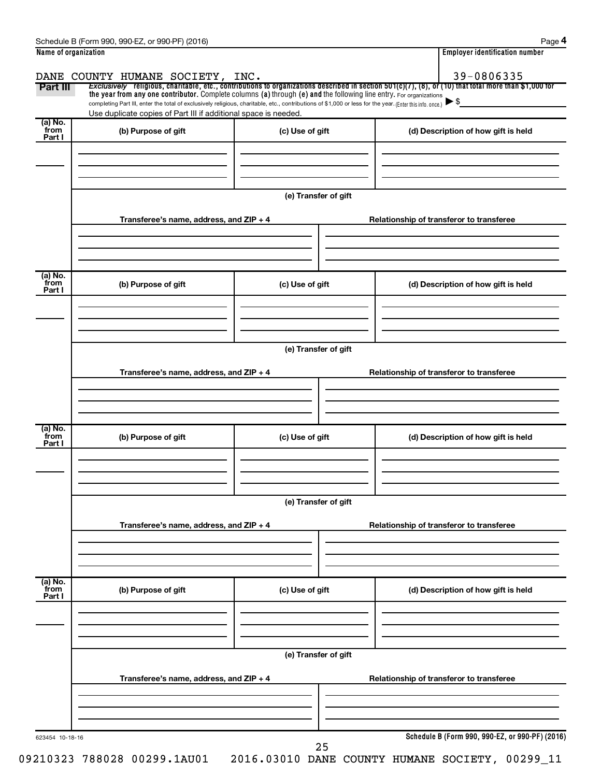| Name of organization |                                                                                                                                                          |                      |  | <b>Employer identification number</b>                                                                                                                 |  |  |  |  |
|----------------------|----------------------------------------------------------------------------------------------------------------------------------------------------------|----------------------|--|-------------------------------------------------------------------------------------------------------------------------------------------------------|--|--|--|--|
|                      | DANE COUNTY HUMANE SOCIETY, INC.                                                                                                                         |                      |  | 39-0806335                                                                                                                                            |  |  |  |  |
| Part III             | the year from any one contributor. Complete columns (a) through (e) and the following line entry. For organizations                                      |                      |  | Exclusively religious, charitable, etc., contributions to organizations described in section 501(c)(7), (8), or (10) that total more than \$1,000 for |  |  |  |  |
|                      | completing Part III, enter the total of exclusively religious, charitable, etc., contributions of \$1,000 or less for the year. (Enter this info. once.) |                      |  |                                                                                                                                                       |  |  |  |  |
| (a) No.              | Use duplicate copies of Part III if additional space is needed.                                                                                          |                      |  |                                                                                                                                                       |  |  |  |  |
| from<br>Part I       | (b) Purpose of gift                                                                                                                                      | (c) Use of gift      |  | (d) Description of how gift is held                                                                                                                   |  |  |  |  |
|                      |                                                                                                                                                          |                      |  |                                                                                                                                                       |  |  |  |  |
|                      |                                                                                                                                                          |                      |  |                                                                                                                                                       |  |  |  |  |
|                      |                                                                                                                                                          |                      |  |                                                                                                                                                       |  |  |  |  |
|                      |                                                                                                                                                          | (e) Transfer of gift |  |                                                                                                                                                       |  |  |  |  |
|                      | Transferee's name, address, and ZIP + 4                                                                                                                  |                      |  | Relationship of transferor to transferee                                                                                                              |  |  |  |  |
|                      |                                                                                                                                                          |                      |  |                                                                                                                                                       |  |  |  |  |
|                      |                                                                                                                                                          |                      |  |                                                                                                                                                       |  |  |  |  |
|                      |                                                                                                                                                          |                      |  |                                                                                                                                                       |  |  |  |  |
| (a) No.<br>from      | (b) Purpose of gift                                                                                                                                      | (c) Use of gift      |  | (d) Description of how gift is held                                                                                                                   |  |  |  |  |
| Part I               |                                                                                                                                                          |                      |  |                                                                                                                                                       |  |  |  |  |
|                      |                                                                                                                                                          |                      |  |                                                                                                                                                       |  |  |  |  |
|                      |                                                                                                                                                          |                      |  |                                                                                                                                                       |  |  |  |  |
|                      | (e) Transfer of gift                                                                                                                                     |                      |  |                                                                                                                                                       |  |  |  |  |
|                      | Transferee's name, address, and ZIP + 4                                                                                                                  |                      |  | Relationship of transferor to transferee                                                                                                              |  |  |  |  |
|                      |                                                                                                                                                          |                      |  |                                                                                                                                                       |  |  |  |  |
|                      |                                                                                                                                                          |                      |  |                                                                                                                                                       |  |  |  |  |
|                      |                                                                                                                                                          |                      |  |                                                                                                                                                       |  |  |  |  |
| (a) No.<br>from      | (b) Purpose of gift                                                                                                                                      | (c) Use of gift      |  | (d) Description of how gift is held                                                                                                                   |  |  |  |  |
| Part I               |                                                                                                                                                          |                      |  |                                                                                                                                                       |  |  |  |  |
|                      |                                                                                                                                                          |                      |  |                                                                                                                                                       |  |  |  |  |
|                      |                                                                                                                                                          |                      |  |                                                                                                                                                       |  |  |  |  |
|                      | (e) Transfer of gift                                                                                                                                     |                      |  |                                                                                                                                                       |  |  |  |  |
|                      |                                                                                                                                                          |                      |  |                                                                                                                                                       |  |  |  |  |
|                      | Transferee's name, address, and ZIP + 4                                                                                                                  |                      |  | Relationship of transferor to transferee                                                                                                              |  |  |  |  |
|                      |                                                                                                                                                          |                      |  |                                                                                                                                                       |  |  |  |  |
|                      |                                                                                                                                                          |                      |  |                                                                                                                                                       |  |  |  |  |
| (a) No.<br>from      | (b) Purpose of gift                                                                                                                                      | (c) Use of gift      |  | (d) Description of how gift is held                                                                                                                   |  |  |  |  |
| Part I               |                                                                                                                                                          |                      |  |                                                                                                                                                       |  |  |  |  |
|                      |                                                                                                                                                          |                      |  |                                                                                                                                                       |  |  |  |  |
|                      |                                                                                                                                                          |                      |  |                                                                                                                                                       |  |  |  |  |
|                      |                                                                                                                                                          | (e) Transfer of gift |  |                                                                                                                                                       |  |  |  |  |
|                      |                                                                                                                                                          |                      |  |                                                                                                                                                       |  |  |  |  |
|                      | Transferee's name, address, and ZIP + 4                                                                                                                  |                      |  | Relationship of transferor to transferee                                                                                                              |  |  |  |  |
|                      |                                                                                                                                                          |                      |  |                                                                                                                                                       |  |  |  |  |
|                      |                                                                                                                                                          |                      |  |                                                                                                                                                       |  |  |  |  |
|                      |                                                                                                                                                          |                      |  | Schedule B (Form 990, 990-EZ, or 990-PF) (2016)                                                                                                       |  |  |  |  |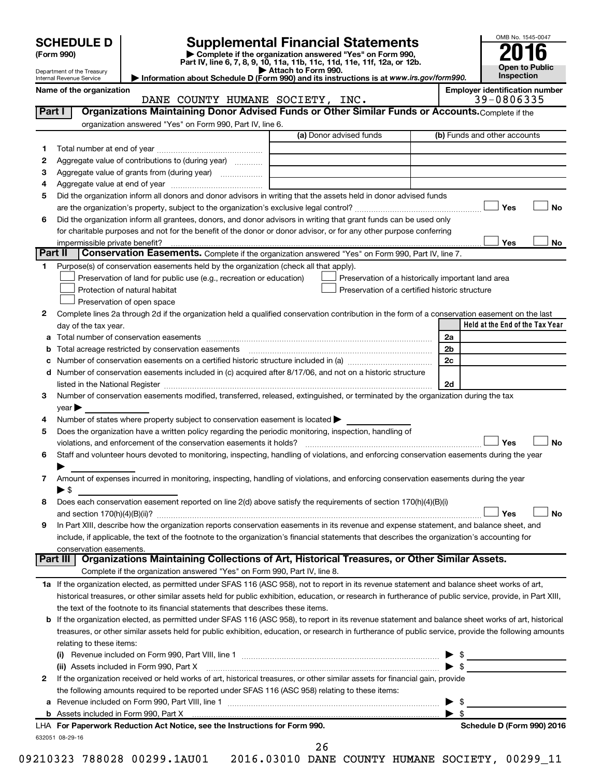Department of the Treasury Internal Revenue Service

# **SCHEDULE D Supplemental Financial Statements**<br> **Form 990 2016**<br> **Part IV** line 6.7.8.9.10, 11a, 11b, 11d, 11d, 11d, 11d, 11d, 12a, 0r, 12b

**(Form 990) | Complete if the organization answered "Yes" on Form 990, Part IV, line 6, 7, 8, 9, 10, 11a, 11b, 11c, 11d, 11e, 11f, 12a, or 12b.**

**| Attach to Form 990. | Information about Schedule D (Form 990) and its instructions is at**  *www.irs.gov/form990.*



Name of the organization<br>**DANE COUNTY HUMANE SOCIETY, INC.** Employer identification number DANE COUNTY HUMANE SOCIETY, INC.

| Part I  | Organizations Maintaining Donor Advised Funds or Other Similar Funds or Accounts. Complete if the                                                                                                                              |      |                                                    |
|---------|--------------------------------------------------------------------------------------------------------------------------------------------------------------------------------------------------------------------------------|------|----------------------------------------------------|
|         | organization answered "Yes" on Form 990, Part IV, line 6.                                                                                                                                                                      |      |                                                    |
|         | (a) Donor advised funds                                                                                                                                                                                                        |      | (b) Funds and other accounts                       |
| 1.      |                                                                                                                                                                                                                                |      |                                                    |
| 2       | Aggregate value of contributions to (during year)                                                                                                                                                                              |      |                                                    |
| З       | Aggregate value of grants from (during year)                                                                                                                                                                                   |      |                                                    |
| 4       |                                                                                                                                                                                                                                |      |                                                    |
| 5       | Did the organization inform all donors and donor advisors in writing that the assets held in donor advised funds                                                                                                               |      |                                                    |
|         |                                                                                                                                                                                                                                |      | Yes<br>No                                          |
| 6       | Did the organization inform all grantees, donors, and donor advisors in writing that grant funds can be used only                                                                                                              |      |                                                    |
|         | for charitable purposes and not for the benefit of the donor or donor advisor, or for any other purpose conferring                                                                                                             |      |                                                    |
|         | impermissible private benefit?                                                                                                                                                                                                 |      | Yes<br>No                                          |
| Part II | Conservation Easements. Complete if the organization answered "Yes" on Form 990, Part IV, line 7.                                                                                                                              |      |                                                    |
| 1.      | Purpose(s) of conservation easements held by the organization (check all that apply).                                                                                                                                          |      |                                                    |
|         | Preservation of land for public use (e.g., recreation or education)                                                                                                                                                            |      | Preservation of a historically important land area |
|         | Protection of natural habitat                                                                                                                                                                                                  |      | Preservation of a certified historic structure     |
|         | Preservation of open space                                                                                                                                                                                                     |      |                                                    |
| 2       | Complete lines 2a through 2d if the organization held a qualified conservation contribution in the form of a conservation easement on the last                                                                                 |      |                                                    |
|         | day of the tax year.                                                                                                                                                                                                           |      | Held at the End of the Tax Year                    |
| а       |                                                                                                                                                                                                                                |      | 2a                                                 |
|         | Total acreage restricted by conservation easements                                                                                                                                                                             |      | 2 <sub>b</sub>                                     |
|         |                                                                                                                                                                                                                                |      | 2c                                                 |
| d       | Number of conservation easements included in (c) acquired after 8/17/06, and not on a historic structure                                                                                                                       |      |                                                    |
|         | listed in the National Register [111] in the National Register [11] in the National Register [11] in the National Register [11] in the National Register [11] in the National Register [11] in the National Register [11] in t |      | 2d                                                 |
| 3       | Number of conservation easements modified, transferred, released, extinguished, or terminated by the organization during the tax                                                                                               |      |                                                    |
|         | year                                                                                                                                                                                                                           |      |                                                    |
| 4       | Number of states where property subject to conservation easement is located >                                                                                                                                                  |      |                                                    |
| 5       | Does the organization have a written policy regarding the periodic monitoring, inspection, handling of                                                                                                                         |      |                                                    |
|         | violations, and enforcement of the conservation easements it holds?                                                                                                                                                            |      | Yes<br>No                                          |
| 6       | Staff and volunteer hours devoted to monitoring, inspecting, handling of violations, and enforcing conservation easements during the year                                                                                      |      |                                                    |
|         |                                                                                                                                                                                                                                |      |                                                    |
| 7       | Amount of expenses incurred in monitoring, inspecting, handling of violations, and enforcing conservation easements during the year                                                                                            |      |                                                    |
|         | ▶ \$                                                                                                                                                                                                                           |      |                                                    |
| 8       | Does each conservation easement reported on line 2(d) above satisfy the requirements of section 170(h)(4)(B)(i)                                                                                                                |      |                                                    |
|         |                                                                                                                                                                                                                                |      | No<br>Yes                                          |
| 9       | In Part XIII, describe how the organization reports conservation easements in its revenue and expense statement, and balance sheet, and                                                                                        |      |                                                    |
|         | include, if applicable, the text of the footnote to the organization's financial statements that describes the organization's accounting for                                                                                   |      |                                                    |
|         | conservation easements.                                                                                                                                                                                                        |      |                                                    |
|         | Organizations Maintaining Collections of Art, Historical Treasures, or Other Similar Assets.<br>Part III                                                                                                                       |      |                                                    |
|         | Complete if the organization answered "Yes" on Form 990, Part IV, line 8.                                                                                                                                                      |      |                                                    |
|         | 1a If the organization elected, as permitted under SFAS 116 (ASC 958), not to report in its revenue statement and balance sheet works of art,                                                                                  |      |                                                    |
|         | historical treasures, or other similar assets held for public exhibition, education, or research in furtherance of public service, provide, in Part XIII,                                                                      |      |                                                    |
|         | the text of the footnote to its financial statements that describes these items.                                                                                                                                               |      |                                                    |
|         | <b>b</b> If the organization elected, as permitted under SFAS 116 (ASC 958), to report in its revenue statement and balance sheet works of art, historical                                                                     |      |                                                    |
|         | treasures, or other similar assets held for public exhibition, education, or research in furtherance of public service, provide the following amounts                                                                          |      |                                                    |
|         | relating to these items:                                                                                                                                                                                                       |      |                                                    |
|         |                                                                                                                                                                                                                                |      | \$<br>▶                                            |
|         | (ii) Assets included in Form 990, Part X                                                                                                                                                                                       |      | $\blacktriangleright$ \$                           |
| 2       | If the organization received or held works of art, historical treasures, or other similar assets for financial gain, provide                                                                                                   |      |                                                    |
|         | the following amounts required to be reported under SFAS 116 (ASC 958) relating to these items:                                                                                                                                |      |                                                    |
|         |                                                                                                                                                                                                                                |      | \$<br>▶                                            |
|         |                                                                                                                                                                                                                                |      | $\blacktriangleright$ \$                           |
|         | LHA For Paperwork Reduction Act Notice, see the Instructions for Form 990.                                                                                                                                                     |      | Schedule D (Form 990) 2016                         |
|         | 632051 08-29-16                                                                                                                                                                                                                |      |                                                    |
|         |                                                                                                                                                                                                                                | ົດ ເ |                                                    |

26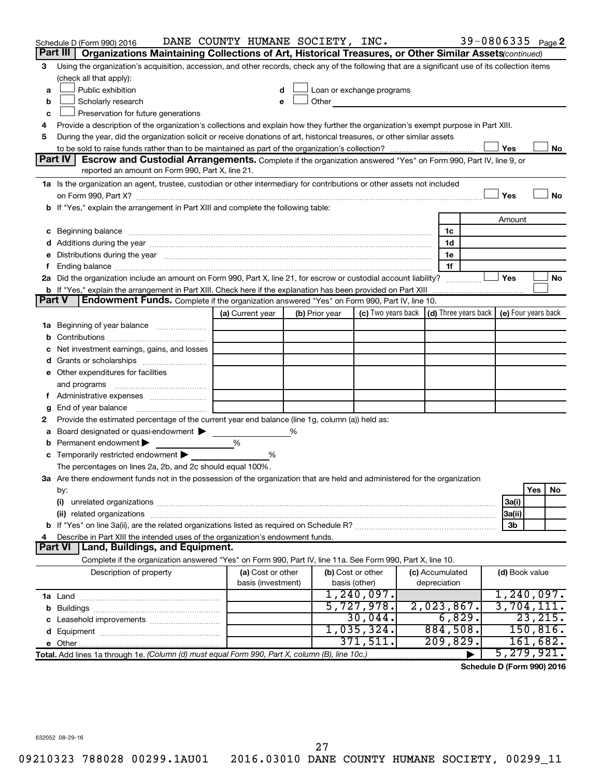|               | Schedule D (Form 990) 2016                                                                                                                                                                                                     | DANE COUNTY HUMANE SOCIETY, INC. |                |               |                           |                      |                | 39-0806335 Page 2                                |
|---------------|--------------------------------------------------------------------------------------------------------------------------------------------------------------------------------------------------------------------------------|----------------------------------|----------------|---------------|---------------------------|----------------------|----------------|--------------------------------------------------|
|               | Part III  <br>Organizations Maintaining Collections of Art, Historical Treasures, or Other Similar Assets (continued)                                                                                                          |                                  |                |               |                           |                      |                |                                                  |
| 3             | Using the organization's acquisition, accession, and other records, check any of the following that are a significant use of its collection items                                                                              |                                  |                |               |                           |                      |                |                                                  |
|               | (check all that apply):                                                                                                                                                                                                        |                                  |                |               |                           |                      |                |                                                  |
| a             | Public exhibition                                                                                                                                                                                                              | d                                |                |               | Loan or exchange programs |                      |                |                                                  |
| b             | Scholarly research                                                                                                                                                                                                             | е                                | Other          |               |                           |                      |                |                                                  |
| с             | Preservation for future generations                                                                                                                                                                                            |                                  |                |               |                           |                      |                |                                                  |
| 4             | Provide a description of the organization's collections and explain how they further the organization's exempt purpose in Part XIII.                                                                                           |                                  |                |               |                           |                      |                |                                                  |
| 5             | During the year, did the organization solicit or receive donations of art, historical treasures, or other similar assets                                                                                                       |                                  |                |               |                           |                      |                |                                                  |
|               | Part IV<br>Escrow and Custodial Arrangements. Complete if the organization answered "Yes" on Form 990, Part IV, line 9, or                                                                                                     |                                  |                |               |                           |                      | Yes            | No                                               |
|               | reported an amount on Form 990, Part X, line 21.                                                                                                                                                                               |                                  |                |               |                           |                      |                |                                                  |
|               | 1a Is the organization an agent, trustee, custodian or other intermediary for contributions or other assets not included                                                                                                       |                                  |                |               |                           |                      |                |                                                  |
|               |                                                                                                                                                                                                                                |                                  |                |               |                           |                      | Yes            | No                                               |
|               | b If "Yes," explain the arrangement in Part XIII and complete the following table:                                                                                                                                             |                                  |                |               |                           |                      |                |                                                  |
|               |                                                                                                                                                                                                                                |                                  |                |               |                           |                      | Amount         |                                                  |
|               |                                                                                                                                                                                                                                |                                  |                |               |                           | 1c                   |                |                                                  |
|               |                                                                                                                                                                                                                                |                                  |                |               |                           | 1d                   |                |                                                  |
| е             | Distributions during the year manufactured and an account of the year manufactured and the year manufactured and the year manufactured and the year manufactured and the year manufactured and the year manufactured and the y |                                  |                |               |                           | 1e                   |                |                                                  |
| f.            |                                                                                                                                                                                                                                |                                  |                |               |                           | 1f                   |                |                                                  |
|               | 2a Did the organization include an amount on Form 990, Part X, line 21, for escrow or custodial account liability?                                                                                                             |                                  |                |               |                           |                      | Yes            | No                                               |
|               | <b>b</b> If "Yes," explain the arrangement in Part XIII. Check here if the explanation has been provided on Part XIII                                                                                                          |                                  |                |               |                           |                      |                |                                                  |
| <b>Part V</b> | Endowment Funds. Complete if the organization answered "Yes" on Form 990, Part IV, line 10.                                                                                                                                    |                                  |                |               |                           |                      |                |                                                  |
|               |                                                                                                                                                                                                                                | (a) Current year                 | (b) Prior year |               | (c) Two years back        |                      |                | (d) Three years back $\vert$ (e) Four years back |
|               | 1a Beginning of year balance                                                                                                                                                                                                   |                                  |                |               |                           |                      |                |                                                  |
| b             |                                                                                                                                                                                                                                |                                  |                |               |                           |                      |                |                                                  |
|               | Net investment earnings, gains, and losses                                                                                                                                                                                     |                                  |                |               |                           |                      |                |                                                  |
| d             |                                                                                                                                                                                                                                |                                  |                |               |                           |                      |                |                                                  |
|               | e Other expenditures for facilities                                                                                                                                                                                            |                                  |                |               |                           |                      |                |                                                  |
|               | and programs                                                                                                                                                                                                                   |                                  |                |               |                           |                      |                |                                                  |
|               |                                                                                                                                                                                                                                |                                  |                |               |                           |                      |                |                                                  |
| g<br>2        | Provide the estimated percentage of the current year end balance (line 1g, column (a)) held as:                                                                                                                                |                                  |                |               |                           |                      |                |                                                  |
| а             | Board designated or quasi-endowment                                                                                                                                                                                            |                                  | %              |               |                           |                      |                |                                                  |
| b             | Permanent endowment >                                                                                                                                                                                                          | %                                |                |               |                           |                      |                |                                                  |
| с             | Temporarily restricted endowment                                                                                                                                                                                               | %                                |                |               |                           |                      |                |                                                  |
|               | The percentages on lines 2a, 2b, and 2c should equal 100%.                                                                                                                                                                     |                                  |                |               |                           |                      |                |                                                  |
|               | 3a Are there endowment funds not in the possession of the organization that are held and administered for the organization                                                                                                     |                                  |                |               |                           |                      |                |                                                  |
|               | by:                                                                                                                                                                                                                            |                                  |                |               |                           |                      |                | Yes<br>No                                        |
|               | (i)                                                                                                                                                                                                                            |                                  |                |               |                           |                      | 3a(i)          |                                                  |
|               |                                                                                                                                                                                                                                |                                  |                |               |                           |                      | 3a(ii)         |                                                  |
|               |                                                                                                                                                                                                                                |                                  |                |               |                           |                      | 3b             |                                                  |
| 4             | Describe in Part XIII the intended uses of the organization's endowment funds.                                                                                                                                                 |                                  |                |               |                           |                      |                |                                                  |
|               | Part VI   Land, Buildings, and Equipment.                                                                                                                                                                                      |                                  |                |               |                           |                      |                |                                                  |
|               | Complete if the organization answered "Yes" on Form 990, Part IV, line 11a. See Form 990, Part X, line 10.                                                                                                                     |                                  |                |               |                           |                      |                |                                                  |
|               | Description of property                                                                                                                                                                                                        | (a) Cost or other                |                |               | (b) Cost or other         | (c) Accumulated      | (d) Book value |                                                  |
|               |                                                                                                                                                                                                                                | basis (investment)               |                | basis (other) |                           | depreciation         |                |                                                  |
|               |                                                                                                                                                                                                                                |                                  |                |               | 1,240,097.                |                      |                | 1,240,097.                                       |
|               |                                                                                                                                                                                                                                |                                  |                |               | 5,727,978.<br>30,044.     | 2,023,867.<br>6,829. |                | 3,704,111.<br>23,215.                            |
| c             |                                                                                                                                                                                                                                |                                  |                |               | 1,035,324.                | 884,508.             |                | 150, 816.                                        |
|               |                                                                                                                                                                                                                                |                                  |                |               | 371,511.                  | 209,829.             |                | 161,682.                                         |
|               |                                                                                                                                                                                                                                |                                  |                |               |                           |                      |                | 5, 279, 921.                                     |
|               |                                                                                                                                                                                                                                |                                  |                |               |                           |                      |                |                                                  |

**Schedule D (Form 990) 2016**

632052 08-29-16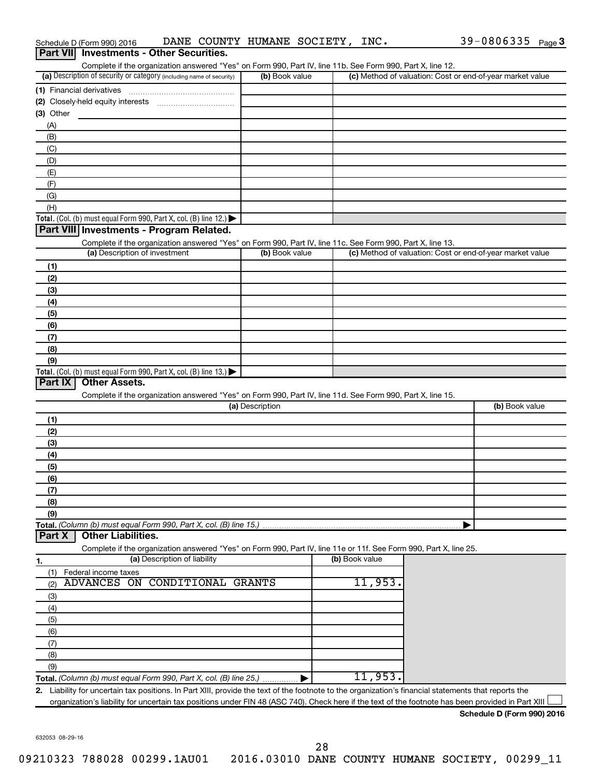| Part VII Investments - Other Securities.                                                                                                                                           |                 |                |                                                           |
|------------------------------------------------------------------------------------------------------------------------------------------------------------------------------------|-----------------|----------------|-----------------------------------------------------------|
| Complete if the organization answered "Yes" on Form 990, Part IV, line 11b. See Form 990, Part X, line 12.<br>(a) Description of security or category (including name of security) | (b) Book value  |                | (c) Method of valuation: Cost or end-of-year market value |
|                                                                                                                                                                                    |                 |                |                                                           |
|                                                                                                                                                                                    |                 |                |                                                           |
| (3) Other                                                                                                                                                                          |                 |                |                                                           |
| (A)                                                                                                                                                                                |                 |                |                                                           |
| (B)                                                                                                                                                                                |                 |                |                                                           |
| (C)                                                                                                                                                                                |                 |                |                                                           |
| (D)                                                                                                                                                                                |                 |                |                                                           |
| (E)                                                                                                                                                                                |                 |                |                                                           |
| (F)                                                                                                                                                                                |                 |                |                                                           |
| (G)                                                                                                                                                                                |                 |                |                                                           |
| (H)                                                                                                                                                                                |                 |                |                                                           |
| Total. (Col. (b) must equal Form 990, Part X, col. (B) line 12.) $\blacktriangleright$                                                                                             |                 |                |                                                           |
| Part VIII Investments - Program Related.                                                                                                                                           |                 |                |                                                           |
| Complete if the organization answered "Yes" on Form 990, Part IV, line 11c. See Form 990, Part X, line 13.<br>(a) Description of investment                                        | (b) Book value  |                | (c) Method of valuation: Cost or end-of-year market value |
|                                                                                                                                                                                    |                 |                |                                                           |
| (1)                                                                                                                                                                                |                 |                |                                                           |
| (2)<br>(3)                                                                                                                                                                         |                 |                |                                                           |
| (4)                                                                                                                                                                                |                 |                |                                                           |
| (5)                                                                                                                                                                                |                 |                |                                                           |
| (6)                                                                                                                                                                                |                 |                |                                                           |
| (7)                                                                                                                                                                                |                 |                |                                                           |
| (8)                                                                                                                                                                                |                 |                |                                                           |
| (9)                                                                                                                                                                                |                 |                |                                                           |
| Total. (Col. (b) must equal Form 990, Part X, col. (B) line 13.) $\blacktriangleright$                                                                                             |                 |                |                                                           |
| Part IX<br><b>Other Assets.</b>                                                                                                                                                    |                 |                |                                                           |
| Complete if the organization answered "Yes" on Form 990, Part IV, line 11d. See Form 990, Part X, line 15.                                                                         |                 |                |                                                           |
|                                                                                                                                                                                    | (a) Description |                | (b) Book value                                            |
| (1)                                                                                                                                                                                |                 |                |                                                           |
| (2)                                                                                                                                                                                |                 |                |                                                           |
| (3)                                                                                                                                                                                |                 |                |                                                           |
| (4)                                                                                                                                                                                |                 |                |                                                           |
| (5)                                                                                                                                                                                |                 |                |                                                           |
| (6)                                                                                                                                                                                |                 |                |                                                           |
| (7)                                                                                                                                                                                |                 |                |                                                           |
| (8)<br>(9)                                                                                                                                                                         |                 |                |                                                           |
| Total. (Column (b) must equal Form 990, Part X, col. (B) line 15.)                                                                                                                 |                 |                |                                                           |
| <b>Other Liabilities.</b><br>Part X                                                                                                                                                |                 |                |                                                           |
| Complete if the organization answered "Yes" on Form 990, Part IV, line 11e or 11f. See Form 990, Part X, line 25.                                                                  |                 |                |                                                           |
| (a) Description of liability<br>1.                                                                                                                                                 |                 | (b) Book value |                                                           |
| Federal income taxes<br>(1)                                                                                                                                                        |                 |                |                                                           |
| CONDITIONAL GRANTS<br><b>ADVANCES</b><br>ON<br>(2)                                                                                                                                 |                 | 11,953         |                                                           |
| (3)                                                                                                                                                                                |                 |                |                                                           |
| (4)                                                                                                                                                                                |                 |                |                                                           |
| (5)                                                                                                                                                                                |                 |                |                                                           |
| (6)                                                                                                                                                                                |                 |                |                                                           |
| (7)                                                                                                                                                                                |                 |                |                                                           |
| (8)                                                                                                                                                                                |                 |                |                                                           |
| (9)                                                                                                                                                                                |                 |                |                                                           |
| Total. (Column (b) must equal Form 990, Part X, col. (B) line 25.)                                                                                                                 |                 | 11,953.        |                                                           |
| 2. Liability for uncertain tax positions. In Part XIII, provide the text of the footnote to the organization's financial statements that reports the                               |                 |                |                                                           |
| organization's liability for uncertain tax positions under FIN 48 (ASC 740). Check here if the text of the footnote has been provided in Part XIII                                 |                 |                |                                                           |
|                                                                                                                                                                                    |                 |                | Schedule D (Form 990) 2016                                |

Schedule D (Form 990) 2016 **DANE COUNTY HUMANE SOCIETY,INC.** 39-0806335 <sub>Page</sub> 3

632053 08-29-16

28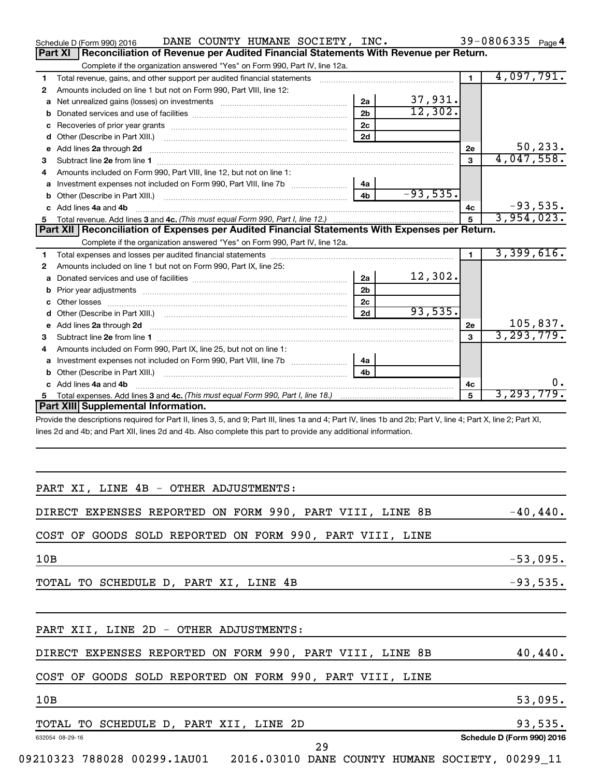|                | DANE COUNTY HUMANE SOCIETY, INC.<br>Schedule D (Form 990) 2016                                                                                                 |                |            |                | 39-0806335 Page 4 |            |
|----------------|----------------------------------------------------------------------------------------------------------------------------------------------------------------|----------------|------------|----------------|-------------------|------------|
| <b>Part XI</b> | Reconciliation of Revenue per Audited Financial Statements With Revenue per Return.                                                                            |                |            |                |                   |            |
|                | Complete if the organization answered "Yes" on Form 990, Part IV, line 12a.                                                                                    |                |            |                |                   |            |
| 1.             | Total revenue, gains, and other support per audited financial statements                                                                                       |                |            | $\blacksquare$ | 4,097,791.        |            |
| 2              | Amounts included on line 1 but not on Form 990, Part VIII, line 12:                                                                                            |                |            |                |                   |            |
| a              | Net unrealized gains (losses) on investments [111] [12] matter contracts and all all all all all all all all a                                                 | 2a             | 37,931.    |                |                   |            |
| b              |                                                                                                                                                                | 2 <sub>b</sub> | 12,302.    |                |                   |            |
| с              |                                                                                                                                                                | 2c             |            |                |                   |            |
| d              | Other (Describe in Part XIII.)                                                                                                                                 | 2d             |            |                |                   |            |
| e              | Add lines 2a through 2d                                                                                                                                        |                |            | 2e             |                   | 50, 233.   |
| З              | Subtract line 2e from line 1                                                                                                                                   |                |            | 3              | 4,047,558.        |            |
| 4              | Amounts included on Form 990, Part VIII, line 12, but not on line 1:                                                                                           |                |            |                |                   |            |
|                |                                                                                                                                                                | 4a             |            |                |                   |            |
| b              | Other (Describe in Part XIII.)                                                                                                                                 | 4b             | $-93,535.$ |                |                   |            |
|                | c Add lines 4a and 4b                                                                                                                                          |                |            | 4c             |                   | $-93,535.$ |
| 5.             |                                                                                                                                                                |                |            | 5              | 3,954,023.        |            |
|                | Part XII   Reconciliation of Expenses per Audited Financial Statements With Expenses per Return.                                                               |                |            |                |                   |            |
|                | Complete if the organization answered "Yes" on Form 990, Part IV, line 12a.                                                                                    |                |            |                |                   |            |
| 1.             |                                                                                                                                                                |                |            | $\blacksquare$ | 3,399,616.        |            |
| 2              | Amounts included on line 1 but not on Form 990, Part IX, line 25:                                                                                              |                |            |                |                   |            |
| a              |                                                                                                                                                                | 2a             | 12,302.    |                |                   |            |
| b              |                                                                                                                                                                | 2 <sub>b</sub> |            |                |                   |            |
| c              | Other losses                                                                                                                                                   | 2c             |            |                |                   |            |
| d              |                                                                                                                                                                | 2d             | 93,535.    |                |                   |            |
| е              | Add lines 2a through 2d                                                                                                                                        |                |            | 2e             |                   | 105,837.   |
| 3              | Subtract line 2e from line 1                                                                                                                                   |                |            | 3              | 3, 293, 779.      |            |
| 4              | Amounts included on Form 990, Part IX, line 25, but not on line 1:                                                                                             |                |            |                |                   |            |
|                |                                                                                                                                                                | 4a             |            |                |                   |            |
| b              | Other (Describe in Part XIII.)                                                                                                                                 | 4b             |            |                |                   |            |
|                | c Add lines 4a and 4b                                                                                                                                          |                |            | 4с             |                   |            |
| 5.             |                                                                                                                                                                |                |            | 5              | 3, 293, 779.      |            |
|                | Part XIII Supplemental Information.                                                                                                                            |                |            |                |                   |            |
|                | Provide the descriptions required for Part II, lines 3, 5, and 9; Part III, lines 1a and 4; Part IV, lines 1b and 2b; Part V, line 4; Part X, line 2; Part XI, |                |            |                |                   |            |
|                | lines 2d and 4b; and Part XII, lines 2d and 4b. Also complete this part to provide any additional information.                                                 |                |            |                |                   |            |
|                |                                                                                                                                                                |                |            |                |                   |            |
|                |                                                                                                                                                                |                |            |                |                   |            |
|                |                                                                                                                                                                |                |            |                |                   |            |
|                |                                                                                                                                                                |                |            |                |                   |            |
|                | PART XI, LINE 4B - OTHER ADJUSTMENTS:                                                                                                                          |                |            |                |                   |            |
|                |                                                                                                                                                                |                |            |                |                   |            |
|                | DIRECT EXPENSES REPORTED ON FORM 990, PART VIII, LINE 8B                                                                                                       |                |            |                |                   | $-40,440.$ |
|                |                                                                                                                                                                |                |            |                |                   |            |
|                | COST OF GOODS SOLD REPORTED ON FORM 990, PART VIII, LINE                                                                                                       |                |            |                |                   |            |
| 10B            |                                                                                                                                                                |                |            |                |                   |            |
|                |                                                                                                                                                                |                |            |                |                   | $-53,095.$ |
|                | TOTAL TO SCHEDULE D, PART XI, LINE 4B                                                                                                                          |                |            |                |                   | $-93,535.$ |
|                |                                                                                                                                                                |                |            |                |                   |            |
|                |                                                                                                                                                                |                |            |                |                   |            |
|                |                                                                                                                                                                |                |            |                |                   |            |

| PART XII, LINE 2D - OTHER ADJUSTMENTS:                   |            |
|----------------------------------------------------------|------------|
| DIRECT EXPENSES REPORTED ON FORM 990, PART VIII, LINE 8B | $40,440$ . |
| COST OF GOODS SOLD REPORTED ON FORM 990, PART VIII, LINE |            |
| 10B                                                      | 53,095.    |
| TOTAL TO SCHEDULE D, PART XII, LINE 2D                   | 93,535.    |

### 632054 08-29-16 **Schedule D (Form 990) 2016** 29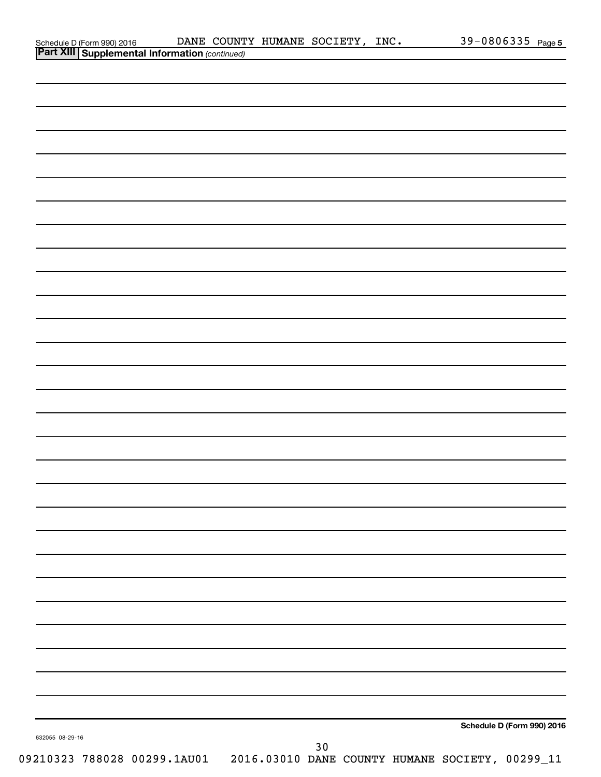|                                                                                         | DANE COUNTY HUMANE SOCIETY, INC. |  | 39-0806335 Page 5          |
|-----------------------------------------------------------------------------------------|----------------------------------|--|----------------------------|
| Schedule D (Form 990) 2016 DANE COUNT<br>Part XIII Supplemental Information (continued) |                                  |  |                            |
|                                                                                         |                                  |  |                            |
|                                                                                         |                                  |  |                            |
|                                                                                         |                                  |  |                            |
|                                                                                         |                                  |  |                            |
|                                                                                         |                                  |  |                            |
|                                                                                         |                                  |  |                            |
|                                                                                         |                                  |  |                            |
|                                                                                         |                                  |  |                            |
|                                                                                         |                                  |  |                            |
|                                                                                         |                                  |  |                            |
|                                                                                         |                                  |  |                            |
|                                                                                         |                                  |  |                            |
|                                                                                         |                                  |  |                            |
|                                                                                         |                                  |  |                            |
|                                                                                         |                                  |  |                            |
|                                                                                         |                                  |  |                            |
|                                                                                         |                                  |  |                            |
|                                                                                         |                                  |  |                            |
|                                                                                         |                                  |  |                            |
|                                                                                         |                                  |  |                            |
|                                                                                         |                                  |  |                            |
|                                                                                         |                                  |  |                            |
|                                                                                         |                                  |  |                            |
|                                                                                         |                                  |  |                            |
|                                                                                         |                                  |  |                            |
|                                                                                         |                                  |  |                            |
|                                                                                         |                                  |  |                            |
|                                                                                         |                                  |  |                            |
|                                                                                         |                                  |  |                            |
|                                                                                         |                                  |  |                            |
|                                                                                         |                                  |  |                            |
|                                                                                         |                                  |  |                            |
|                                                                                         |                                  |  |                            |
|                                                                                         |                                  |  |                            |
|                                                                                         |                                  |  |                            |
|                                                                                         |                                  |  |                            |
|                                                                                         |                                  |  |                            |
|                                                                                         |                                  |  |                            |
|                                                                                         |                                  |  |                            |
|                                                                                         |                                  |  |                            |
|                                                                                         |                                  |  |                            |
|                                                                                         |                                  |  |                            |
|                                                                                         |                                  |  |                            |
|                                                                                         |                                  |  |                            |
|                                                                                         |                                  |  |                            |
|                                                                                         |                                  |  |                            |
|                                                                                         |                                  |  |                            |
|                                                                                         |                                  |  |                            |
|                                                                                         |                                  |  | Schedule D (Form 990) 2016 |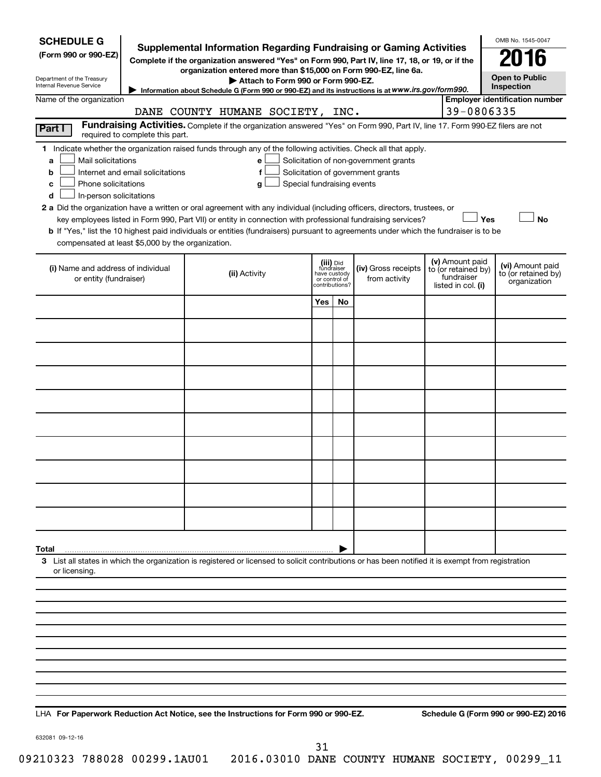| <b>SCHEDULE G</b><br><b>Supplemental Information Regarding Fundraising or Gaming Activities</b><br>(Form 990 or 990-EZ)<br>Complete if the organization answered "Yes" on Form 990, Part IV, line 17, 18, or 19, or if the<br>organization entered more than \$15,000 on Form 990-EZ, line 6a.<br>Department of the Treasury<br>Attach to Form 990 or Form 990-EZ.<br>Internal Revenue Service<br>Information about Schedule G (Form 990 or 990-EZ) and its instructions is at WWW.irs.gov/form990.                                                                                                                                                                                                                                                                                                                                       |                                 |                                                                                                                                                    |                                                                            |     |                                      |  |                                                                            | OMB No. 1545-0047<br>2016<br><b>Open to Public</b><br>Inspection |  |  |
|-------------------------------------------------------------------------------------------------------------------------------------------------------------------------------------------------------------------------------------------------------------------------------------------------------------------------------------------------------------------------------------------------------------------------------------------------------------------------------------------------------------------------------------------------------------------------------------------------------------------------------------------------------------------------------------------------------------------------------------------------------------------------------------------------------------------------------------------|---------------------------------|----------------------------------------------------------------------------------------------------------------------------------------------------|----------------------------------------------------------------------------|-----|--------------------------------------|--|----------------------------------------------------------------------------|------------------------------------------------------------------|--|--|
| Name of the organization                                                                                                                                                                                                                                                                                                                                                                                                                                                                                                                                                                                                                                                                                                                                                                                                                  |                                 |                                                                                                                                                    |                                                                            |     |                                      |  |                                                                            | <b>Employer identification number</b>                            |  |  |
|                                                                                                                                                                                                                                                                                                                                                                                                                                                                                                                                                                                                                                                                                                                                                                                                                                           |                                 | DANE COUNTY HUMANE SOCIETY, INC.                                                                                                                   |                                                                            |     |                                      |  | 39-0806335                                                                 |                                                                  |  |  |
| Part I                                                                                                                                                                                                                                                                                                                                                                                                                                                                                                                                                                                                                                                                                                                                                                                                                                    | required to complete this part. | Fundraising Activities. Complete if the organization answered "Yes" on Form 990, Part IV, line 17. Form 990-EZ filers are not                      |                                                                            |     |                                      |  |                                                                            |                                                                  |  |  |
| 1 Indicate whether the organization raised funds through any of the following activities. Check all that apply.<br>Mail solicitations<br>Solicitation of non-government grants<br>a<br>е<br>Internet and email solicitations<br>Solicitation of government grants<br>f<br>b<br>Phone solicitations<br>Special fundraising events<br>с<br>g<br>In-person solicitations<br>d<br>2 a Did the organization have a written or oral agreement with any individual (including officers, directors, trustees, or<br>key employees listed in Form 990, Part VII) or entity in connection with professional fundraising services?<br>Yes<br><b>No</b><br>b If "Yes," list the 10 highest paid individuals or entities (fundraisers) pursuant to agreements under which the fundraiser is to be<br>compensated at least \$5,000 by the organization. |                                 |                                                                                                                                                    |                                                                            |     |                                      |  |                                                                            |                                                                  |  |  |
| (i) Name and address of individual<br>or entity (fundraiser)                                                                                                                                                                                                                                                                                                                                                                                                                                                                                                                                                                                                                                                                                                                                                                              |                                 | (ii) Activity                                                                                                                                      | (iii) Did<br>fundraiser<br>have custody<br>or control of<br>contributions? |     | (iv) Gross receipts<br>from activity |  | (v) Amount paid<br>to (or retained by)<br>fundraiser<br>listed in col. (i) | (vi) Amount paid<br>to (or retained by)<br>organization          |  |  |
|                                                                                                                                                                                                                                                                                                                                                                                                                                                                                                                                                                                                                                                                                                                                                                                                                                           |                                 |                                                                                                                                                    | Yes                                                                        | No. |                                      |  |                                                                            |                                                                  |  |  |
|                                                                                                                                                                                                                                                                                                                                                                                                                                                                                                                                                                                                                                                                                                                                                                                                                                           |                                 |                                                                                                                                                    |                                                                            |     |                                      |  |                                                                            |                                                                  |  |  |
|                                                                                                                                                                                                                                                                                                                                                                                                                                                                                                                                                                                                                                                                                                                                                                                                                                           |                                 |                                                                                                                                                    |                                                                            |     |                                      |  |                                                                            |                                                                  |  |  |
|                                                                                                                                                                                                                                                                                                                                                                                                                                                                                                                                                                                                                                                                                                                                                                                                                                           |                                 |                                                                                                                                                    |                                                                            |     |                                      |  |                                                                            |                                                                  |  |  |
|                                                                                                                                                                                                                                                                                                                                                                                                                                                                                                                                                                                                                                                                                                                                                                                                                                           |                                 |                                                                                                                                                    |                                                                            |     |                                      |  |                                                                            |                                                                  |  |  |
|                                                                                                                                                                                                                                                                                                                                                                                                                                                                                                                                                                                                                                                                                                                                                                                                                                           |                                 |                                                                                                                                                    |                                                                            |     |                                      |  |                                                                            |                                                                  |  |  |
|                                                                                                                                                                                                                                                                                                                                                                                                                                                                                                                                                                                                                                                                                                                                                                                                                                           |                                 |                                                                                                                                                    |                                                                            |     |                                      |  |                                                                            |                                                                  |  |  |
|                                                                                                                                                                                                                                                                                                                                                                                                                                                                                                                                                                                                                                                                                                                                                                                                                                           |                                 |                                                                                                                                                    |                                                                            |     |                                      |  |                                                                            |                                                                  |  |  |
|                                                                                                                                                                                                                                                                                                                                                                                                                                                                                                                                                                                                                                                                                                                                                                                                                                           |                                 |                                                                                                                                                    |                                                                            |     |                                      |  |                                                                            |                                                                  |  |  |
|                                                                                                                                                                                                                                                                                                                                                                                                                                                                                                                                                                                                                                                                                                                                                                                                                                           |                                 |                                                                                                                                                    |                                                                            |     |                                      |  |                                                                            |                                                                  |  |  |
| Total                                                                                                                                                                                                                                                                                                                                                                                                                                                                                                                                                                                                                                                                                                                                                                                                                                     |                                 |                                                                                                                                                    |                                                                            |     |                                      |  |                                                                            |                                                                  |  |  |
| or licensing.                                                                                                                                                                                                                                                                                                                                                                                                                                                                                                                                                                                                                                                                                                                                                                                                                             |                                 | 3 List all states in which the organization is registered or licensed to solicit contributions or has been notified it is exempt from registration |                                                                            |     |                                      |  |                                                                            |                                                                  |  |  |
|                                                                                                                                                                                                                                                                                                                                                                                                                                                                                                                                                                                                                                                                                                                                                                                                                                           |                                 |                                                                                                                                                    |                                                                            |     |                                      |  |                                                                            |                                                                  |  |  |
|                                                                                                                                                                                                                                                                                                                                                                                                                                                                                                                                                                                                                                                                                                                                                                                                                                           |                                 |                                                                                                                                                    |                                                                            |     |                                      |  |                                                                            |                                                                  |  |  |
|                                                                                                                                                                                                                                                                                                                                                                                                                                                                                                                                                                                                                                                                                                                                                                                                                                           |                                 |                                                                                                                                                    |                                                                            |     |                                      |  |                                                                            |                                                                  |  |  |
|                                                                                                                                                                                                                                                                                                                                                                                                                                                                                                                                                                                                                                                                                                                                                                                                                                           |                                 |                                                                                                                                                    |                                                                            |     |                                      |  |                                                                            |                                                                  |  |  |
|                                                                                                                                                                                                                                                                                                                                                                                                                                                                                                                                                                                                                                                                                                                                                                                                                                           |                                 |                                                                                                                                                    |                                                                            |     |                                      |  |                                                                            |                                                                  |  |  |
|                                                                                                                                                                                                                                                                                                                                                                                                                                                                                                                                                                                                                                                                                                                                                                                                                                           |                                 |                                                                                                                                                    |                                                                            |     |                                      |  |                                                                            |                                                                  |  |  |
|                                                                                                                                                                                                                                                                                                                                                                                                                                                                                                                                                                                                                                                                                                                                                                                                                                           |                                 |                                                                                                                                                    |                                                                            |     |                                      |  |                                                                            |                                                                  |  |  |
|                                                                                                                                                                                                                                                                                                                                                                                                                                                                                                                                                                                                                                                                                                                                                                                                                                           |                                 |                                                                                                                                                    |                                                                            |     |                                      |  |                                                                            |                                                                  |  |  |
|                                                                                                                                                                                                                                                                                                                                                                                                                                                                                                                                                                                                                                                                                                                                                                                                                                           |                                 |                                                                                                                                                    |                                                                            |     |                                      |  |                                                                            |                                                                  |  |  |

**For Paperwork Reduction Act Notice, see the Instructions for Form 990 or 990-EZ. Schedule G (Form 990 or 990-EZ) 2016** LHA

632081 09-12-16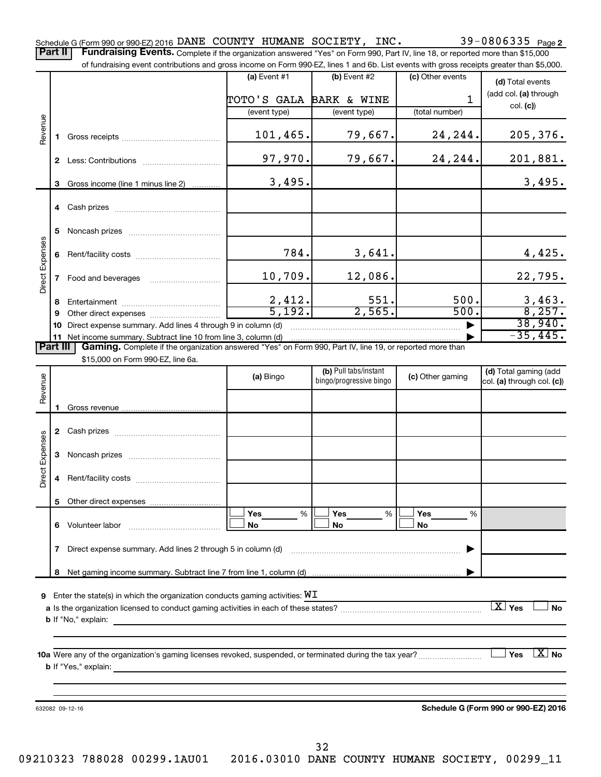39-0806335 Page 2 Schedule G (Form 990 or 990-EZ) 2016 DANE COUNTY HUMANE SOCIETY, INC.  $39-0806335$   $_{\rm Page}$ Part II | Fundraising Events. Complete if the organization answered "Yes" on Form 990, Part IV, line 18, or reported more than \$15,000

|                 |    | of fundraising event contributions and gross income on Form 990-EZ, lines 1 and 6b. List events with gross receipts greater than \$5,000.                                   |                         |                         |                  |                                         |
|-----------------|----|-----------------------------------------------------------------------------------------------------------------------------------------------------------------------------|-------------------------|-------------------------|------------------|-----------------------------------------|
|                 |    |                                                                                                                                                                             | $(a)$ Event #1          | $(b)$ Event #2          | (c) Other events | (d) Total events                        |
|                 |    |                                                                                                                                                                             |                         |                         |                  | (add col. (a) through                   |
|                 |    |                                                                                                                                                                             | TOTO'S GALA BARK & WINE |                         | 1                | col. (c)                                |
|                 |    |                                                                                                                                                                             | (event type)            | (event type)            | (total number)   |                                         |
| Revenue         |    |                                                                                                                                                                             |                         |                         |                  |                                         |
|                 | 1. |                                                                                                                                                                             | 101,465.                | 79,667.                 | 24,244.          | 205, 376.                               |
|                 |    |                                                                                                                                                                             | 97,970.                 | 79,667.                 | 24,244.          | 201,881.                                |
|                 |    |                                                                                                                                                                             |                         |                         |                  |                                         |
|                 | 3  | Gross income (line 1 minus line 2)                                                                                                                                          | 3,495.                  |                         |                  | 3,495.                                  |
|                 |    |                                                                                                                                                                             |                         |                         |                  |                                         |
|                 |    |                                                                                                                                                                             |                         |                         |                  |                                         |
|                 |    |                                                                                                                                                                             |                         |                         |                  |                                         |
|                 | 5  |                                                                                                                                                                             |                         |                         |                  |                                         |
|                 |    |                                                                                                                                                                             |                         |                         |                  |                                         |
|                 | 6  |                                                                                                                                                                             | 784.                    | 3,641.                  |                  | 4,425.                                  |
| Direct Expenses |    |                                                                                                                                                                             |                         |                         |                  |                                         |
|                 | 7  | Food and beverages                                                                                                                                                          | 10,709.                 | 12,086.                 |                  | 22,795.                                 |
|                 |    |                                                                                                                                                                             |                         |                         |                  |                                         |
|                 | 8  |                                                                                                                                                                             | $\frac{2,412}{5,192}$   | 551.<br>2,565.          | 500.<br>500.     | $\frac{3,463}{8,257}$                   |
|                 | 9  |                                                                                                                                                                             |                         |                         |                  | 38,940.                                 |
|                 | 10 | Direct expense summary. Add lines 4 through 9 in column (d)                                                                                                                 |                         |                         |                  | $-35,445.$                              |
| <b>Part III</b> |    | 11 Net income summary. Subtract line 10 from line 3, column (d)<br>Gaming. Complete if the organization answered "Yes" on Form 990, Part IV, line 19, or reported more than |                         |                         |                  |                                         |
|                 |    | \$15,000 on Form 990-EZ, line 6a.                                                                                                                                           |                         |                         |                  |                                         |
|                 |    |                                                                                                                                                                             |                         | (b) Pull tabs/instant   |                  | (d) Total gaming (add                   |
|                 |    |                                                                                                                                                                             | (a) Bingo               | bingo/progressive bingo | (c) Other gaming | col. (a) through col. (c))              |
| Revenue         |    |                                                                                                                                                                             |                         |                         |                  |                                         |
|                 | 1. |                                                                                                                                                                             |                         |                         |                  |                                         |
|                 |    |                                                                                                                                                                             |                         |                         |                  |                                         |
|                 |    |                                                                                                                                                                             |                         |                         |                  |                                         |
|                 |    |                                                                                                                                                                             |                         |                         |                  |                                         |
| Direct Expenses | 3  |                                                                                                                                                                             |                         |                         |                  |                                         |
|                 |    |                                                                                                                                                                             |                         |                         |                  |                                         |
|                 | 4  |                                                                                                                                                                             |                         |                         |                  |                                         |
|                 |    |                                                                                                                                                                             |                         |                         |                  |                                         |
|                 |    |                                                                                                                                                                             | %<br>Yes                | Yes<br>%                | Yes<br>%         |                                         |
|                 | 6  | Volunteer labor                                                                                                                                                             | No                      | No                      | No               |                                         |
|                 |    |                                                                                                                                                                             |                         |                         |                  |                                         |
|                 | 7  | Direct expense summary. Add lines 2 through 5 in column (d)                                                                                                                 |                         |                         |                  |                                         |
|                 |    |                                                                                                                                                                             |                         |                         |                  |                                         |
|                 | 8  |                                                                                                                                                                             |                         |                         |                  |                                         |
|                 |    |                                                                                                                                                                             |                         |                         |                  |                                         |
| 9               |    | Enter the state(s) in which the organization conducts gaming activities: $WI$                                                                                               |                         |                         |                  |                                         |
|                 |    |                                                                                                                                                                             |                         |                         |                  | $\boxed{\text{X}}$ Yes<br><b>No</b>     |
|                 |    | <b>b</b> If "No," explain:<br><u> 1989 - Johann Stoff, deutscher Stoff, der Stoff, der Stoff, der Stoff, der Stoff, der Stoff, der Stoff, der S</u>                         |                         |                         |                  |                                         |
|                 |    |                                                                                                                                                                             |                         |                         |                  |                                         |
|                 |    |                                                                                                                                                                             |                         |                         |                  |                                         |
|                 |    |                                                                                                                                                                             |                         |                         |                  | $\lfloor x \rfloor$<br>Yes<br><b>No</b> |
|                 |    |                                                                                                                                                                             |                         |                         |                  |                                         |
|                 |    |                                                                                                                                                                             |                         |                         |                  |                                         |
|                 |    |                                                                                                                                                                             |                         |                         |                  |                                         |

632082 09-12-16

**Schedule G (Form 990 or 990-EZ) 2016**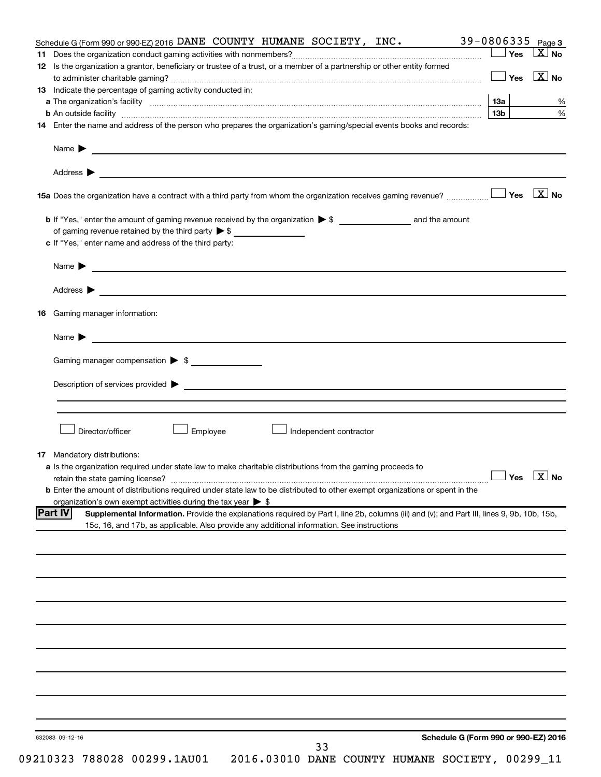|     | Schedule G (Form 990 or 990-EZ) 2016 DANE COUNTY HUMANE SOCIETY, INC.                                                                                                                                                                |            | 39-0806335 Page 3      |
|-----|--------------------------------------------------------------------------------------------------------------------------------------------------------------------------------------------------------------------------------------|------------|------------------------|
|     |                                                                                                                                                                                                                                      | $\Box$ Yes | $\mathbf{X}$ No        |
|     | 12 Is the organization a grantor, beneficiary or trustee of a trust, or a member of a partnership or other entity formed                                                                                                             |            |                        |
|     |                                                                                                                                                                                                                                      | $\Box$ Yes | $\boxed{\text{X}}$ No  |
|     | 13 Indicate the percentage of gaming activity conducted in:                                                                                                                                                                          |            |                        |
|     |                                                                                                                                                                                                                                      | 13a        | %                      |
|     | b An outside facility www.communications.com/news/communications.com/news/communications.com/news/communicatio                                                                                                                       | 13b l      | $\%$                   |
|     | 14 Enter the name and address of the person who prepares the organization's gaming/special events books and records:                                                                                                                 |            |                        |
|     | Name <b>Decision and Contract Contract Contract Contract Contract Contract Contract Contract Contract Contract Contract Contract Contract Contract Contract Contract Contract Contract Contract Contract Contract Contract Contr</b> |            |                        |
|     | Address $\blacktriangleright$<br>and the control of the control of the control of the control of the control of the control of the control of the                                                                                    |            |                        |
|     |                                                                                                                                                                                                                                      |            |                        |
|     |                                                                                                                                                                                                                                      |            |                        |
|     | of gaming revenue retained by the third party $\triangleright$ \$                                                                                                                                                                    |            |                        |
|     | c If "Yes," enter name and address of the third party:                                                                                                                                                                               |            |                        |
|     |                                                                                                                                                                                                                                      |            |                        |
|     |                                                                                                                                                                                                                                      |            |                        |
|     |                                                                                                                                                                                                                                      |            |                        |
| 16. | Gaming manager information:                                                                                                                                                                                                          |            |                        |
|     | Name $\blacktriangleright$<br><u>and the contract of the contract of the contract of the contract of the contract of the contract of the contract of</u>                                                                             |            |                        |
|     | Gaming manager compensation > \$                                                                                                                                                                                                     |            |                        |
|     |                                                                                                                                                                                                                                      |            |                        |
|     | Description of services provided states and the contract of the contract of the contract of the contract of the contract of the contract of the contract of the contract of the contract of the contract of the contract of th       |            |                        |
|     |                                                                                                                                                                                                                                      |            |                        |
|     | Director/officer<br>Employee<br>Independent contractor                                                                                                                                                                               |            |                        |
|     |                                                                                                                                                                                                                                      |            |                        |
|     | 17 Mandatory distributions:<br>a Is the organization required under state law to make charitable distributions from the gaming proceeds to                                                                                           |            |                        |
|     | retain the state gaming license?                                                                                                                                                                                                     |            | $\Box$ Yes $\Box X$ No |
|     | <b>b</b> Enter the amount of distributions required under state law to be distributed to other exempt organizations or spent in the                                                                                                  |            |                        |
|     | organization's own exempt activities during the tax year $\triangleright$ \$                                                                                                                                                         |            |                        |
|     | Part IV<br>Supplemental Information. Provide the explanations required by Part I, line 2b, columns (iii) and (v); and Part III, lines 9, 9b, 10b, 15b,                                                                               |            |                        |
|     | 15c, 16, and 17b, as applicable. Also provide any additional information. See instructions                                                                                                                                           |            |                        |
|     |                                                                                                                                                                                                                                      |            |                        |
|     |                                                                                                                                                                                                                                      |            |                        |
|     |                                                                                                                                                                                                                                      |            |                        |
|     |                                                                                                                                                                                                                                      |            |                        |
|     |                                                                                                                                                                                                                                      |            |                        |
|     |                                                                                                                                                                                                                                      |            |                        |
|     |                                                                                                                                                                                                                                      |            |                        |
|     |                                                                                                                                                                                                                                      |            |                        |
|     |                                                                                                                                                                                                                                      |            |                        |
|     |                                                                                                                                                                                                                                      |            |                        |
|     |                                                                                                                                                                                                                                      |            |                        |
|     |                                                                                                                                                                                                                                      |            |                        |
|     |                                                                                                                                                                                                                                      |            |                        |
|     |                                                                                                                                                                                                                                      |            |                        |
|     |                                                                                                                                                                                                                                      |            |                        |
|     | Schedule G (Form 990 or 990-EZ) 2016<br>632083 09-12-16                                                                                                                                                                              |            |                        |
|     | 33<br>0.00003                                                                                                                                                                                                                        |            |                        |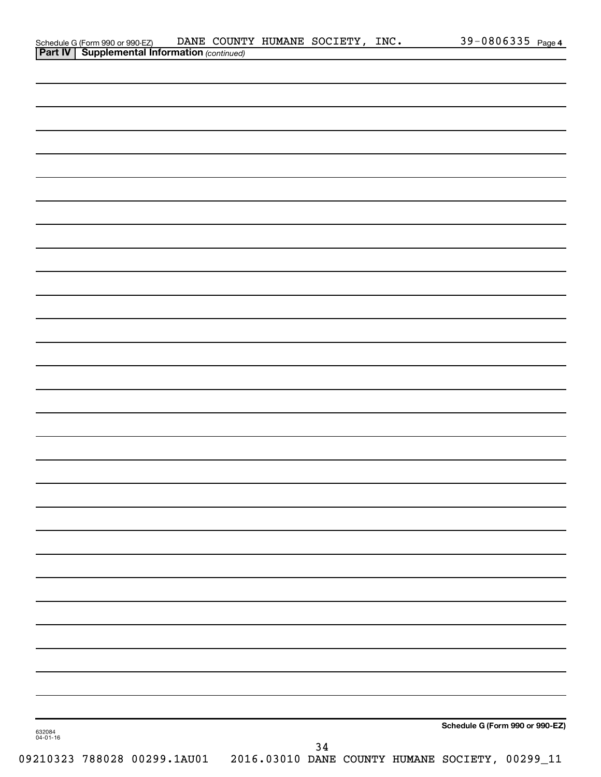|                    |  | Schedule G (Form 990 or 990-EZ) DANE COUNT<br><b>Part IV   Supplemental Information</b> (continued) | DANE COUNTY HUMANE SOCIETY, INC. |    |  |                                                                              | 39-0806335 Page 4 |
|--------------------|--|-----------------------------------------------------------------------------------------------------|----------------------------------|----|--|------------------------------------------------------------------------------|-------------------|
|                    |  |                                                                                                     |                                  |    |  |                                                                              |                   |
|                    |  |                                                                                                     |                                  |    |  |                                                                              |                   |
|                    |  |                                                                                                     |                                  |    |  |                                                                              |                   |
|                    |  |                                                                                                     |                                  |    |  |                                                                              |                   |
|                    |  |                                                                                                     |                                  |    |  |                                                                              |                   |
|                    |  |                                                                                                     |                                  |    |  |                                                                              |                   |
|                    |  |                                                                                                     |                                  |    |  |                                                                              |                   |
|                    |  |                                                                                                     |                                  |    |  |                                                                              |                   |
|                    |  |                                                                                                     |                                  |    |  |                                                                              |                   |
|                    |  |                                                                                                     |                                  |    |  |                                                                              |                   |
|                    |  |                                                                                                     |                                  |    |  |                                                                              |                   |
|                    |  |                                                                                                     |                                  |    |  |                                                                              |                   |
|                    |  |                                                                                                     |                                  |    |  |                                                                              |                   |
|                    |  |                                                                                                     |                                  |    |  |                                                                              |                   |
|                    |  |                                                                                                     |                                  |    |  |                                                                              |                   |
|                    |  |                                                                                                     |                                  |    |  |                                                                              |                   |
|                    |  |                                                                                                     |                                  |    |  |                                                                              |                   |
|                    |  |                                                                                                     |                                  |    |  |                                                                              |                   |
|                    |  |                                                                                                     |                                  |    |  |                                                                              |                   |
|                    |  |                                                                                                     |                                  |    |  |                                                                              |                   |
|                    |  |                                                                                                     |                                  |    |  |                                                                              |                   |
|                    |  |                                                                                                     |                                  |    |  |                                                                              |                   |
|                    |  |                                                                                                     |                                  |    |  |                                                                              |                   |
|                    |  |                                                                                                     |                                  |    |  |                                                                              |                   |
|                    |  |                                                                                                     |                                  |    |  |                                                                              |                   |
|                    |  |                                                                                                     |                                  |    |  |                                                                              |                   |
|                    |  |                                                                                                     |                                  |    |  |                                                                              |                   |
|                    |  |                                                                                                     |                                  |    |  |                                                                              |                   |
|                    |  |                                                                                                     |                                  |    |  |                                                                              |                   |
|                    |  |                                                                                                     |                                  |    |  |                                                                              |                   |
|                    |  |                                                                                                     |                                  |    |  |                                                                              |                   |
|                    |  |                                                                                                     |                                  |    |  |                                                                              |                   |
|                    |  |                                                                                                     |                                  |    |  |                                                                              |                   |
|                    |  |                                                                                                     |                                  |    |  |                                                                              |                   |
|                    |  |                                                                                                     |                                  |    |  |                                                                              |                   |
|                    |  |                                                                                                     |                                  |    |  |                                                                              |                   |
|                    |  |                                                                                                     |                                  |    |  |                                                                              |                   |
|                    |  |                                                                                                     |                                  |    |  |                                                                              |                   |
|                    |  |                                                                                                     |                                  |    |  |                                                                              |                   |
|                    |  |                                                                                                     |                                  |    |  |                                                                              |                   |
|                    |  |                                                                                                     |                                  |    |  |                                                                              |                   |
|                    |  |                                                                                                     |                                  |    |  |                                                                              |                   |
| 632084<br>04-01-16 |  |                                                                                                     |                                  |    |  | Schedule G (Form 990 or 990-EZ)                                              |                   |
|                    |  |                                                                                                     |                                  | 34 |  |                                                                              |                   |
|                    |  |                                                                                                     |                                  |    |  | 09210323 788028 00299.1AU01  2016.03010 DANE COUNTY HUMANE SOCIETY, 00299_11 |                   |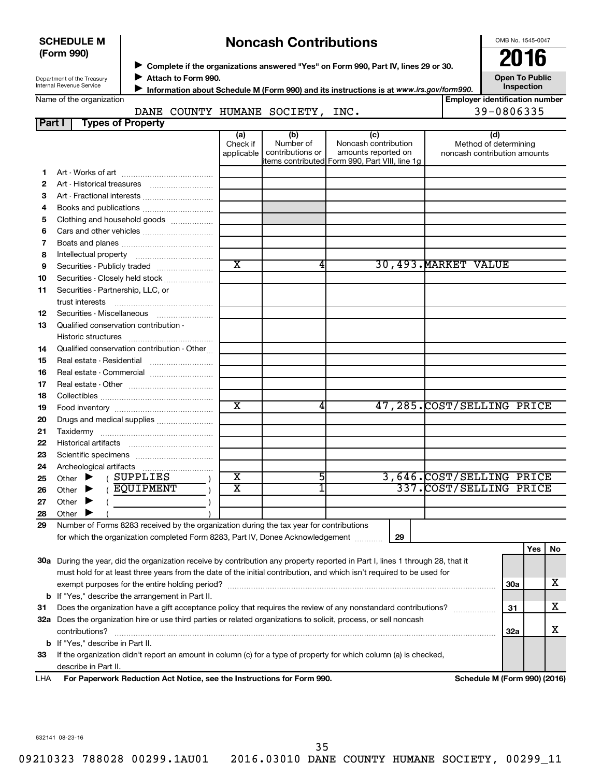| <b>SCHEDULE M</b> |  |
|-------------------|--|
| (Form 990)        |  |

### **Noncash Contributions**

OMB No. 1545-0047

Department of the Treasury Internal Revenue Service

◆ Complete if the organizations answered "Yes" on Form 990, Part IV, lines 29 or 30.<br>● Complete if the organizations answered "Yes" on Form 990, Part IV, lines 29 or 30. **Attach to Form 990.** J

**Open To Public Inspection**

|  |  | Name of the organization |  |
|--|--|--------------------------|--|
|  |  |                          |  |

**Information about Schedule M (Form 990) and its instructions is at www.irs.gov/form990.** 

### **Employer identification number Part I Types of Property** DANE COUNTY HUMANE SOCIETY, INC. 49-0806335

| . u. | ני וטקטו דו וטן ניטקנו                                                                                                                                                                                                                                                                                                                                  |                         |                               |                                                                       |                              |            |            |    |
|------|---------------------------------------------------------------------------------------------------------------------------------------------------------------------------------------------------------------------------------------------------------------------------------------------------------------------------------------------------------|-------------------------|-------------------------------|-----------------------------------------------------------------------|------------------------------|------------|------------|----|
|      |                                                                                                                                                                                                                                                                                                                                                         | (a)<br>Check if         | (b)<br>Number of              | (c)<br>Noncash contribution                                           | (d)<br>Method of determining |            |            |    |
|      |                                                                                                                                                                                                                                                                                                                                                         |                         | applicable   contributions or | amounts reported on<br>items contributed Form 990, Part VIII, line 1g | noncash contribution amounts |            |            |    |
| 1    |                                                                                                                                                                                                                                                                                                                                                         |                         |                               |                                                                       |                              |            |            |    |
| 2    |                                                                                                                                                                                                                                                                                                                                                         |                         |                               |                                                                       |                              |            |            |    |
| З    |                                                                                                                                                                                                                                                                                                                                                         |                         |                               |                                                                       |                              |            |            |    |
| 4    | Books and publications                                                                                                                                                                                                                                                                                                                                  |                         |                               |                                                                       |                              |            |            |    |
| 5    | Clothing and household goods                                                                                                                                                                                                                                                                                                                            |                         |                               |                                                                       |                              |            |            |    |
| 6    |                                                                                                                                                                                                                                                                                                                                                         |                         |                               |                                                                       |                              |            |            |    |
| 7    |                                                                                                                                                                                                                                                                                                                                                         |                         |                               |                                                                       |                              |            |            |    |
| 8    |                                                                                                                                                                                                                                                                                                                                                         |                         |                               |                                                                       |                              |            |            |    |
| 9    | Securities - Publicly traded                                                                                                                                                                                                                                                                                                                            | $\overline{\text{x}}$   | 4                             |                                                                       | 30,493. MARKET VALUE         |            |            |    |
| 10   | Securities - Closely held stock                                                                                                                                                                                                                                                                                                                         |                         |                               |                                                                       |                              |            |            |    |
| 11   | Securities - Partnership, LLC, or                                                                                                                                                                                                                                                                                                                       |                         |                               |                                                                       |                              |            |            |    |
|      |                                                                                                                                                                                                                                                                                                                                                         |                         |                               |                                                                       |                              |            |            |    |
| 12   | Securities - Miscellaneous                                                                                                                                                                                                                                                                                                                              |                         |                               |                                                                       |                              |            |            |    |
| 13   | Qualified conservation contribution -                                                                                                                                                                                                                                                                                                                   |                         |                               |                                                                       |                              |            |            |    |
|      | Historic structures                                                                                                                                                                                                                                                                                                                                     |                         |                               |                                                                       |                              |            |            |    |
| 14   | Qualified conservation contribution - Other                                                                                                                                                                                                                                                                                                             |                         |                               |                                                                       |                              |            |            |    |
| 15   | Real estate - Residential                                                                                                                                                                                                                                                                                                                               |                         |                               |                                                                       |                              |            |            |    |
| 16   | Real estate - Commercial                                                                                                                                                                                                                                                                                                                                |                         |                               |                                                                       |                              |            |            |    |
| 17   |                                                                                                                                                                                                                                                                                                                                                         |                         |                               |                                                                       |                              |            |            |    |
| 18   |                                                                                                                                                                                                                                                                                                                                                         |                         |                               |                                                                       |                              |            |            |    |
| 19   |                                                                                                                                                                                                                                                                                                                                                         | $\overline{\text{x}}$   | 4                             |                                                                       | 47,285. COST/SELLING PRICE   |            |            |    |
| 20   | Drugs and medical supplies                                                                                                                                                                                                                                                                                                                              |                         |                               |                                                                       |                              |            |            |    |
| 21   |                                                                                                                                                                                                                                                                                                                                                         |                         |                               |                                                                       |                              |            |            |    |
| 22   |                                                                                                                                                                                                                                                                                                                                                         |                         |                               |                                                                       |                              |            |            |    |
| 23   |                                                                                                                                                                                                                                                                                                                                                         |                         |                               |                                                                       |                              |            |            |    |
| 24   |                                                                                                                                                                                                                                                                                                                                                         |                         |                               |                                                                       |                              |            |            |    |
| 25   | Other $\blacktriangleright$ (SUPPLIES                                                                                                                                                                                                                                                                                                                   | $\overline{\textbf{x}}$ | 5                             |                                                                       | 3,646.COST/SELLING PRICE     |            |            |    |
| 26   | Other $\blacktriangleright$ (EQUIPMENT                                                                                                                                                                                                                                                                                                                  | $\overline{\textbf{x}}$ | 1                             |                                                                       | 337. COST/SELLING PRICE      |            |            |    |
| 27   | Other $\blacktriangleright$<br>$\left($ $\frac{1}{2}$ $\frac{1}{2}$ $\frac{1}{2}$ $\frac{1}{2}$ $\frac{1}{2}$ $\frac{1}{2}$ $\frac{1}{2}$ $\frac{1}{2}$ $\frac{1}{2}$ $\frac{1}{2}$ $\frac{1}{2}$ $\frac{1}{2}$ $\frac{1}{2}$ $\frac{1}{2}$ $\frac{1}{2}$ $\frac{1}{2}$ $\frac{1}{2}$ $\frac{1}{2}$ $\frac{1}{2}$ $\frac{1}{2}$ $\frac{1}{2}$ $\frac{1$ |                         |                               |                                                                       |                              |            |            |    |
| 28   | Other $\blacktriangleright$                                                                                                                                                                                                                                                                                                                             |                         |                               |                                                                       |                              |            |            |    |
| 29   | Number of Forms 8283 received by the organization during the tax year for contributions                                                                                                                                                                                                                                                                 |                         |                               |                                                                       |                              |            |            |    |
|      | for which the organization completed Form 8283, Part IV, Donee Acknowledgement                                                                                                                                                                                                                                                                          |                         |                               | 29                                                                    |                              |            |            |    |
|      |                                                                                                                                                                                                                                                                                                                                                         |                         |                               |                                                                       |                              |            | <b>Yes</b> | No |
|      | 30a During the year, did the organization receive by contribution any property reported in Part I, lines 1 through 28, that it                                                                                                                                                                                                                          |                         |                               |                                                                       |                              |            |            |    |
|      | must hold for at least three years from the date of the initial contribution, and which isn't required to be used for                                                                                                                                                                                                                                   |                         |                               |                                                                       |                              |            |            |    |
|      |                                                                                                                                                                                                                                                                                                                                                         |                         |                               |                                                                       |                              | 30a        |            | х  |
|      | <b>b</b> If "Yes," describe the arrangement in Part II.                                                                                                                                                                                                                                                                                                 |                         |                               |                                                                       |                              |            |            |    |
| 31   | Does the organization have a gift acceptance policy that requires the review of any nonstandard contributions?                                                                                                                                                                                                                                          |                         |                               |                                                                       |                              | 31         |            | х  |
|      | 32a Does the organization hire or use third parties or related organizations to solicit, process, or sell noncash                                                                                                                                                                                                                                       |                         |                               |                                                                       |                              |            |            |    |
|      |                                                                                                                                                                                                                                                                                                                                                         |                         |                               |                                                                       |                              | <b>32a</b> |            | х  |
|      | <b>b</b> If "Yes," describe in Part II.                                                                                                                                                                                                                                                                                                                 |                         |                               |                                                                       |                              |            |            |    |
| 33   | If the organization didn't report an amount in column (c) for a type of property for which column (a) is checked,                                                                                                                                                                                                                                       |                         |                               |                                                                       |                              |            |            |    |
|      | describe in Part II.                                                                                                                                                                                                                                                                                                                                    |                         |                               |                                                                       |                              |            |            |    |

**For Paperwork Reduction Act Notice, see the Instructions for Form 990. Schedule M (Form 990) (2016)** LHA

632141 08-23-16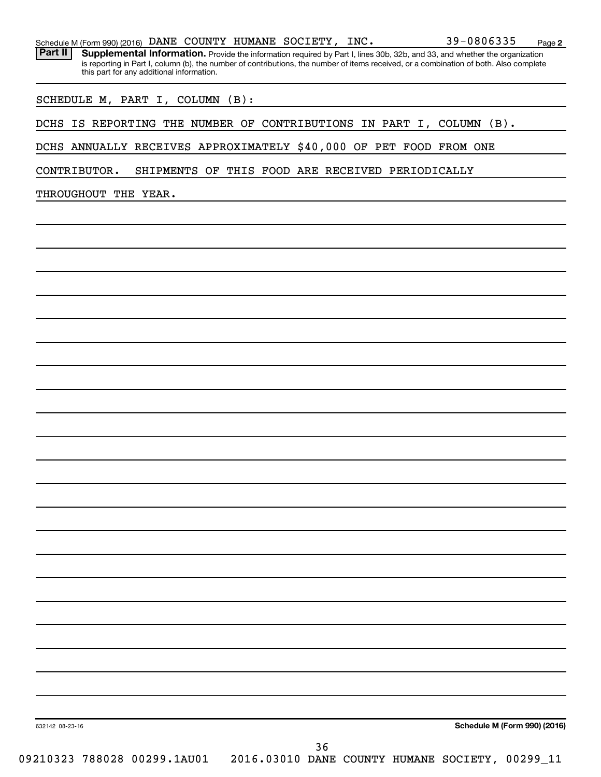|  |  |  |  |  |  | Schedule M (Form 990) (2016) DANE COUNTY HUMANE SOCIETY, INC. |  | $39 - 0806335$ | Page |  |
|--|--|--|--|--|--|---------------------------------------------------------------|--|----------------|------|--|
|--|--|--|--|--|--|---------------------------------------------------------------|--|----------------|------|--|

Part II | Supplemental Information. Provide the information required by Part I, lines 30b, 32b, and 33, and whether the organization is reporting in Part I, column (b), the number of contributions, the number of items received, or a combination of both. Also complete this part for any additional information.

SCHEDULE M, PART I, COLUMN (B):

DCHS IS REPORTING THE NUMBER OF CONTRIBUTIONS IN PART I, COLUMN (B).

DCHS ANNUALLY RECEIVES APPROXIMATELY \$40,000 OF PET FOOD FROM ONE

CONTRIBUTOR. SHIPMENTS OF THIS FOOD ARE RECEIVED PERIODICALLY

THROUGHOUT THE YEAR.

**Schedule M (Form 990) (2016)**

**2**

632142 08-23-16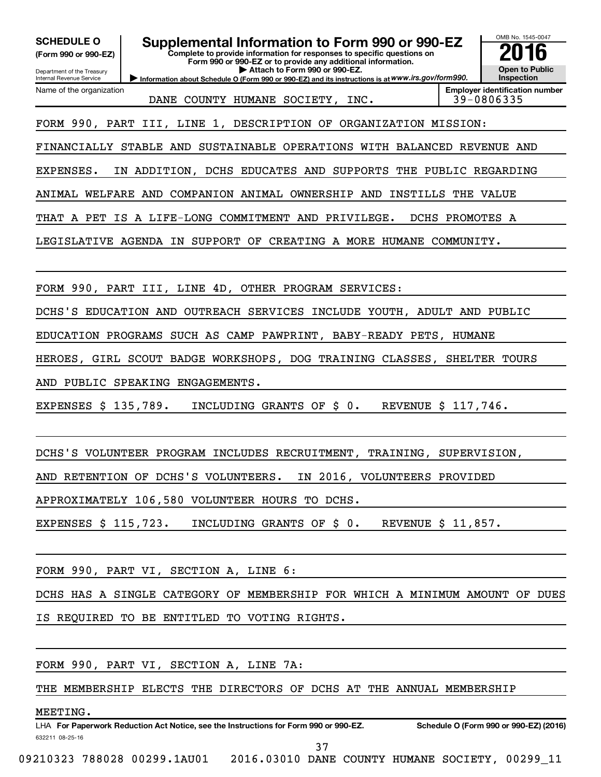| <b>SCHEDULE O</b><br>(Form 990 or 990-EZ)<br>Department of the Treasury<br>Internal Revenue Service | Supplemental Information to Form 990 or 990-EZ<br>Complete to provide information for responses to specific questions on<br>Form 990 or 990-EZ or to provide any additional information.<br>Attach to Form 990 or 990-EZ.<br>Information about Schedule O (Form 990 or 990-EZ) and its instructions is at WWW.irs.gov/form990. | OMB No. 1545-0047<br><b>Open to Public</b><br>Inspection |
|-----------------------------------------------------------------------------------------------------|--------------------------------------------------------------------------------------------------------------------------------------------------------------------------------------------------------------------------------------------------------------------------------------------------------------------------------|----------------------------------------------------------|
| Name of the organization                                                                            | DANE COUNTY HUMANE SOCIETY, INC.                                                                                                                                                                                                                                                                                               | <b>Employer identification number</b><br>39-0806335      |
|                                                                                                     | FORM 990, PART III, LINE 1, DESCRIPTION OF ORGANIZATION MISSION:                                                                                                                                                                                                                                                               |                                                          |
|                                                                                                     | FINANCIALLY STABLE AND SUSTAINABLE OPERATIONS WITH BALANCED REVENUE AND                                                                                                                                                                                                                                                        |                                                          |
| EXPENSES.                                                                                           | IN ADDITION, DCHS EDUCATES AND SUPPORTS THE PUBLIC REGARDING                                                                                                                                                                                                                                                                   |                                                          |
|                                                                                                     | ANIMAL WELFARE AND COMPANION ANIMAL OWNERSHIP AND INSTILLS THE VALUE                                                                                                                                                                                                                                                           |                                                          |
|                                                                                                     | THAT A PET IS A LIFE-LONG COMMITMENT AND PRIVILEGE.                                                                                                                                                                                                                                                                            | DCHS PROMOTES A                                          |
|                                                                                                     | LEGISLATIVE AGENDA IN SUPPORT OF CREATING A MORE HUMANE COMMUNITY.                                                                                                                                                                                                                                                             |                                                          |
|                                                                                                     | FORM 990, PART III, LINE 4D, OTHER PROGRAM SERVICES:                                                                                                                                                                                                                                                                           |                                                          |
|                                                                                                     | DCHS'S EDUCATION AND OUTREACH SERVICES INCLUDE YOUTH, ADULT AND PUBLIC                                                                                                                                                                                                                                                         |                                                          |
|                                                                                                     | EDUCATION PROGRAMS SUCH AS CAMP PAWPRINT, BABY-READY PETS, HUMANE                                                                                                                                                                                                                                                              |                                                          |
|                                                                                                     | HEROES, GIRL SCOUT BADGE WORKSHOPS, DOG TRAINING CLASSES, SHELTER TOURS                                                                                                                                                                                                                                                        |                                                          |
|                                                                                                     | AND PUBLIC SPEAKING ENGAGEMENTS.                                                                                                                                                                                                                                                                                               |                                                          |
| EXPENSES \$ 135,789.                                                                                | INCLUDING GRANTS OF \$ 0.                                                                                                                                                                                                                                                                                                      | REVENUE \$ 117,746.                                      |
|                                                                                                     | DCHS'S VOLUNTEER PROGRAM INCLUDES RECRUITMENT, TRAINING, SUPERVISION,                                                                                                                                                                                                                                                          |                                                          |
|                                                                                                     | AND RETENTION OF DCHS'S VOLUNTEERS. IN 2016, VOLUNTEERS PROVIDED                                                                                                                                                                                                                                                               |                                                          |
|                                                                                                     | APPROXIMATELY 106,580 VOLUNTEER HOURS TO DCHS.                                                                                                                                                                                                                                                                                 |                                                          |
| EXPENSES \$ 115,723.                                                                                | INCLUDING GRANTS OF \$ 0.                                                                                                                                                                                                                                                                                                      | REVENUE \$ 11,857.                                       |
|                                                                                                     | FORM 990, PART VI, SECTION A, LINE 6:                                                                                                                                                                                                                                                                                          |                                                          |
|                                                                                                     | DCHS HAS A SINGLE CATEGORY OF MEMBERSHIP FOR WHICH A MINIMUM AMOUNT OF DUES                                                                                                                                                                                                                                                    |                                                          |
|                                                                                                     | IS REQUIRED TO BE ENTITLED TO VOTING RIGHTS.                                                                                                                                                                                                                                                                                   |                                                          |
|                                                                                                     | FORM 990, PART VI, SECTION A, LINE 7A:                                                                                                                                                                                                                                                                                         |                                                          |
|                                                                                                     | THE MEMBERSHIP ELECTS THE DIRECTORS OF DCHS AT THE ANNUAL MEMBERSHIP                                                                                                                                                                                                                                                           |                                                          |
| MEETING.<br>632211 08-25-16                                                                         | LHA For Paperwork Reduction Act Notice, see the Instructions for Form 990 or 990-EZ.                                                                                                                                                                                                                                           | Schedule O (Form 990 or 990-EZ) (2016)                   |

37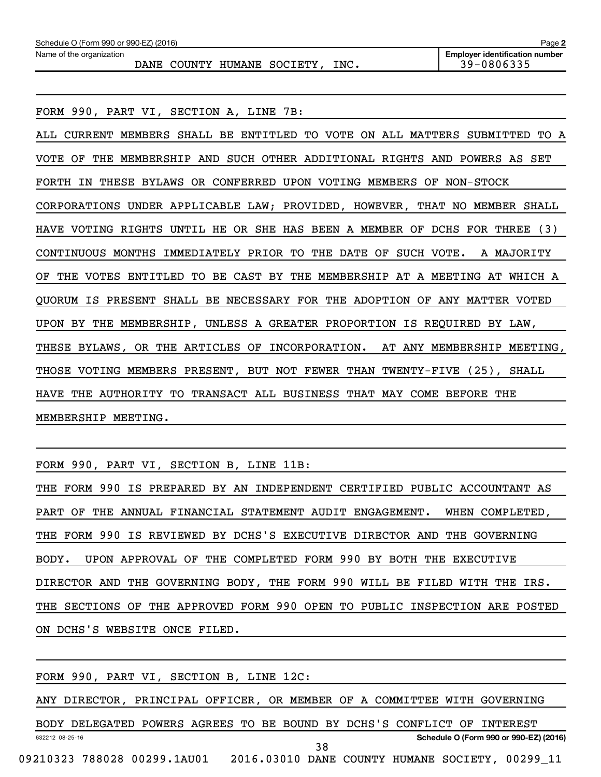| Schedule O (Form 990 or 990-EZ) (2016)<br>Page 2                  |                                                     |  |  |  |  |  |  |  |  |  |
|-------------------------------------------------------------------|-----------------------------------------------------|--|--|--|--|--|--|--|--|--|
| Name of the organization<br>INC.<br>COUNTY HUMANE SOCIETY<br>DANE | <b>Employer identification number</b><br>39-0806335 |  |  |  |  |  |  |  |  |  |
|                                                                   |                                                     |  |  |  |  |  |  |  |  |  |

FORM 990, PART VI, SECTION A, LINE 7B:

ALL CURRENT MEMBERS SHALL BE ENTITLED TO VOTE ON ALL MATTERS SUBMITTED TO A VOTE OF THE MEMBERSHIP AND SUCH OTHER ADDITIONAL RIGHTS AND POWERS AS SET FORTH IN THESE BYLAWS OR CONFERRED UPON VOTING MEMBERS OF NON-STOCK CORPORATIONS UNDER APPLICABLE LAW; PROVIDED, HOWEVER, THAT NO MEMBER SHALL HAVE VOTING RIGHTS UNTIL HE OR SHE HAS BEEN A MEMBER OF DCHS FOR THREE (3) CONTINUOUS MONTHS IMMEDIATELY PRIOR TO THE DATE OF SUCH VOTE. A MAJORITY OF THE VOTES ENTITLED TO BE CAST BY THE MEMBERSHIP AT A MEETING AT WHICH A QUORUM IS PRESENT SHALL BE NECESSARY FOR THE ADOPTION OF ANY MATTER VOTED UPON BY THE MEMBERSHIP, UNLESS A GREATER PROPORTION IS REQUIRED BY LAW, THESE BYLAWS, OR THE ARTICLES OF INCORPORATION. AT ANY MEMBERSHIP MEETING, THOSE VOTING MEMBERS PRESENT, BUT NOT FEWER THAN TWENTY-FIVE (25), SHALL HAVE THE AUTHORITY TO TRANSACT ALL BUSINESS THAT MAY COME BEFORE THE MEMBERSHIP MEETING.

FORM 990, PART VI, SECTION B, LINE 11B:

THE FORM 990 IS PREPARED BY AN INDEPENDENT CERTIFIED PUBLIC ACCOUNTANT AS PART OF THE ANNUAL FINANCIAL STATEMENT AUDIT ENGAGEMENT. WHEN COMPLETED, THE FORM 990 IS REVIEWED BY DCHS'S EXECUTIVE DIRECTOR AND THE GOVERNING BODY. UPON APPROVAL OF THE COMPLETED FORM 990 BY BOTH THE EXECUTIVE DIRECTOR AND THE GOVERNING BODY, THE FORM 990 WILL BE FILED WITH THE IRS. THE SECTIONS OF THE APPROVED FORM 990 OPEN TO PUBLIC INSPECTION ARE POSTED ON DCHS'S WEBSITE ONCE FILED.

|                 |  |                             | FORM 990, PART VI, SECTION B, LINE 12C: |  |    |  |                                                                          |  |                                        |  |
|-----------------|--|-----------------------------|-----------------------------------------|--|----|--|--------------------------------------------------------------------------|--|----------------------------------------|--|
|                 |  |                             |                                         |  |    |  | ANY DIRECTOR, PRINCIPAL OFFICER, OR MEMBER OF A COMMITTEE WITH GOVERNING |  |                                        |  |
|                 |  |                             |                                         |  |    |  | BODY DELEGATED POWERS AGREES TO BE BOUND BY DCHS'S CONFLICT OF INTEREST  |  |                                        |  |
| 632212 08-25-16 |  |                             |                                         |  | 38 |  |                                                                          |  | Schedule O (Form 990 or 990-EZ) (2016) |  |
|                 |  | 09210323 788028 00299.1AU01 |                                         |  |    |  | 2016.03010 DANE COUNTY HUMANE SOCIETY, 00299 11                          |  |                                        |  |